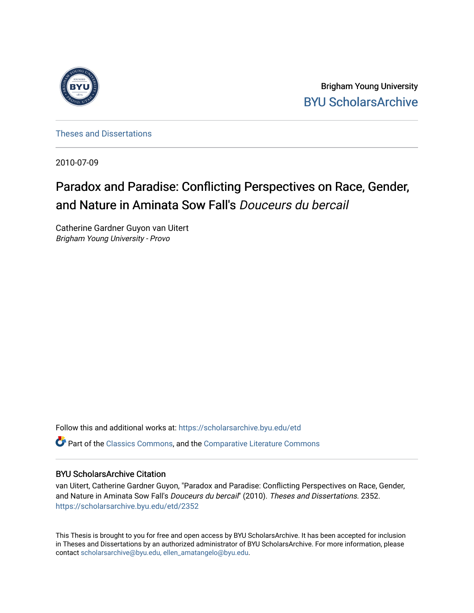

Brigham Young University [BYU ScholarsArchive](https://scholarsarchive.byu.edu/) 

[Theses and Dissertations](https://scholarsarchive.byu.edu/etd)

2010-07-09

# Paradox and Paradise: Conflicting Perspectives on Race, Gender, and Nature in Aminata Sow Fall's Douceurs du bercail

Catherine Gardner Guyon van Uitert Brigham Young University - Provo

Follow this and additional works at: [https://scholarsarchive.byu.edu/etd](https://scholarsarchive.byu.edu/etd?utm_source=scholarsarchive.byu.edu%2Fetd%2F2352&utm_medium=PDF&utm_campaign=PDFCoverPages)

**C** Part of the [Classics Commons](http://network.bepress.com/hgg/discipline/446?utm_source=scholarsarchive.byu.edu%2Fetd%2F2352&utm_medium=PDF&utm_campaign=PDFCoverPages), and the [Comparative Literature Commons](http://network.bepress.com/hgg/discipline/454?utm_source=scholarsarchive.byu.edu%2Fetd%2F2352&utm_medium=PDF&utm_campaign=PDFCoverPages)

## BYU ScholarsArchive Citation

van Uitert, Catherine Gardner Guyon, "Paradox and Paradise: Conflicting Perspectives on Race, Gender, and Nature in Aminata Sow Fall's Douceurs du bercail" (2010). Theses and Dissertations. 2352. [https://scholarsarchive.byu.edu/etd/2352](https://scholarsarchive.byu.edu/etd/2352?utm_source=scholarsarchive.byu.edu%2Fetd%2F2352&utm_medium=PDF&utm_campaign=PDFCoverPages) 

This Thesis is brought to you for free and open access by BYU ScholarsArchive. It has been accepted for inclusion in Theses and Dissertations by an authorized administrator of BYU ScholarsArchive. For more information, please contact [scholarsarchive@byu.edu, ellen\\_amatangelo@byu.edu](mailto:scholarsarchive@byu.edu,%20ellen_amatangelo@byu.edu).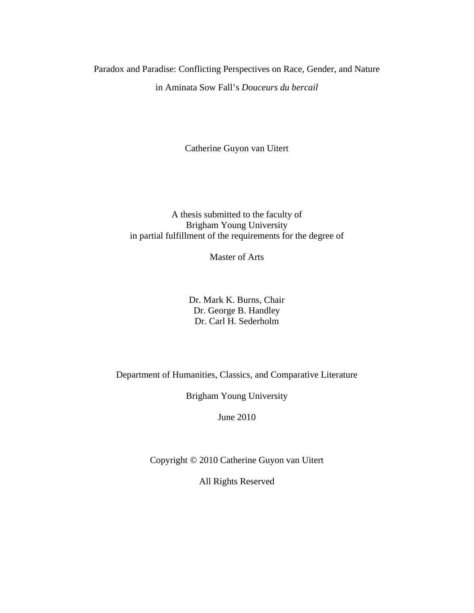Paradox and Paradise: Conflicting Perspectives on Race, Gender, and Nature in Aminata Sow Fall's *Douceurs du bercail*

Catherine Guyon van Uitert

# A thesis submitted to the faculty of Brigham Young University in partial fulfillment of the requirements for the degree of

Master of Arts

Dr. Mark K. Burns, Chair Dr. George B. Handley Dr. Carl H. Sederholm

Department of Humanities, Classics, and Comparative Literature

Brigham Young University

June 2010

Copyright © 2010 Catherine Guyon van Uitert

All Rights Reserved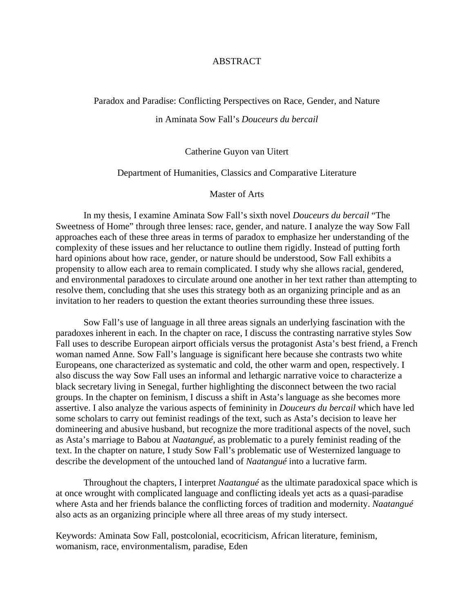## ABSTRACT

#### <span id="page-2-0"></span>Paradox and Paradise: Conflicting Perspectives on Race, Gender, and Nature

## in Aminata Sow Fall's *Douceurs du bercail*

## Catherine Guyon van Uitert

#### Department of Humanities, Classics and Comparative Literature

#### Master of Arts

In my thesis, I examine Aminata Sow Fall's sixth novel *Douceurs du bercail* "The Sweetness of Home" through three lenses: race, gender, and nature. I analyze the way Sow Fall approaches each of these three areas in terms of paradox to emphasize her understanding of the complexity of these issues and her reluctance to outline them rigidly. Instead of putting forth hard opinions about how race, gender, or nature should be understood, Sow Fall exhibits a propensity to allow each area to remain complicated. I study why she allows racial, gendered, and environmental paradoxes to circulate around one another in her text rather than attempting to resolve them, concluding that she uses this strategy both as an organizing principle and as an invitation to her readers to question the extant theories surrounding these three issues.

Sow Fall's use of language in all three areas signals an underlying fascination with the paradoxes inherent in each. In the chapter on race, I discuss the contrasting narrative styles Sow Fall uses to describe European airport officials versus the protagonist Asta's best friend, a French woman named Anne. Sow Fall's language is significant here because she contrasts two white Europeans, one characterized as systematic and cold, the other warm and open, respectively. I also discuss the way Sow Fall uses an informal and lethargic narrative voice to characterize a black secretary living in Senegal, further highlighting the disconnect between the two racial groups. In the chapter on feminism, I discuss a shift in Asta's language as she becomes more assertive. I also analyze the various aspects of femininity in *Douceurs du bercail* which have led some scholars to carry out feminist readings of the text, such as Asta's decision to leave her domineering and abusive husband, but recognize the more traditional aspects of the novel, such as Asta's marriage to Babou at *Naatangué*, as problematic to a purely feminist reading of the text. In the chapter on nature, I study Sow Fall's problematic use of Westernized language to describe the development of the untouched land of *Naatangué* into a lucrative farm.

Throughout the chapters, I interpret *Naatangué* as the ultimate paradoxical space which is at once wrought with complicated language and conflicting ideals yet acts as a quasi-paradise where Asta and her friends balance the conflicting forces of tradition and modernity. *Naatangué*  also acts as an organizing principle where all three areas of my study intersect.

Keywords: Aminata Sow Fall, postcolonial, ecocriticism, African literature, feminism, womanism, race, environmentalism, paradise, Eden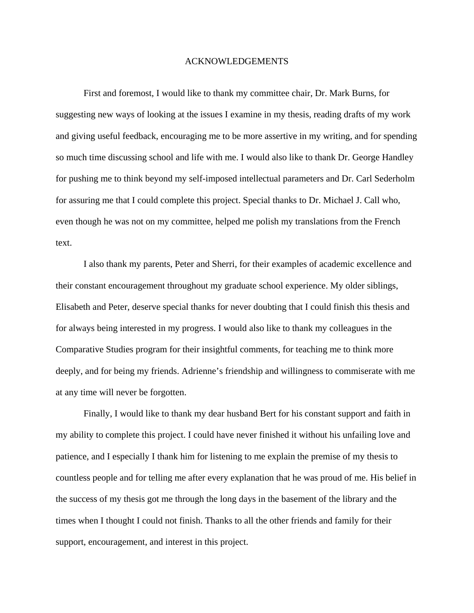#### ACKNOWLEDGEMENTS

<span id="page-3-0"></span>First and foremost, I would like to thank my committee chair, Dr. Mark Burns, for suggesting new ways of looking at the issues I examine in my thesis, reading drafts of my work and giving useful feedback, encouraging me to be more assertive in my writing, and for spending so much time discussing school and life with me. I would also like to thank Dr. George Handley for pushing me to think beyond my self-imposed intellectual parameters and Dr. Carl Sederholm for assuring me that I could complete this project. Special thanks to Dr. Michael J. Call who, even though he was not on my committee, helped me polish my translations from the French text.

I also thank my parents, Peter and Sherri, for their examples of academic excellence and their constant encouragement throughout my graduate school experience. My older siblings, Elisabeth and Peter, deserve special thanks for never doubting that I could finish this thesis and for always being interested in my progress. I would also like to thank my colleagues in the Comparative Studies program for their insightful comments, for teaching me to think more deeply, and for being my friends. Adrienne's friendship and willingness to commiserate with me at any time will never be forgotten.

Finally, I would like to thank my dear husband Bert for his constant support and faith in my ability to complete this project. I could have never finished it without his unfailing love and patience, and I especially I thank him for listening to me explain the premise of my thesis to countless people and for telling me after every explanation that he was proud of me. His belief in the success of my thesis got me through the long days in the basement of the library and the times when I thought I could not finish. Thanks to all the other friends and family for their support, encouragement, and interest in this project.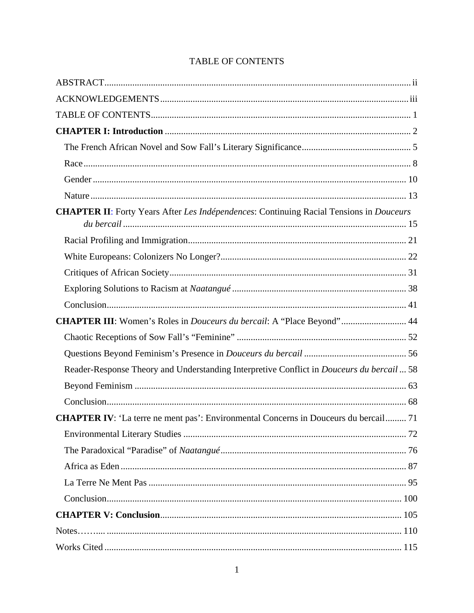<span id="page-4-0"></span>

| <b>CHAPTER II:</b> Forty Years After Les Indépendences: Continuing Racial Tensions in Douceurs |
|------------------------------------------------------------------------------------------------|
|                                                                                                |
|                                                                                                |
|                                                                                                |
|                                                                                                |
|                                                                                                |
|                                                                                                |
| CHAPTER III: Women's Roles in <i>Douceurs du bercail</i> : A "Place Beyond" 44                 |
|                                                                                                |
|                                                                                                |
| Reader-Response Theory and Understanding Interpretive Conflict in Douceurs du bercail  58      |
|                                                                                                |
|                                                                                                |
| <b>CHAPTER IV:</b> 'La terre ne ment pas': Environmental Concerns in Douceurs du bercail 71    |
|                                                                                                |
|                                                                                                |
|                                                                                                |
|                                                                                                |
|                                                                                                |
|                                                                                                |
|                                                                                                |
|                                                                                                |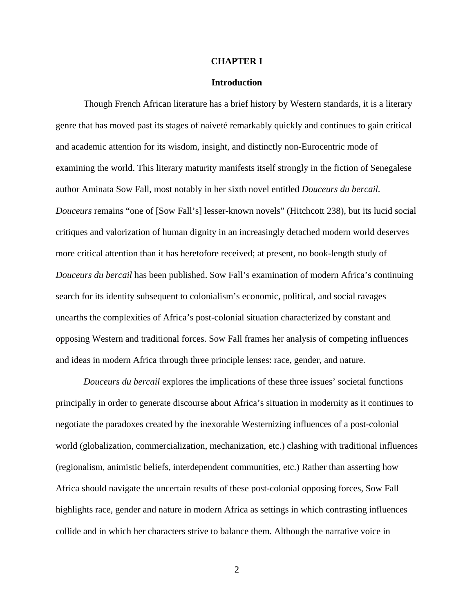#### **CHAPTER I**

#### **Introduction**

<span id="page-5-0"></span>Though French African literature has a brief history by Western standards, it is a literary genre that has moved past its stages of naiveté remarkably quickly and continues to gain critical and academic attention for its wisdom, insight, and distinctly non-Eurocentric mode of examining the world. This literary maturity manifests itself strongly in the fiction of Senegalese author Aminata Sow Fall, most notably in her sixth novel entitled *Douceurs du bercail. Douceurs* remains "one of [Sow Fall's] lesser-known novels" (Hitchcott 238), but its lucid social critiques and valorization of human dignity in an increasingly detached modern world deserves more critical attention than it has heretofore received; at present, no book-length study of *Douceurs du bercail* has been published. Sow Fall's examination of modern Africa's continuing search for its identity subsequent to colonialism's economic, political, and social ravages unearths the complexities of Africa's post-colonial situation characterized by constant and opposing Western and traditional forces. Sow Fall frames her analysis of competing influences and ideas in modern Africa through three principle lenses: race, gender, and nature.

*Douceurs du bercail* explores the implications of these three issues' societal functions principally in order to generate discourse about Africa's situation in modernity as it continues to negotiate the paradoxes created by the inexorable Westernizing influences of a post-colonial world (globalization, commercialization, mechanization, etc.) clashing with traditional influences (regionalism, animistic beliefs, interdependent communities, etc.) Rather than asserting how Africa should navigate the uncertain results of these post-colonial opposing forces, Sow Fall highlights race, gender and nature in modern Africa as settings in which contrasting influences collide and in which her characters strive to balance them. Although the narrative voice in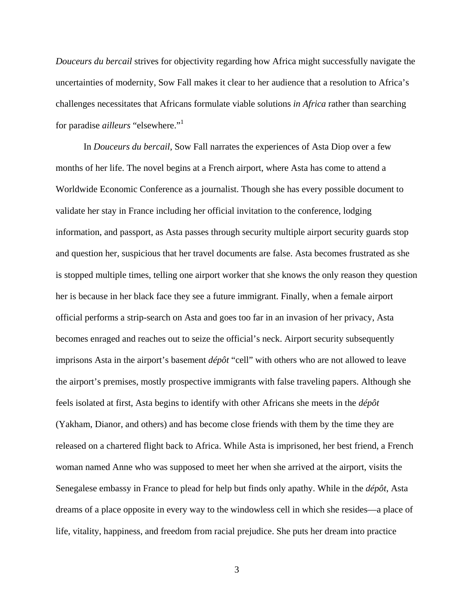*Douceurs du bercail* strives for objectivity regarding how Africa might successfully navigate the uncertainties of modernity, Sow Fall makes it clear to her audience that a resolution to Africa's challenges necessitates that Africans formulate viable solutions *in Africa* rather than searching for paradise *ailleurs* "elsewhere." 1

In *Douceurs du bercail*, Sow Fall narrates the experiences of Asta Diop over a few months of her life. The novel begins at a French airport, where Asta has come to attend a Worldwide Economic Conference as a journalist. Though she has every possible document to validate her stay in France including her official invitation to the conference, lodging information, and passport, as Asta passes through security multiple airport security guards stop and question her, suspicious that her travel documents are false. Asta becomes frustrated as she is stopped multiple times, telling one airport worker that she knows the only reason they question her is because in her black face they see a future immigrant. Finally, when a female airport official performs a strip-search on Asta and goes too far in an invasion of her privacy, Asta becomes enraged and reaches out to seize the official's neck. Airport security subsequently imprisons Asta in the airport's basement *dépôt* "cell" with others who are not allowed to leave the airport's premises, mostly prospective immigrants with false traveling papers. Although she feels isolated at first, Asta begins to identify with other Africans she meets in the *dépôt* (Yakham, Dianor, and others) and has become close friends with them by the time they are released on a chartered flight back to Africa. While Asta is imprisoned, her best friend, a French woman named Anne who was supposed to meet her when she arrived at the airport, visits the Senegalese embassy in France to plead for help but finds only apathy. While in the *dépôt*, Asta dreams of a place opposite in every way to the windowless cell in which she resides—a place of life, vitality, happiness, and freedom from racial prejudice. She puts her dream into practice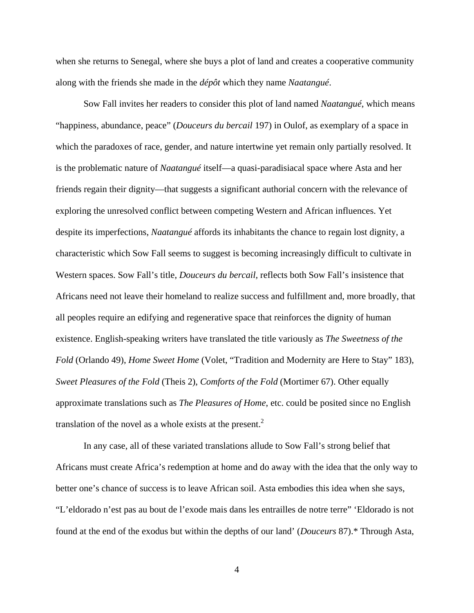when she returns to Senegal, where she buys a plot of land and creates a cooperative community along with the friends she made in the *dépôt* which they name *Naatangué*.

Sow Fall invites her readers to consider this plot of land named *Naatangué*, which means "happiness, abundance, peace" (*Douceurs du bercail* 197) in Oulof, as exemplary of a space in which the paradoxes of race, gender, and nature intertwine yet remain only partially resolved. It is the problematic nature of *Naatangué* itself—a quasi-paradisiacal space where Asta and her friends regain their dignity—that suggests a significant authorial concern with the relevance of exploring the unresolved conflict between competing Western and African influences. Yet despite its imperfections, *Naatangué* affords its inhabitants the chance to regain lost dignity, a characteristic which Sow Fall seems to suggest is becoming increasingly difficult to cultivate in Western spaces. Sow Fall's title, *Douceurs du bercail,* reflects both Sow Fall's insistence that Africans need not leave their homeland to realize success and fulfillment and, more broadly, that all peoples require an edifying and regenerative space that reinforces the dignity of human existence. English-speaking writers have translated the title variously as *The Sweetness of the Fold* (Orlando 49), *Home Sweet Home* (Volet, "Tradition and Modernity are Here to Stay" 183), *Sweet Pleasures of the Fold* (Theis 2), *Comforts of the Fold* (Mortimer 67). Other equally approximate translations such as *The Pleasures of Home*, etc. could be posited since no English translation of the novel as a whole exists at the present.<sup>2</sup>

In any case, all of these variated translations allude to Sow Fall's strong belief that Africans must create Africa's redemption at home and do away with the idea that the only way to better one's chance of success is to leave African soil. Asta embodies this idea when she says, "L'eldorado n'est pas au bout de l'exode mais dans les entrailles de notre terre" 'Eldorado is not found at the end of the exodus but within the depths of our land' (*Douceurs* 87).\* Through Asta,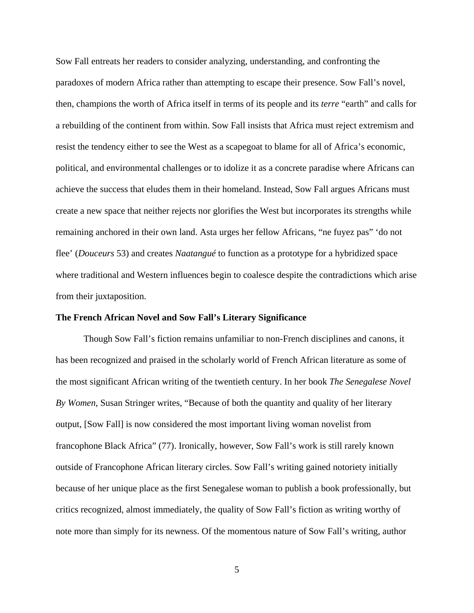Sow Fall entreats her readers to consider analyzing, understanding, and confronting the paradoxes of modern Africa rather than attempting to escape their presence. Sow Fall's novel, then, champions the worth of Africa itself in terms of its people and its *terre* "earth" and calls for a rebuilding of the continent from within. Sow Fall insists that Africa must reject extremism and resist the tendency either to see the West as a scapegoat to blame for all of Africa's economic, political, and environmental challenges or to idolize it as a concrete paradise where Africans can achieve the success that eludes them in their homeland. Instead, Sow Fall argues Africans must create a new space that neither rejects nor glorifies the West but incorporates its strengths while remaining anchored in their own land. Asta urges her fellow Africans, "ne fuyez pas" 'do not flee' (*Douceurs* 53) and creates *Naatangué* to function as a prototype for a hybridized space where traditional and Western influences begin to coalesce despite the contradictions which arise from their juxtaposition.

#### <span id="page-8-0"></span>**The French African Novel and Sow Fall's Literary Significance**

Though Sow Fall's fiction remains unfamiliar to non-French disciplines and canons, it has been recognized and praised in the scholarly world of French African literature as some of the most significant African writing of the twentieth century. In her book *The Senegalese Novel By Women*, Susan Stringer writes, "Because of both the quantity and quality of her literary output, [Sow Fall] is now considered the most important living woman novelist from francophone Black Africa" (77). Ironically, however, Sow Fall's work is still rarely known outside of Francophone African literary circles. Sow Fall's writing gained notoriety initially because of her unique place as the first Senegalese woman to publish a book professionally, but critics recognized, almost immediately, the quality of Sow Fall's fiction as writing worthy of note more than simply for its newness. Of the momentous nature of Sow Fall's writing, author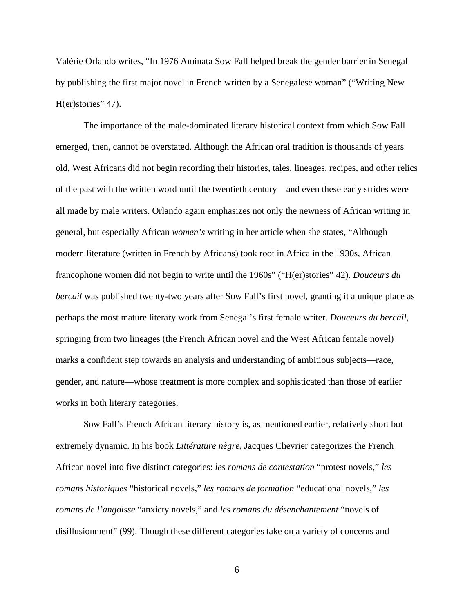Valérie Orlando writes, "In 1976 Aminata Sow Fall helped break the gender barrier in Senegal by publishing the first major novel in French written by a Senegalese woman" ("Writing New H(er)stories" 47).

The importance of the male-dominated literary historical context from which Sow Fall emerged, then, cannot be overstated. Although the African oral tradition is thousands of years old, West Africans did not begin recording their histories, tales, lineages, recipes, and other relics of the past with the written word until the twentieth century—and even these early strides were all made by male writers. Orlando again emphasizes not only the newness of African writing in general, but especially African *women's* writing in her article when she states, "Although modern literature (written in French by Africans) took root in Africa in the 1930s, African francophone women did not begin to write until the 1960s" ("H(er)stories" 42). *Douceurs du bercail* was published twenty-two years after Sow Fall's first novel, granting it a unique place as perhaps the most mature literary work from Senegal's first female writer. *Douceurs du bercail*, springing from two lineages (the French African novel and the West African female novel) marks a confident step towards an analysis and understanding of ambitious subjects—race, gender, and nature—whose treatment is more complex and sophisticated than those of earlier works in both literary categories.

Sow Fall's French African literary history is, as mentioned earlier, relatively short but extremely dynamic. In his book *Littérature nègre,* Jacques Chevrier categorizes the French African novel into five distinct categories: *les romans de contestation* "protest novels," *les romans historiques* "historical novels," *les romans de formation* "educational novels," *les romans de l'angoisse* "anxiety novels*,*" and *les romans du désenchantement* "novels of disillusionment" (99). Though these different categories take on a variety of concerns and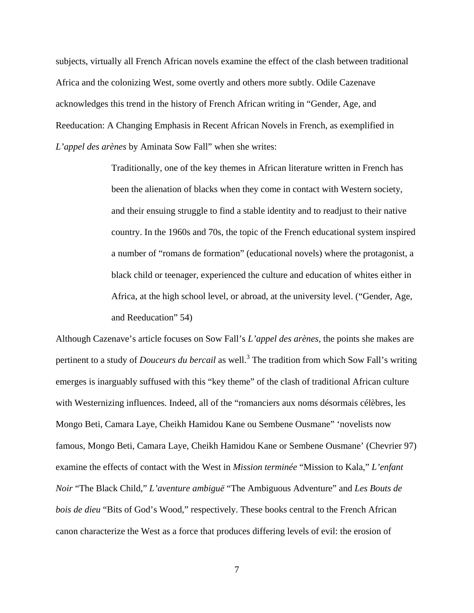subjects, virtually all French African novels examine the effect of the clash between traditional Africa and the colonizing West, some overtly and others more subtly. Odile Cazenave acknowledges this trend in the history of French African writing in "Gender, Age, and Reeducation: A Changing Emphasis in Recent African Novels in French, as exemplified in *L'appel des arènes* by Aminata Sow Fall" when she writes:

> Traditionally, one of the key themes in African literature written in French has been the alienation of blacks when they come in contact with Western society, and their ensuing struggle to find a stable identity and to readjust to their native country. In the 1960s and 70s, the topic of the French educational system inspired a number of "romans de formation" (educational novels) where the protagonist, a black child or teenager, experienced the culture and education of whites either in Africa, at the high school level, or abroad, at the university level. ("Gender, Age, and Reeducation" 54)

Although Cazenave's article focuses on Sow Fall's *L'appel des arènes,* the points she makes are pertinent to a study of *Douceurs du bercail* as well.3 The tradition from which Sow Fall's writing emerges is inarguably suffused with this "key theme" of the clash of traditional African culture with Westernizing influences. Indeed, all of the "romanciers aux noms désormais célèbres, les Mongo Beti, Camara Laye, Cheikh Hamidou Kane ou Sembene Ousmane" 'novelists now famous, Mongo Beti, Camara Laye, Cheikh Hamidou Kane or Sembene Ousmane' (Chevrier 97) examine the effects of contact with the West in *Mission terminée* "Mission to Kala," *L'enfant Noir* "The Black Child," *L'aventure ambiguë* "The Ambiguous Adventure" and *Les Bouts de bois de dieu* "Bits of God's Wood," respectively. These books central to the French African canon characterize the West as a force that produces differing levels of evil: the erosion of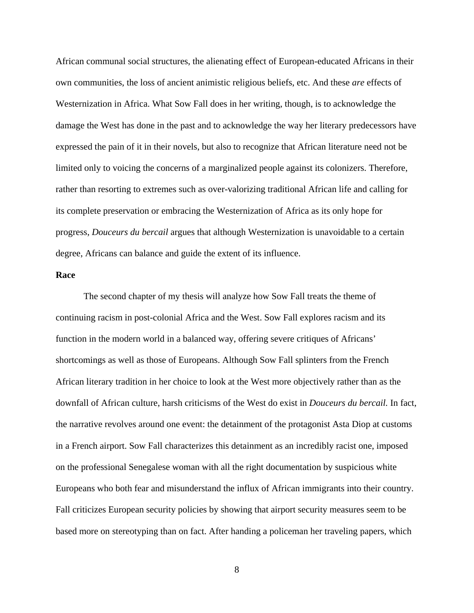African communal social structures, the alienating effect of European-educated Africans in their own communities, the loss of ancient animistic religious beliefs, etc. And these *are* effects of Westernization in Africa. What Sow Fall does in her writing, though, is to acknowledge the damage the West has done in the past and to acknowledge the way her literary predecessors have expressed the pain of it in their novels, but also to recognize that African literature need not be limited only to voicing the concerns of a marginalized people against its colonizers. Therefore, rather than resorting to extremes such as over-valorizing traditional African life and calling for its complete preservation or embracing the Westernization of Africa as its only hope for progress, *Douceurs du bercail* argues that although Westernization is unavoidable to a certain degree, Africans can balance and guide the extent of its influence.

## <span id="page-11-0"></span>**Race**

The second chapter of my thesis will analyze how Sow Fall treats the theme of continuing racism in post-colonial Africa and the West. Sow Fall explores racism and its function in the modern world in a balanced way, offering severe critiques of Africans' shortcomings as well as those of Europeans. Although Sow Fall splinters from the French African literary tradition in her choice to look at the West more objectively rather than as the downfall of African culture, harsh criticisms of the West do exist in *Douceurs du bercail.* In fact, the narrative revolves around one event: the detainment of the protagonist Asta Diop at customs in a French airport. Sow Fall characterizes this detainment as an incredibly racist one, imposed on the professional Senegalese woman with all the right documentation by suspicious white Europeans who both fear and misunderstand the influx of African immigrants into their country. Fall criticizes European security policies by showing that airport security measures seem to be based more on stereotyping than on fact. After handing a policeman her traveling papers, which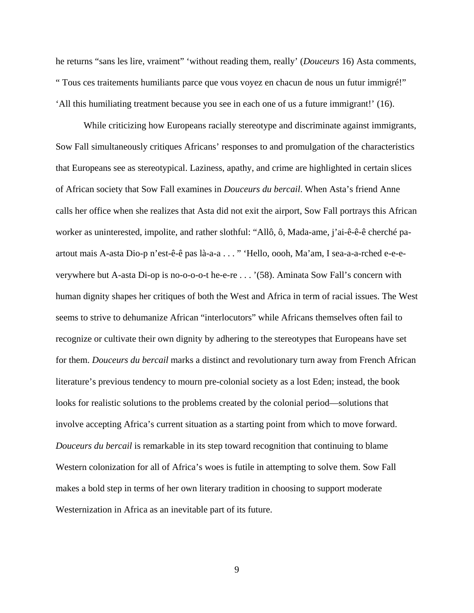he returns "sans les lire, vraiment" 'without reading them, really' (*Douceurs* 16) Asta comments, " Tous ces traitements humiliants parce que vous voyez en chacun de nous un futur immigré!" 'All this humiliating treatment because you see in each one of us a future immigrant!' (16).

While criticizing how Europeans racially stereotype and discriminate against immigrants, Sow Fall simultaneously critiques Africans' responses to and promulgation of the characteristics that Europeans see as stereotypical. Laziness, apathy, and crime are highlighted in certain slices of African society that Sow Fall examines in *Douceurs du bercail*. When Asta's friend Anne calls her office when she realizes that Asta did not exit the airport, Sow Fall portrays this African worker as uninterested, impolite, and rather slothful: "Allô, ô, Mada-ame, j'ai-ê-ê-ê cherché paartout mais A-asta Dio-p n'est-ê-ê pas là-a-a . . . " 'Hello, oooh, Ma'am, I sea-a-a-rched e-e-everywhere but A-asta Di-op is no-o-o-o-t he-e-re . . . '(58). Aminata Sow Fall's concern with human dignity shapes her critiques of both the West and Africa in term of racial issues. The West seems to strive to dehumanize African "interlocutors" while Africans themselves often fail to recognize or cultivate their own dignity by adhering to the stereotypes that Europeans have set for them. *Douceurs du bercail* marks a distinct and revolutionary turn away from French African literature's previous tendency to mourn pre-colonial society as a lost Eden; instead, the book looks for realistic solutions to the problems created by the colonial period—solutions that involve accepting Africa's current situation as a starting point from which to move forward. *Douceurs du bercail* is remarkable in its step toward recognition that continuing to blame Western colonization for all of Africa's woes is futile in attempting to solve them. Sow Fall makes a bold step in terms of her own literary tradition in choosing to support moderate Westernization in Africa as an inevitable part of its future.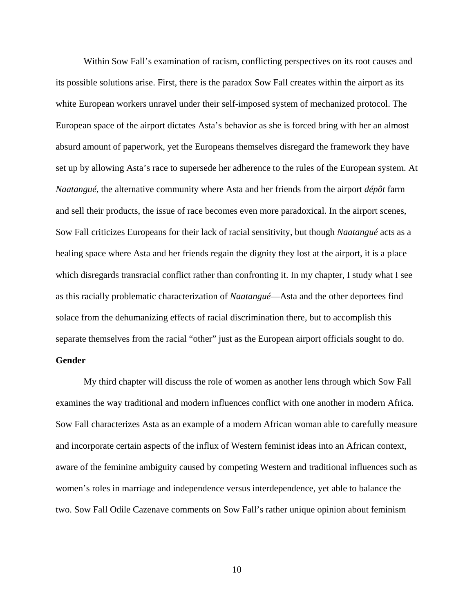Within Sow Fall's examination of racism, conflicting perspectives on its root causes and its possible solutions arise. First, there is the paradox Sow Fall creates within the airport as its white European workers unravel under their self-imposed system of mechanized protocol. The European space of the airport dictates Asta's behavior as she is forced bring with her an almost absurd amount of paperwork, yet the Europeans themselves disregard the framework they have set up by allowing Asta's race to supersede her adherence to the rules of the European system. At *Naatangué*, the alternative community where Asta and her friends from the airport *dépôt* farm and sell their products, the issue of race becomes even more paradoxical. In the airport scenes, Sow Fall criticizes Europeans for their lack of racial sensitivity, but though *Naatangué* acts as a healing space where Asta and her friends regain the dignity they lost at the airport, it is a place which disregards transracial conflict rather than confronting it. In my chapter, I study what I see as this racially problematic characterization of *Naatangué*—Asta and the other deportees find solace from the dehumanizing effects of racial discrimination there, but to accomplish this separate themselves from the racial "other" just as the European airport officials sought to do.

## <span id="page-13-0"></span>**Gender**

My third chapter will discuss the role of women as another lens through which Sow Fall examines the way traditional and modern influences conflict with one another in modern Africa. Sow Fall characterizes Asta as an example of a modern African woman able to carefully measure and incorporate certain aspects of the influx of Western feminist ideas into an African context, aware of the feminine ambiguity caused by competing Western and traditional influences such as women's roles in marriage and independence versus interdependence, yet able to balance the two. Sow Fall Odile Cazenave comments on Sow Fall's rather unique opinion about feminism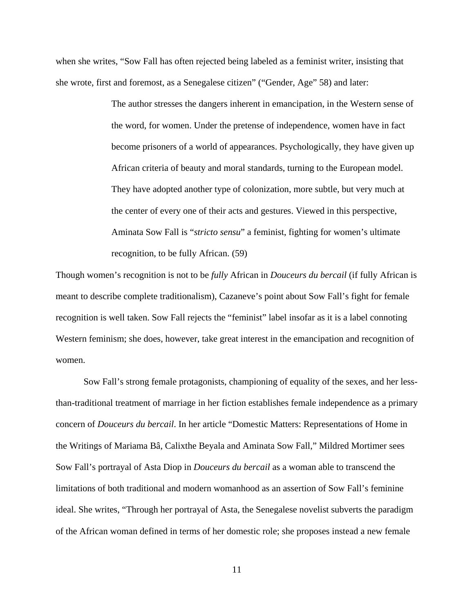when she writes, "Sow Fall has often rejected being labeled as a feminist writer, insisting that she wrote, first and foremost, as a Senegalese citizen" ("Gender, Age" 58) and later:

> The author stresses the dangers inherent in emancipation, in the Western sense of the word, for women. Under the pretense of independence, women have in fact become prisoners of a world of appearances. Psychologically, they have given up African criteria of beauty and moral standards, turning to the European model. They have adopted another type of colonization, more subtle, but very much at the center of every one of their acts and gestures. Viewed in this perspective, Aminata Sow Fall is "*stricto sensu*" a feminist, fighting for women's ultimate recognition, to be fully African. (59)

Though women's recognition is not to be *fully* African in *Douceurs du bercail* (if fully African is meant to describe complete traditionalism), Cazaneve's point about Sow Fall's fight for female recognition is well taken. Sow Fall rejects the "feminist" label insofar as it is a label connoting Western feminism; she does, however, take great interest in the emancipation and recognition of women.

Sow Fall's strong female protagonists, championing of equality of the sexes, and her lessthan-traditional treatment of marriage in her fiction establishes female independence as a primary concern of *Douceurs du bercail*. In her article "Domestic Matters: Representations of Home in the Writings of Mariama Bâ, Calixthe Beyala and Aminata Sow Fall," Mildred Mortimer sees Sow Fall's portrayal of Asta Diop in *Douceurs du bercail* as a woman able to transcend the limitations of both traditional and modern womanhood as an assertion of Sow Fall's feminine ideal. She writes, "Through her portrayal of Asta, the Senegalese novelist subverts the paradigm of the African woman defined in terms of her domestic role; she proposes instead a new female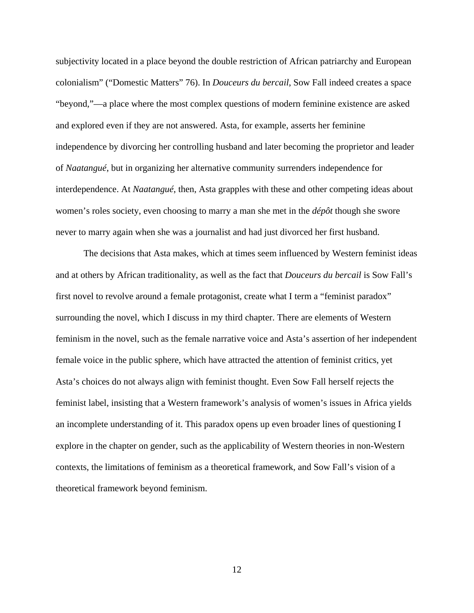subjectivity located in a place beyond the double restriction of African patriarchy and European colonialism" ("Domestic Matters" 76). In *Douceurs du bercail*, Sow Fall indeed creates a space "beyond,"—a place where the most complex questions of modern feminine existence are asked and explored even if they are not answered. Asta, for example, asserts her feminine independence by divorcing her controlling husband and later becoming the proprietor and leader of *Naatangué*, but in organizing her alternative community surrenders independence for interdependence. At *Naatangué*, then, Asta grapples with these and other competing ideas about women's roles society, even choosing to marry a man she met in the *dépôt* though she swore never to marry again when she was a journalist and had just divorced her first husband.

The decisions that Asta makes, which at times seem influenced by Western feminist ideas and at others by African traditionality, as well as the fact that *Douceurs du bercail* is Sow Fall's first novel to revolve around a female protagonist, create what I term a "feminist paradox" surrounding the novel, which I discuss in my third chapter. There are elements of Western feminism in the novel, such as the female narrative voice and Asta's assertion of her independent female voice in the public sphere, which have attracted the attention of feminist critics, yet Asta's choices do not always align with feminist thought. Even Sow Fall herself rejects the feminist label, insisting that a Western framework's analysis of women's issues in Africa yields an incomplete understanding of it. This paradox opens up even broader lines of questioning I explore in the chapter on gender, such as the applicability of Western theories in non-Western contexts, the limitations of feminism as a theoretical framework, and Sow Fall's vision of a theoretical framework beyond feminism.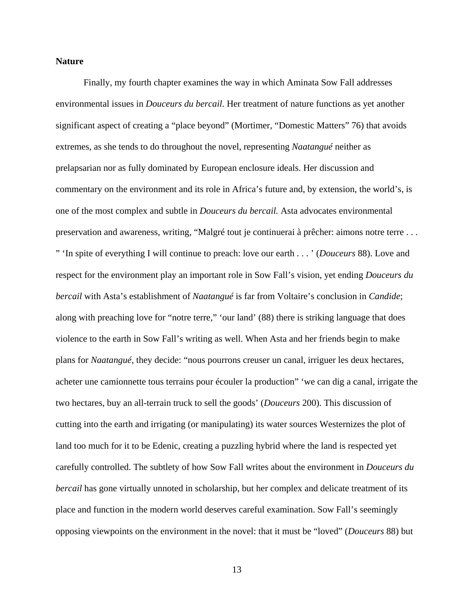#### <span id="page-16-0"></span>**Nature**

Finally, my fourth chapter examines the way in which Aminata Sow Fall addresses environmental issues in *Douceurs du bercail*. Her treatment of nature functions as yet another significant aspect of creating a "place beyond" (Mortimer, "Domestic Matters" 76) that avoids extremes, as she tends to do throughout the novel, representing *Naatangué* neither as prelapsarian nor as fully dominated by European enclosure ideals. Her discussion and commentary on the environment and its role in Africa's future and, by extension, the world's, is one of the most complex and subtle in *Douceurs du bercail.* Asta advocates environmental preservation and awareness, writing, "Malgré tout je continuerai à prêcher: aimons notre terre . . . " 'In spite of everything I will continue to preach: love our earth . . . ' (*Douceurs* 88). Love and respect for the environment play an important role in Sow Fall's vision, yet ending *Douceurs du bercail* with Asta's establishment of *Naatangué* is far from Voltaire's conclusion in *Candide*; along with preaching love for "notre terre," 'our land' (88) there is striking language that does violence to the earth in Sow Fall's writing as well. When Asta and her friends begin to make plans for *Naatangué*, they decide: "nous pourrons creuser un canal, irriguer les deux hectares, acheter une camionnette tous terrains pour écouler la production" 'we can dig a canal, irrigate the two hectares, buy an all-terrain truck to sell the goods' (*Douceurs* 200). This discussion of cutting into the earth and irrigating (or manipulating) its water sources Westernizes the plot of land too much for it to be Edenic, creating a puzzling hybrid where the land is respected yet carefully controlled. The subtlety of how Sow Fall writes about the environment in *Douceurs du bercail* has gone virtually unnoted in scholarship, but her complex and delicate treatment of its place and function in the modern world deserves careful examination. Sow Fall's seemingly opposing viewpoints on the environment in the novel: that it must be "loved" (*Douceurs* 88) but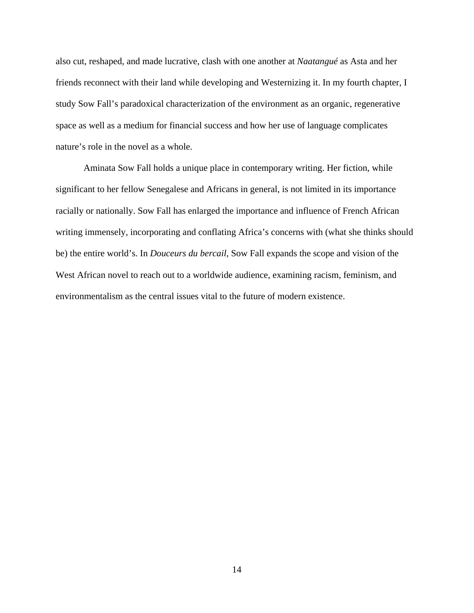also cut, reshaped, and made lucrative, clash with one another at *Naatangué* as Asta and her friends reconnect with their land while developing and Westernizing it. In my fourth chapter, I study Sow Fall's paradoxical characterization of the environment as an organic, regenerative space as well as a medium for financial success and how her use of language complicates nature's role in the novel as a whole.

Aminata Sow Fall holds a unique place in contemporary writing. Her fiction, while significant to her fellow Senegalese and Africans in general, is not limited in its importance racially or nationally. Sow Fall has enlarged the importance and influence of French African writing immensely, incorporating and conflating Africa's concerns with (what she thinks should be) the entire world's. In *Douceurs du bercail*, Sow Fall expands the scope and vision of the West African novel to reach out to a worldwide audience, examining racism, feminism, and environmentalism as the central issues vital to the future of modern existence.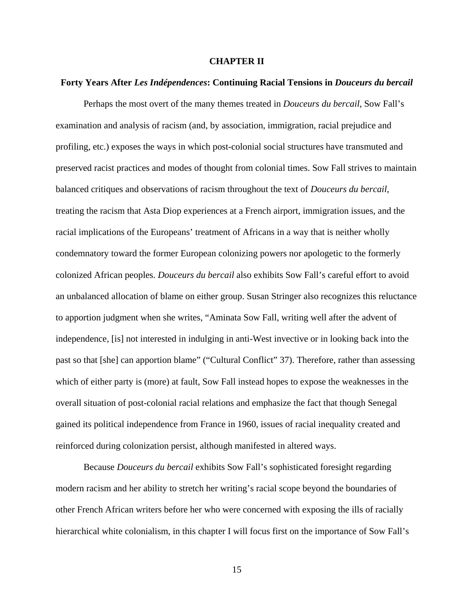#### **CHAPTER II**

#### <span id="page-18-1"></span><span id="page-18-0"></span>**Forty Years After** *Les Indépendences***: Continuing Racial Tensions in** *Douceurs du bercail*

Perhaps the most overt of the many themes treated in *Douceurs du bercail*, Sow Fall's examination and analysis of racism (and, by association, immigration, racial prejudice and profiling, etc.) exposes the ways in which post-colonial social structures have transmuted and preserved racist practices and modes of thought from colonial times. Sow Fall strives to maintain balanced critiques and observations of racism throughout the text of *Douceurs du bercail*, treating the racism that Asta Diop experiences at a French airport, immigration issues, and the racial implications of the Europeans' treatment of Africans in a way that is neither wholly condemnatory toward the former European colonizing powers nor apologetic to the formerly colonized African peoples. *Douceurs du bercail* also exhibits Sow Fall's careful effort to avoid an unbalanced allocation of blame on either group. Susan Stringer also recognizes this reluctance to apportion judgment when she writes, "Aminata Sow Fall, writing well after the advent of independence, [is] not interested in indulging in anti-West invective or in looking back into the past so that [she] can apportion blame" ("Cultural Conflict" 37). Therefore, rather than assessing which of either party is (more) at fault, Sow Fall instead hopes to expose the weaknesses in the overall situation of post-colonial racial relations and emphasize the fact that though Senegal gained its political independence from France in 1960, issues of racial inequality created and reinforced during colonization persist, although manifested in altered ways.

Because *Douceurs du bercail* exhibits Sow Fall's sophisticated foresight regarding modern racism and her ability to stretch her writing's racial scope beyond the boundaries of other French African writers before her who were concerned with exposing the ills of racially hierarchical white colonialism, in this chapter I will focus first on the importance of Sow Fall's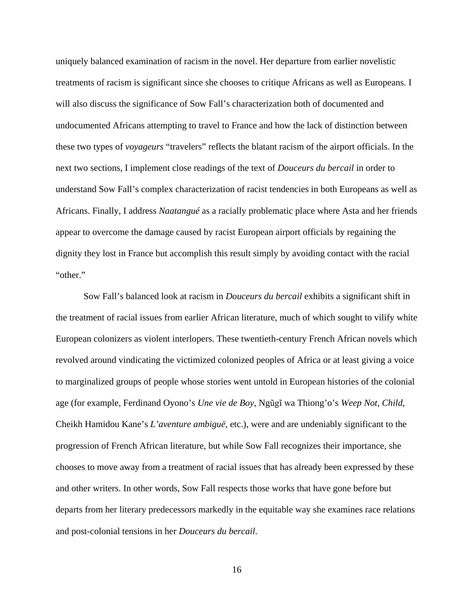uniquely balanced examination of racism in the novel. Her departure from earlier novelistic treatments of racism is significant since she chooses to critique Africans as well as Europeans. I will also discuss the significance of Sow Fall's characterization both of documented and undocumented Africans attempting to travel to France and how the lack of distinction between these two types of *voyageurs* "travelers" reflects the blatant racism of the airport officials. In the next two sections, I implement close readings of the text of *Douceurs du bercail* in order to understand Sow Fall's complex characterization of racist tendencies in both Europeans as well as Africans. Finally, I address *Naatangué* as a racially problematic place where Asta and her friends appear to overcome the damage caused by racist European airport officials by regaining the dignity they lost in France but accomplish this result simply by avoiding contact with the racial "other."

Sow Fall's balanced look at racism in *Douceurs du bercail* exhibits a significant shift in the treatment of racial issues from earlier African literature, much of which sought to vilify white European colonizers as violent interlopers. These twentieth-century French African novels which revolved around vindicating the victimized colonized peoples of Africa or at least giving a voice to marginalized groups of people whose stories went untold in European histories of the colonial age (for example, Ferdinand Oyono's *Une vie de Boy*, Ngũgĩ wa Thiong'o's *Weep Not, Child*, Cheikh Hamidou Kane's *L'aventure ambiguë*, etc.), were and are undeniably significant to the progression of French African literature, but while Sow Fall recognizes their importance, she chooses to move away from a treatment of racial issues that has already been expressed by these and other writers. In other words, Sow Fall respects those works that have gone before but departs from her literary predecessors markedly in the equitable way she examines race relations and post-colonial tensions in her *Douceurs du bercail*.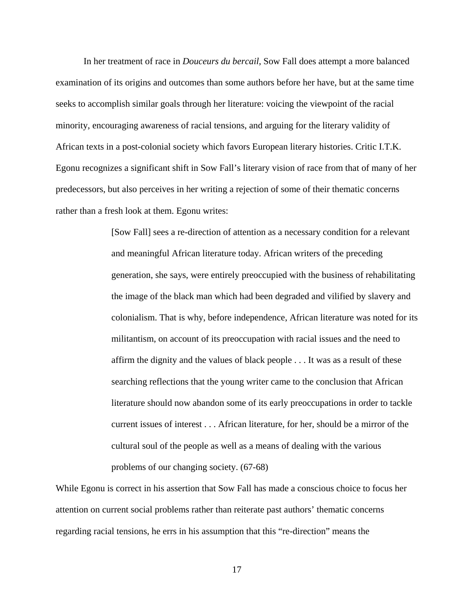In her treatment of race in *Douceurs du bercail*, Sow Fall does attempt a more balanced examination of its origins and outcomes than some authors before her have, but at the same time seeks to accomplish similar goals through her literature: voicing the viewpoint of the racial minority, encouraging awareness of racial tensions, and arguing for the literary validity of African texts in a post-colonial society which favors European literary histories. Critic I.T.K. Egonu recognizes a significant shift in Sow Fall's literary vision of race from that of many of her predecessors, but also perceives in her writing a rejection of some of their thematic concerns rather than a fresh look at them. Egonu writes:

> [Sow Fall] sees a re-direction of attention as a necessary condition for a relevant and meaningful African literature today. African writers of the preceding generation, she says, were entirely preoccupied with the business of rehabilitating the image of the black man which had been degraded and vilified by slavery and colonialism. That is why, before independence, African literature was noted for its militantism, on account of its preoccupation with racial issues and the need to affirm the dignity and the values of black people . . . It was as a result of these searching reflections that the young writer came to the conclusion that African literature should now abandon some of its early preoccupations in order to tackle current issues of interest . . . African literature, for her, should be a mirror of the cultural soul of the people as well as a means of dealing with the various problems of our changing society. (67-68)

While Egonu is correct in his assertion that Sow Fall has made a conscious choice to focus her attention on current social problems rather than reiterate past authors' thematic concerns regarding racial tensions, he errs in his assumption that this "re-direction" means the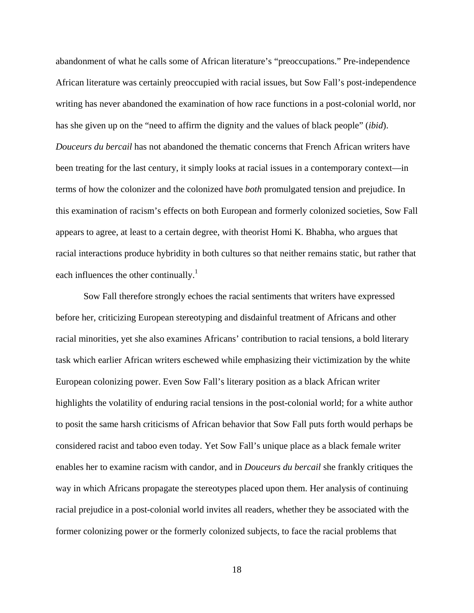abandonment of what he calls some of African literature's "preoccupations." Pre-independence African literature was certainly preoccupied with racial issues, but Sow Fall's post-independence writing has never abandoned the examination of how race functions in a post-colonial world, nor has she given up on the "need to affirm the dignity and the values of black people" (*ibid*). *Douceurs du bercail* has not abandoned the thematic concerns that French African writers have been treating for the last century, it simply looks at racial issues in a contemporary context—in terms of how the colonizer and the colonized have *both* promulgated tension and prejudice. In this examination of racism's effects on both European and formerly colonized societies, Sow Fall appears to agree, at least to a certain degree, with theorist Homi K. Bhabha, who argues that racial interactions produce hybridity in both cultures so that neither remains static, but rather that each influences the other continually.<sup>1</sup>

Sow Fall therefore strongly echoes the racial sentiments that writers have expressed before her, criticizing European stereotyping and disdainful treatment of Africans and other racial minorities, yet she also examines Africans' contribution to racial tensions, a bold literary task which earlier African writers eschewed while emphasizing their victimization by the white European colonizing power. Even Sow Fall's literary position as a black African writer highlights the volatility of enduring racial tensions in the post-colonial world; for a white author to posit the same harsh criticisms of African behavior that Sow Fall puts forth would perhaps be considered racist and taboo even today. Yet Sow Fall's unique place as a black female writer enables her to examine racism with candor, and in *Douceurs du bercail* she frankly critiques the way in which Africans propagate the stereotypes placed upon them. Her analysis of continuing racial prejudice in a post-colonial world invites all readers, whether they be associated with the former colonizing power or the formerly colonized subjects, to face the racial problems that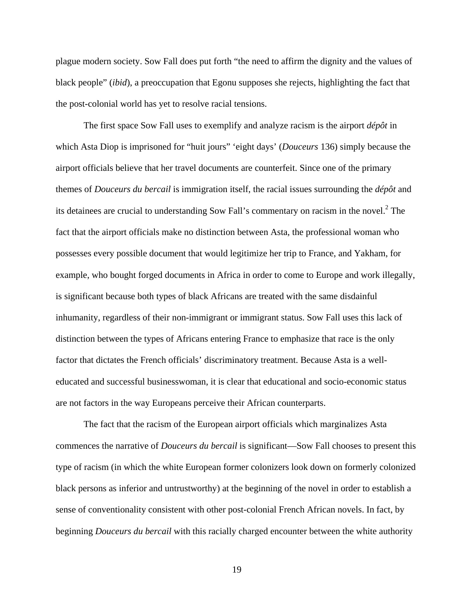plague modern society. Sow Fall does put forth "the need to affirm the dignity and the values of black people" (*ibid*), a preoccupation that Egonu supposes she rejects, highlighting the fact that the post-colonial world has yet to resolve racial tensions.

The first space Sow Fall uses to exemplify and analyze racism is the airport *dépôt* in which Asta Diop is imprisoned for "huit jours" 'eight days' (*Douceurs* 136) simply because the airport officials believe that her travel documents are counterfeit. Since one of the primary themes of *Douceurs du bercail* is immigration itself, the racial issues surrounding the *dépôt* and its detainees are crucial to understanding Sow Fall's commentary on racism in the novel.<sup>2</sup> The fact that the airport officials make no distinction between Asta, the professional woman who possesses every possible document that would legitimize her trip to France, and Yakham, for example, who bought forged documents in Africa in order to come to Europe and work illegally, is significant because both types of black Africans are treated with the same disdainful inhumanity, regardless of their non-immigrant or immigrant status. Sow Fall uses this lack of distinction between the types of Africans entering France to emphasize that race is the only factor that dictates the French officials' discriminatory treatment. Because Asta is a welleducated and successful businesswoman, it is clear that educational and socio-economic status are not factors in the way Europeans perceive their African counterparts.

The fact that the racism of the European airport officials which marginalizes Asta commences the narrative of *Douceurs du bercail* is significant—Sow Fall chooses to present this type of racism (in which the white European former colonizers look down on formerly colonized black persons as inferior and untrustworthy) at the beginning of the novel in order to establish a sense of conventionality consistent with other post-colonial French African novels. In fact, by beginning *Douceurs du bercail* with this racially charged encounter between the white authority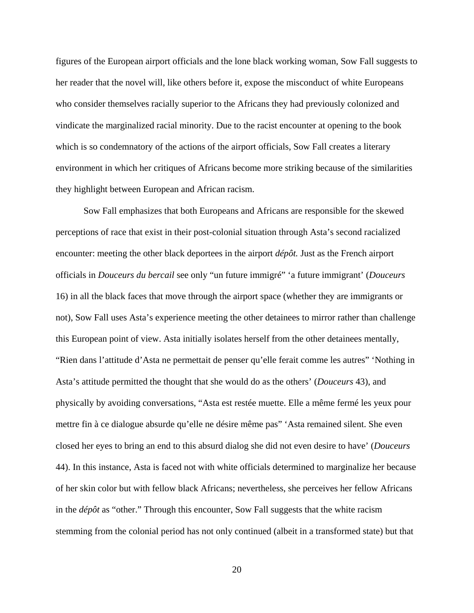figures of the European airport officials and the lone black working woman, Sow Fall suggests to her reader that the novel will, like others before it, expose the misconduct of white Europeans who consider themselves racially superior to the Africans they had previously colonized and vindicate the marginalized racial minority. Due to the racist encounter at opening to the book which is so condemnatory of the actions of the airport officials, Sow Fall creates a literary environment in which her critiques of Africans become more striking because of the similarities they highlight between European and African racism.

Sow Fall emphasizes that both Europeans and Africans are responsible for the skewed perceptions of race that exist in their post-colonial situation through Asta's second racialized encounter: meeting the other black deportees in the airport *dépôt.* Just as the French airport officials in *Douceurs du bercail* see only "un future immigré" 'a future immigrant' (*Douceurs*  16) in all the black faces that move through the airport space (whether they are immigrants or not), Sow Fall uses Asta's experience meeting the other detainees to mirror rather than challenge this European point of view. Asta initially isolates herself from the other detainees mentally, "Rien dans l'attitude d'Asta ne permettait de penser qu'elle ferait comme les autres" 'Nothing in Asta's attitude permitted the thought that she would do as the others' (*Douceurs* 43), and physically by avoiding conversations, "Asta est restée muette. Elle a même fermé les yeux pour mettre fin à ce dialogue absurde qu'elle ne désire même pas" 'Asta remained silent. She even closed her eyes to bring an end to this absurd dialog she did not even desire to have' (*Douceurs* 44). In this instance, Asta is faced not with white officials determined to marginalize her because of her skin color but with fellow black Africans; nevertheless, she perceives her fellow Africans in the *dépôt* as "other." Through this encounter, Sow Fall suggests that the white racism stemming from the colonial period has not only continued (albeit in a transformed state) but that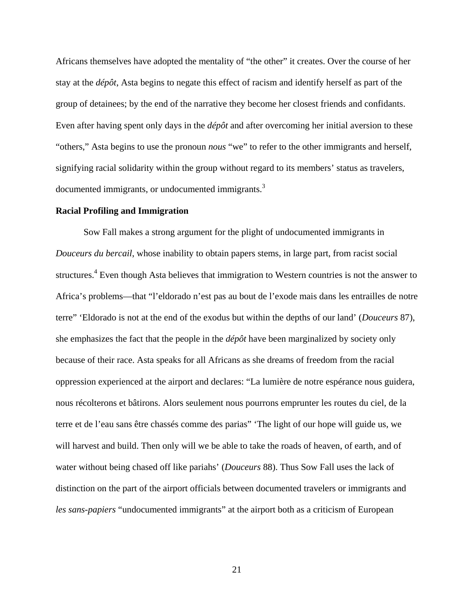Africans themselves have adopted the mentality of "the other" it creates. Over the course of her stay at the *dépôt*, Asta begins to negate this effect of racism and identify herself as part of the group of detainees; by the end of the narrative they become her closest friends and confidants. Even after having spent only days in the *dépôt* and after overcoming her initial aversion to these "others," Asta begins to use the pronoun *nous* "we" to refer to the other immigrants and herself, signifying racial solidarity within the group without regard to its members' status as travelers, documented immigrants, or undocumented immigrants.<sup>3</sup>

#### <span id="page-24-0"></span>**Racial Profiling and Immigration**

Sow Fall makes a strong argument for the plight of undocumented immigrants in *Douceurs du bercail*, whose inability to obtain papers stems, in large part, from racist social structures.<sup>4</sup> Even though Asta believes that immigration to Western countries is not the answer to Africa's problems—that "l'eldorado n'est pas au bout de l'exode mais dans les entrailles de notre terre" 'Eldorado is not at the end of the exodus but within the depths of our land' (*Douceurs* 87), she emphasizes the fact that the people in the *dépôt* have been marginalized by society only because of their race. Asta speaks for all Africans as she dreams of freedom from the racial oppression experienced at the airport and declares: "La lumière de notre espérance nous guidera, nous récolterons et bâtirons. Alors seulement nous pourrons emprunter les routes du ciel, de la terre et de l'eau sans être chassés comme des parias" 'The light of our hope will guide us, we will harvest and build. Then only will we be able to take the roads of heaven, of earth, and of water without being chased off like pariahs' (*Douceurs* 88). Thus Sow Fall uses the lack of distinction on the part of the airport officials between documented travelers or immigrants and *les sans-papiers* "undocumented immigrants" at the airport both as a criticism of European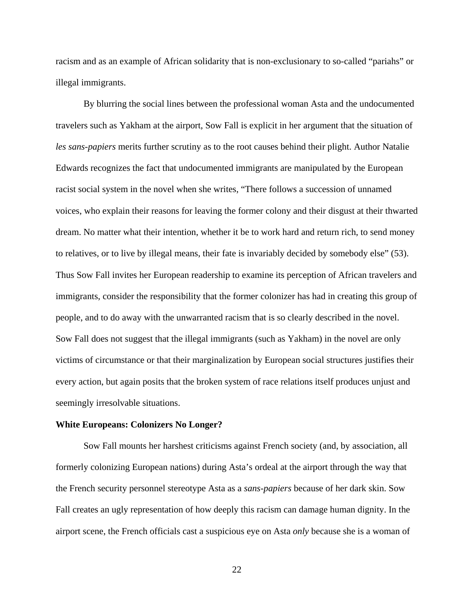racism and as an example of African solidarity that is non-exclusionary to so-called "pariahs" or illegal immigrants.

By blurring the social lines between the professional woman Asta and the undocumented travelers such as Yakham at the airport, Sow Fall is explicit in her argument that the situation of *les sans-papiers* merits further scrutiny as to the root causes behind their plight. Author Natalie Edwards recognizes the fact that undocumented immigrants are manipulated by the European racist social system in the novel when she writes, "There follows a succession of unnamed voices, who explain their reasons for leaving the former colony and their disgust at their thwarted dream. No matter what their intention, whether it be to work hard and return rich, to send money to relatives, or to live by illegal means, their fate is invariably decided by somebody else" (53). Thus Sow Fall invites her European readership to examine its perception of African travelers and immigrants, consider the responsibility that the former colonizer has had in creating this group of people, and to do away with the unwarranted racism that is so clearly described in the novel. Sow Fall does not suggest that the illegal immigrants (such as Yakham) in the novel are only victims of circumstance or that their marginalization by European social structures justifies their every action, but again posits that the broken system of race relations itself produces unjust and seemingly irresolvable situations.

#### <span id="page-25-0"></span>**White Europeans: Colonizers No Longer?**

Sow Fall mounts her harshest criticisms against French society (and, by association, all formerly colonizing European nations) during Asta's ordeal at the airport through the way that the French security personnel stereotype Asta as a *sans-papiers* because of her dark skin. Sow Fall creates an ugly representation of how deeply this racism can damage human dignity. In the airport scene, the French officials cast a suspicious eye on Asta *only* because she is a woman of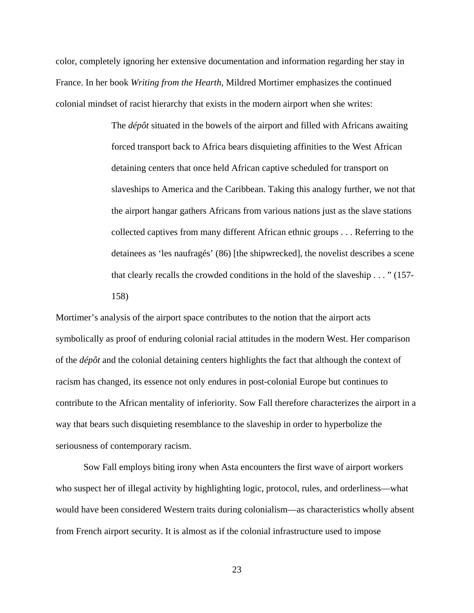color, completely ignoring her extensive documentation and information regarding her stay in France. In her book *Writing from the Hearth*, Mildred Mortimer emphasizes the continued colonial mindset of racist hierarchy that exists in the modern airport when she writes:

> The *dépôt* situated in the bowels of the airport and filled with Africans awaiting forced transport back to Africa bears disquieting affinities to the West African detaining centers that once held African captive scheduled for transport on slaveships to America and the Caribbean. Taking this analogy further, we not that the airport hangar gathers Africans from various nations just as the slave stations collected captives from many different African ethnic groups . . . Referring to the detainees as 'les naufragés' (86) [the shipwrecked], the novelist describes a scene that clearly recalls the crowded conditions in the hold of the slaveship . . . " (157- 158)

Mortimer's analysis of the airport space contributes to the notion that the airport acts symbolically as proof of enduring colonial racial attitudes in the modern West. Her comparison of the *dépôt* and the colonial detaining centers highlights the fact that although the context of racism has changed, its essence not only endures in post-colonial Europe but continues to contribute to the African mentality of inferiority. Sow Fall therefore characterizes the airport in a way that bears such disquieting resemblance to the slaveship in order to hyperbolize the seriousness of contemporary racism.

Sow Fall employs biting irony when Asta encounters the first wave of airport workers who suspect her of illegal activity by highlighting logic, protocol, rules, and orderliness—what would have been considered Western traits during colonialism—as characteristics wholly absent from French airport security. It is almost as if the colonial infrastructure used to impose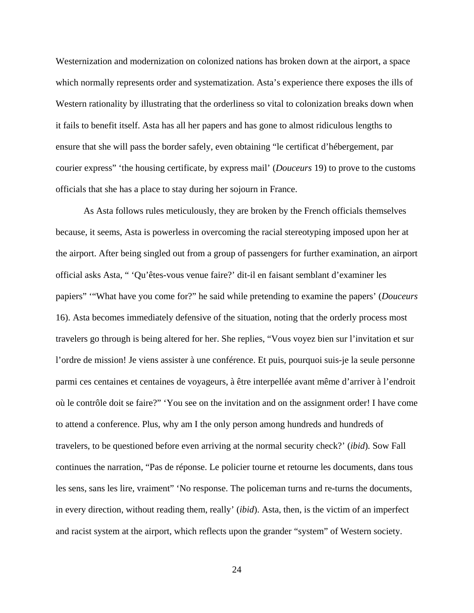Westernization and modernization on colonized nations has broken down at the airport, a space which normally represents order and systematization. Asta's experience there exposes the ills of Western rationality by illustrating that the orderliness so vital to colonization breaks down when it fails to benefit itself. Asta has all her papers and has gone to almost ridiculous lengths to ensure that she will pass the border safely, even obtaining "le certificat d'hébergement, par courier express" 'the housing certificate, by express mail' (*Douceurs* 19) to prove to the customs officials that she has a place to stay during her sojourn in France.

As Asta follows rules meticulously, they are broken by the French officials themselves because, it seems, Asta is powerless in overcoming the racial stereotyping imposed upon her at the airport. After being singled out from a group of passengers for further examination, an airport official asks Asta, " 'Qu'êtes-vous venue faire?' dit-il en faisant semblant d'examiner les papiers" '"What have you come for?" he said while pretending to examine the papers' (*Douceurs* 16). Asta becomes immediately defensive of the situation, noting that the orderly process most travelers go through is being altered for her. She replies, "Vous voyez bien sur l'invitation et sur l'ordre de mission! Je viens assister à une conférence. Et puis, pourquoi suis-je la seule personne parmi ces centaines et centaines de voyageurs, à être interpellée avant même d'arriver à l'endroit où le contrôle doit se faire?" 'You see on the invitation and on the assignment order! I have come to attend a conference. Plus, why am I the only person among hundreds and hundreds of travelers, to be questioned before even arriving at the normal security check?' (*ibid*)*.* Sow Fall continues the narration, "Pas de réponse. Le policier tourne et retourne les documents, dans tous les sens, sans les lire, vraiment" 'No response. The policeman turns and re-turns the documents, in every direction, without reading them, really' (*ibid*). Asta, then, is the victim of an imperfect and racist system at the airport, which reflects upon the grander "system" of Western society.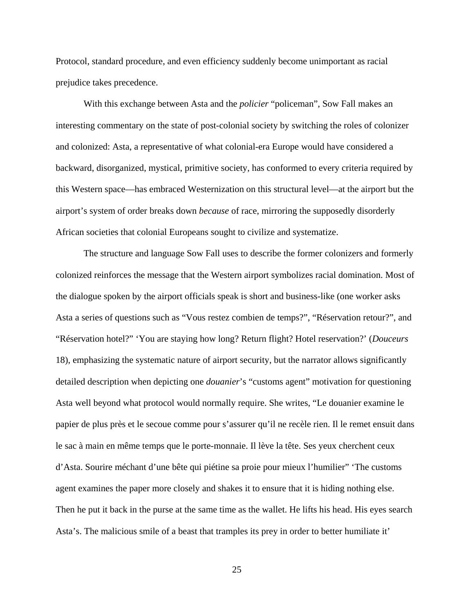Protocol, standard procedure, and even efficiency suddenly become unimportant as racial prejudice takes precedence.

With this exchange between Asta and the *policier* "policeman", Sow Fall makes an interesting commentary on the state of post-colonial society by switching the roles of colonizer and colonized: Asta, a representative of what colonial-era Europe would have considered a backward, disorganized, mystical, primitive society, has conformed to every criteria required by this Western space—has embraced Westernization on this structural level—at the airport but the airport's system of order breaks down *because* of race, mirroring the supposedly disorderly African societies that colonial Europeans sought to civilize and systematize.

The structure and language Sow Fall uses to describe the former colonizers and formerly colonized reinforces the message that the Western airport symbolizes racial domination. Most of the dialogue spoken by the airport officials speak is short and business-like (one worker asks Asta a series of questions such as "Vous restez combien de temps?", "Réservation retour?", and "Réservation hotel?" 'You are staying how long? Return flight? Hotel reservation?' (*Douceurs*  18), emphasizing the systematic nature of airport security, but the narrator allows significantly detailed description when depicting one *douanier*'s "customs agent" motivation for questioning Asta well beyond what protocol would normally require. She writes, "Le douanier examine le papier de plus près et le secoue comme pour s'assurer qu'il ne recèle rien. Il le remet ensuit dans le sac à main en même temps que le porte-monnaie. Il lève la tête. Ses yeux cherchent ceux d'Asta. Sourire méchant d'une bête qui piétine sa proie pour mieux l'humilier" 'The customs agent examines the paper more closely and shakes it to ensure that it is hiding nothing else. Then he put it back in the purse at the same time as the wallet. He lifts his head. His eyes search Asta's. The malicious smile of a beast that tramples its prey in order to better humiliate it'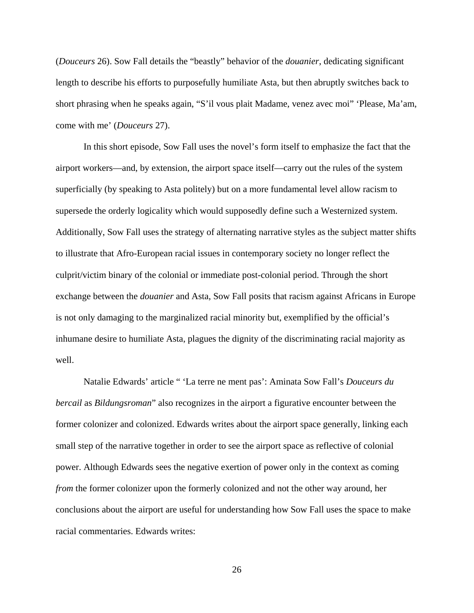(*Douceurs* 26). Sow Fall details the "beastly" behavior of the *douanier*, dedicating significant length to describe his efforts to purposefully humiliate Asta, but then abruptly switches back to short phrasing when he speaks again, "S'il vous plait Madame, venez avec moi" 'Please, Ma'am, come with me' (*Douceurs* 27).

In this short episode, Sow Fall uses the novel's form itself to emphasize the fact that the airport workers—and, by extension, the airport space itself—carry out the rules of the system superficially (by speaking to Asta politely) but on a more fundamental level allow racism to supersede the orderly logicality which would supposedly define such a Westernized system. Additionally, Sow Fall uses the strategy of alternating narrative styles as the subject matter shifts to illustrate that Afro-European racial issues in contemporary society no longer reflect the culprit/victim binary of the colonial or immediate post-colonial period. Through the short exchange between the *douanier* and Asta, Sow Fall posits that racism against Africans in Europe is not only damaging to the marginalized racial minority but, exemplified by the official's inhumane desire to humiliate Asta, plagues the dignity of the discriminating racial majority as well.

Natalie Edwards' article " 'La terre ne ment pas': Aminata Sow Fall's *Douceurs du bercail* as *Bildungsroman*" also recognizes in the airport a figurative encounter between the former colonizer and colonized. Edwards writes about the airport space generally, linking each small step of the narrative together in order to see the airport space as reflective of colonial power. Although Edwards sees the negative exertion of power only in the context as coming *from* the former colonizer upon the formerly colonized and not the other way around, her conclusions about the airport are useful for understanding how Sow Fall uses the space to make racial commentaries. Edwards writes: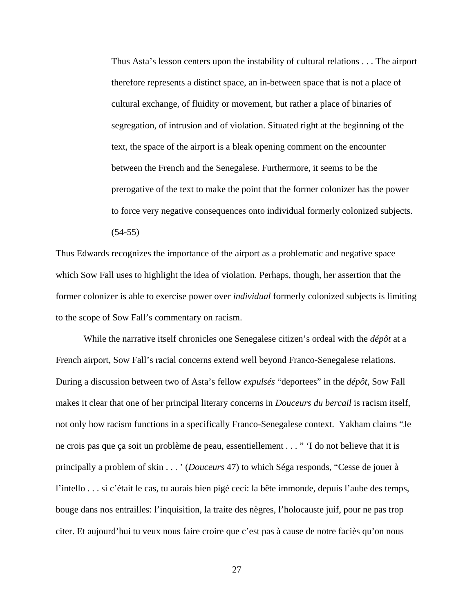Thus Asta's lesson centers upon the instability of cultural relations . . . The airport therefore represents a distinct space, an in-between space that is not a place of cultural exchange, of fluidity or movement, but rather a place of binaries of segregation, of intrusion and of violation. Situated right at the beginning of the text, the space of the airport is a bleak opening comment on the encounter between the French and the Senegalese. Furthermore, it seems to be the prerogative of the text to make the point that the former colonizer has the power to force very negative consequences onto individual formerly colonized subjects. (54-55)

Thus Edwards recognizes the importance of the airport as a problematic and negative space which Sow Fall uses to highlight the idea of violation. Perhaps, though, her assertion that the former colonizer is able to exercise power over *individual* formerly colonized subjects is limiting to the scope of Sow Fall's commentary on racism.

While the narrative itself chronicles one Senegalese citizen's ordeal with the *dépôt* at a French airport, Sow Fall's racial concerns extend well beyond Franco-Senegalese relations. During a discussion between two of Asta's fellow *expulsés* "deportees" in the *dépôt,* Sow Fall makes it clear that one of her principal literary concerns in *Douceurs du bercail* is racism itself, not only how racism functions in a specifically Franco-Senegalese context. Yakham claims "Je ne crois pas que ça soit un problème de peau, essentiellement . . . " 'I do not believe that it is principally a problem of skin . . . ' (*Douceurs* 47) to which Séga responds, "Cesse de jouer à l'intello . . . si c'était le cas, tu aurais bien pigé ceci: la bête immonde, depuis l'aube des temps, bouge dans nos entrailles: l'inquisition, la traite des nègres, l'holocauste juif, pour ne pas trop citer. Et aujourd'hui tu veux nous faire croire que c'est pas à cause de notre faciès qu'on nous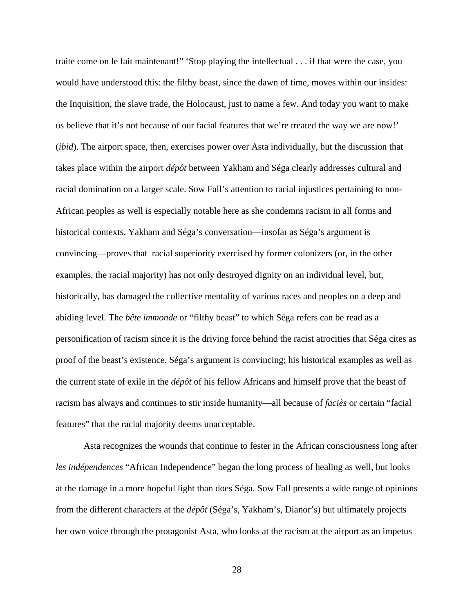traite come on le fait maintenant!" 'Stop playing the intellectual . . . if that were the case, you would have understood this: the filthy beast, since the dawn of time, moves within our insides: the Inquisition, the slave trade, the Holocaust, just to name a few. And today you want to make us believe that it's not because of our facial features that we're treated the way we are now!' (*ibid*). The airport space, then, exercises power over Asta individually, but the discussion that takes place within the airport *dépôt* between Yakham and Séga clearly addresses cultural and racial domination on a larger scale. Sow Fall's attention to racial injustices pertaining to non-African peoples as well is especially notable here as she condemns racism in all forms and historical contexts. Yakham and Séga's conversation—insofar as Séga's argument is convincing—proves that racial superiority exercised by former colonizers (or, in the other examples, the racial majority) has not only destroyed dignity on an individual level, but, historically, has damaged the collective mentality of various races and peoples on a deep and abiding level. The *bête immonde* or "filthy beast" to which Séga refers can be read as a personification of racism since it is the driving force behind the racist atrocities that Séga cites as proof of the beast's existence. Séga's argument is convincing; his historical examples as well as the current state of exile in the *dépôt* of his fellow Africans and himself prove that the beast of racism has always and continues to stir inside humanity—all because of *faciès* or certain "facial features" that the racial majority deems unacceptable.

Asta recognizes the wounds that continue to fester in the African consciousness long after *les indépendences* "African Independence" began the long process of healing as well, but looks at the damage in a more hopeful light than does Séga. Sow Fall presents a wide range of opinions from the different characters at the *dépôt* (Séga's, Yakham's, Dianor's) but ultimately projects her own voice through the protagonist Asta, who looks at the racism at the airport as an impetus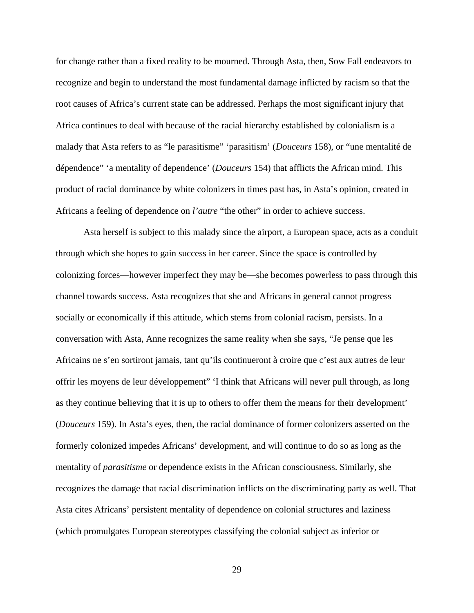for change rather than a fixed reality to be mourned. Through Asta, then, Sow Fall endeavors to recognize and begin to understand the most fundamental damage inflicted by racism so that the root causes of Africa's current state can be addressed. Perhaps the most significant injury that Africa continues to deal with because of the racial hierarchy established by colonialism is a malady that Asta refers to as "le parasitisme" 'parasitism' (*Douceurs* 158), or "une mentalité de dépendence" 'a mentality of dependence' (*Douceurs* 154) that afflicts the African mind. This product of racial dominance by white colonizers in times past has, in Asta's opinion, created in Africans a feeling of dependence on *l'autre* "the other" in order to achieve success.

Asta herself is subject to this malady since the airport, a European space, acts as a conduit through which she hopes to gain success in her career. Since the space is controlled by colonizing forces—however imperfect they may be—she becomes powerless to pass through this channel towards success. Asta recognizes that she and Africans in general cannot progress socially or economically if this attitude, which stems from colonial racism, persists. In a conversation with Asta, Anne recognizes the same reality when she says, "Je pense que les Africains ne s'en sortiront jamais, tant qu'ils continueront à croire que c'est aux autres de leur offrir les moyens de leur développement" 'I think that Africans will never pull through, as long as they continue believing that it is up to others to offer them the means for their development' (*Douceurs* 159). In Asta's eyes, then, the racial dominance of former colonizers asserted on the formerly colonized impedes Africans' development, and will continue to do so as long as the mentality of *parasitisme* or dependence exists in the African consciousness. Similarly, she recognizes the damage that racial discrimination inflicts on the discriminating party as well. That Asta cites Africans' persistent mentality of dependence on colonial structures and laziness (which promulgates European stereotypes classifying the colonial subject as inferior or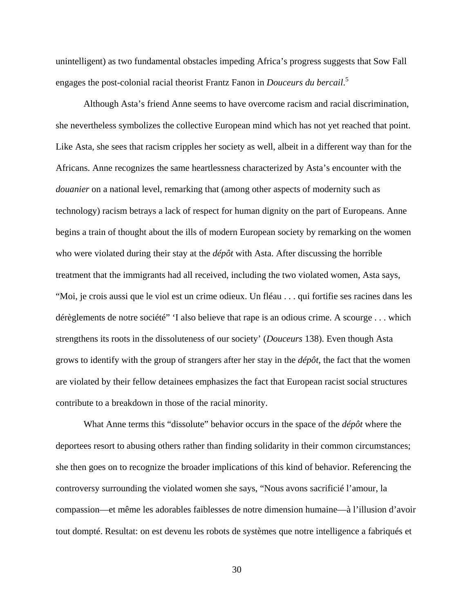unintelligent) as two fundamental obstacles impeding Africa's progress suggests that Sow Fall engages the post-colonial racial theorist Frantz Fanon in *Douceurs du bercail*. 5

Although Asta's friend Anne seems to have overcome racism and racial discrimination, she nevertheless symbolizes the collective European mind which has not yet reached that point. Like Asta, she sees that racism cripples her society as well, albeit in a different way than for the Africans. Anne recognizes the same heartlessness characterized by Asta's encounter with the *douanier* on a national level, remarking that (among other aspects of modernity such as technology) racism betrays a lack of respect for human dignity on the part of Europeans. Anne begins a train of thought about the ills of modern European society by remarking on the women who were violated during their stay at the *dépôt* with Asta. After discussing the horrible treatment that the immigrants had all received, including the two violated women, Asta says, "Moi, je crois aussi que le viol est un crime odieux. Un fléau . . . qui fortifie ses racines dans les dérèglements de notre société" 'I also believe that rape is an odious crime. A scourge . . . which strengthens its roots in the dissoluteness of our society' (*Douceurs* 138). Even though Asta grows to identify with the group of strangers after her stay in the *dépôt*, the fact that the women are violated by their fellow detainees emphasizes the fact that European racist social structures contribute to a breakdown in those of the racial minority.

What Anne terms this "dissolute" behavior occurs in the space of the *dépôt* where the deportees resort to abusing others rather than finding solidarity in their common circumstances; she then goes on to recognize the broader implications of this kind of behavior. Referencing the controversy surrounding the violated women she says, "Nous avons sacrificié l'amour, la compassion—et même les adorables faiblesses de notre dimension humaine—à l'illusion d'avoir tout dompté. Resultat: on est devenu les robots de systèmes que notre intelligence a fabriqués et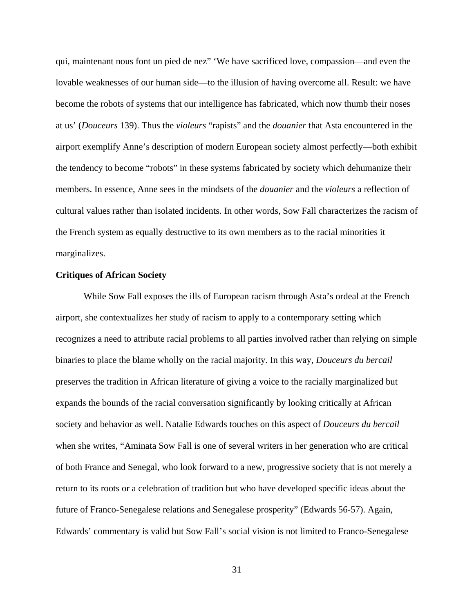qui, maintenant nous font un pied de nez" 'We have sacrificed love, compassion—and even the lovable weaknesses of our human side—to the illusion of having overcome all. Result: we have become the robots of systems that our intelligence has fabricated, which now thumb their noses at us' (*Douceurs* 139). Thus the *violeurs* "rapists" and the *douanier* that Asta encountered in the airport exemplify Anne's description of modern European society almost perfectly—both exhibit the tendency to become "robots" in these systems fabricated by society which dehumanize their members. In essence, Anne sees in the mindsets of the *douanier* and the *violeurs* a reflection of cultural values rather than isolated incidents. In other words, Sow Fall characterizes the racism of the French system as equally destructive to its own members as to the racial minorities it marginalizes.

## <span id="page-34-0"></span>**Critiques of African Society**

While Sow Fall exposes the ills of European racism through Asta's ordeal at the French airport, she contextualizes her study of racism to apply to a contemporary setting which recognizes a need to attribute racial problems to all parties involved rather than relying on simple binaries to place the blame wholly on the racial majority. In this way, *Douceurs du bercail* preserves the tradition in African literature of giving a voice to the racially marginalized but expands the bounds of the racial conversation significantly by looking critically at African society and behavior as well. Natalie Edwards touches on this aspect of *Douceurs du bercail* when she writes, "Aminata Sow Fall is one of several writers in her generation who are critical of both France and Senegal, who look forward to a new, progressive society that is not merely a return to its roots or a celebration of tradition but who have developed specific ideas about the future of Franco-Senegalese relations and Senegalese prosperity" (Edwards 56-57). Again, Edwards' commentary is valid but Sow Fall's social vision is not limited to Franco-Senegalese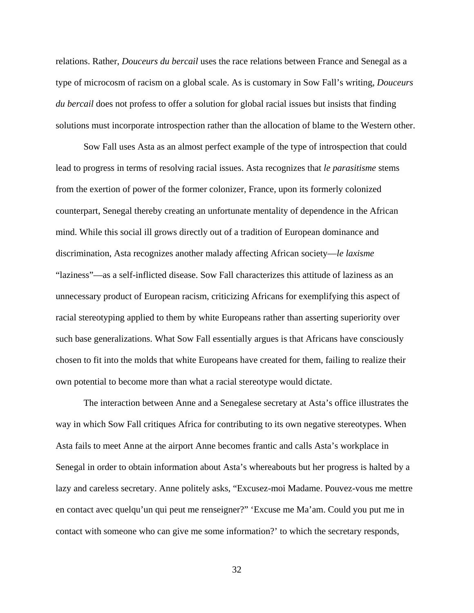relations. Rather, *Douceurs du bercail* uses the race relations between France and Senegal as a type of microcosm of racism on a global scale. As is customary in Sow Fall's writing, *Douceurs du bercail* does not profess to offer a solution for global racial issues but insists that finding solutions must incorporate introspection rather than the allocation of blame to the Western other.

Sow Fall uses Asta as an almost perfect example of the type of introspection that could lead to progress in terms of resolving racial issues. Asta recognizes that *le parasitisme* stems from the exertion of power of the former colonizer, France, upon its formerly colonized counterpart, Senegal thereby creating an unfortunate mentality of dependence in the African mind. While this social ill grows directly out of a tradition of European dominance and discrimination, Asta recognizes another malady affecting African society—*le laxisme* "laziness"—as a self-inflicted disease. Sow Fall characterizes this attitude of laziness as an unnecessary product of European racism, criticizing Africans for exemplifying this aspect of racial stereotyping applied to them by white Europeans rather than asserting superiority over such base generalizations. What Sow Fall essentially argues is that Africans have consciously chosen to fit into the molds that white Europeans have created for them, failing to realize their own potential to become more than what a racial stereotype would dictate.

The interaction between Anne and a Senegalese secretary at Asta's office illustrates the way in which Sow Fall critiques Africa for contributing to its own negative stereotypes. When Asta fails to meet Anne at the airport Anne becomes frantic and calls Asta's workplace in Senegal in order to obtain information about Asta's whereabouts but her progress is halted by a lazy and careless secretary. Anne politely asks, "Excusez-moi Madame. Pouvez-vous me mettre en contact avec quelqu'un qui peut me renseigner?" 'Excuse me Ma'am. Could you put me in contact with someone who can give me some information?' to which the secretary responds,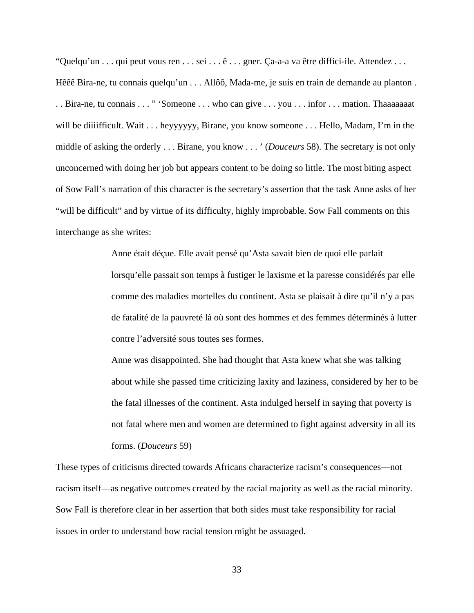"Quelqu'un . . . qui peut vous ren . . . sei . . . ê . . . gner. Ça-a-a va être diffici-ile. Attendez . . . Hêêê Bira-ne, tu connais quelqu'un . . . Allôô, Mada-me, je suis en train de demande au planton . . . Bira-ne, tu connais . . . " 'Someone . . . who can give . . . you . . . infor . . . mation. Thaaaaaaat will be diiiifficult. Wait . . . heyyyyyy, Birane, you know someone . . . Hello, Madam, I'm in the middle of asking the orderly . . . Birane, you know . . . ' (*Douceurs* 58). The secretary is not only unconcerned with doing her job but appears content to be doing so little. The most biting aspect of Sow Fall's narration of this character is the secretary's assertion that the task Anne asks of her "will be difficult" and by virtue of its difficulty, highly improbable. Sow Fall comments on this interchange as she writes:

> Anne était déçue. Elle avait pensé qu'Asta savait bien de quoi elle parlait lorsqu'elle passait son temps à fustiger le laxisme et la paresse considérés par elle comme des maladies mortelles du continent. Asta se plaisait à dire qu'il n'y a pas de fatalité de la pauvreté là où sont des hommes et des femmes déterminés à lutter contre l'adversité sous toutes ses formes.

> Anne was disappointed. She had thought that Asta knew what she was talking about while she passed time criticizing laxity and laziness, considered by her to be the fatal illnesses of the continent. Asta indulged herself in saying that poverty is not fatal where men and women are determined to fight against adversity in all its forms. (*Douceurs* 59)

These types of criticisms directed towards Africans characterize racism's consequences—not racism itself—as negative outcomes created by the racial majority as well as the racial minority. Sow Fall is therefore clear in her assertion that both sides must take responsibility for racial issues in order to understand how racial tension might be assuaged.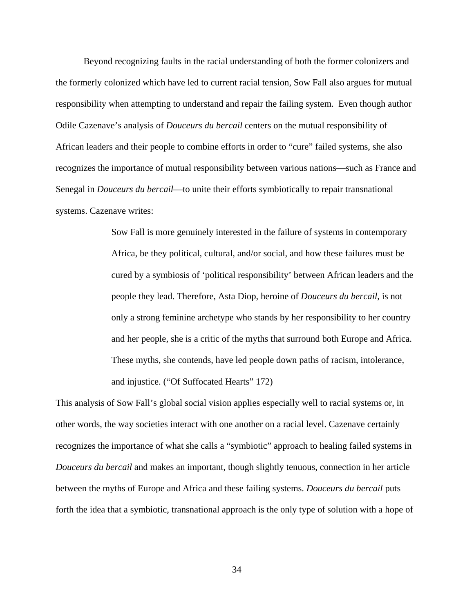Beyond recognizing faults in the racial understanding of both the former colonizers and the formerly colonized which have led to current racial tension, Sow Fall also argues for mutual responsibility when attempting to understand and repair the failing system. Even though author Odile Cazenave's analysis of *Douceurs du bercail* centers on the mutual responsibility of African leaders and their people to combine efforts in order to "cure" failed systems, she also recognizes the importance of mutual responsibility between various nations—such as France and Senegal in *Douceurs du bercail*—to unite their efforts symbiotically to repair transnational systems. Cazenave writes:

> Sow Fall is more genuinely interested in the failure of systems in contemporary Africa, be they political, cultural, and/or social, and how these failures must be cured by a symbiosis of 'political responsibility' between African leaders and the people they lead. Therefore, Asta Diop, heroine of *Douceurs du bercail*, is not only a strong feminine archetype who stands by her responsibility to her country and her people, she is a critic of the myths that surround both Europe and Africa. These myths, she contends, have led people down paths of racism, intolerance, and injustice. ("Of Suffocated Hearts" 172)

This analysis of Sow Fall's global social vision applies especially well to racial systems or, in other words, the way societies interact with one another on a racial level. Cazenave certainly recognizes the importance of what she calls a "symbiotic" approach to healing failed systems in *Douceurs du bercail* and makes an important, though slightly tenuous, connection in her article between the myths of Europe and Africa and these failing systems. *Douceurs du bercail* puts forth the idea that a symbiotic, transnational approach is the only type of solution with a hope of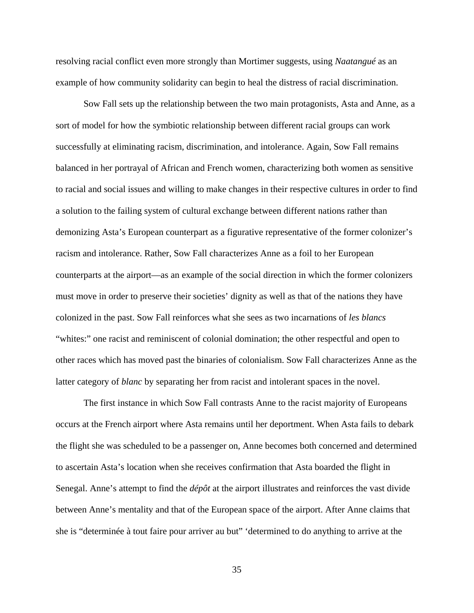resolving racial conflict even more strongly than Mortimer suggests, using *Naatangué* as an example of how community solidarity can begin to heal the distress of racial discrimination.

Sow Fall sets up the relationship between the two main protagonists, Asta and Anne, as a sort of model for how the symbiotic relationship between different racial groups can work successfully at eliminating racism, discrimination, and intolerance. Again, Sow Fall remains balanced in her portrayal of African and French women, characterizing both women as sensitive to racial and social issues and willing to make changes in their respective cultures in order to find a solution to the failing system of cultural exchange between different nations rather than demonizing Asta's European counterpart as a figurative representative of the former colonizer's racism and intolerance. Rather, Sow Fall characterizes Anne as a foil to her European counterparts at the airport—as an example of the social direction in which the former colonizers must move in order to preserve their societies' dignity as well as that of the nations they have colonized in the past. Sow Fall reinforces what she sees as two incarnations of *les blancs* "whites:" one racist and reminiscent of colonial domination; the other respectful and open to other races which has moved past the binaries of colonialism. Sow Fall characterizes Anne as the latter category of *blanc* by separating her from racist and intolerant spaces in the novel.

The first instance in which Sow Fall contrasts Anne to the racist majority of Europeans occurs at the French airport where Asta remains until her deportment. When Asta fails to debark the flight she was scheduled to be a passenger on, Anne becomes both concerned and determined to ascertain Asta's location when she receives confirmation that Asta boarded the flight in Senegal. Anne's attempt to find the *dépôt* at the airport illustrates and reinforces the vast divide between Anne's mentality and that of the European space of the airport. After Anne claims that she is "determinée à tout faire pour arriver au but" 'determined to do anything to arrive at the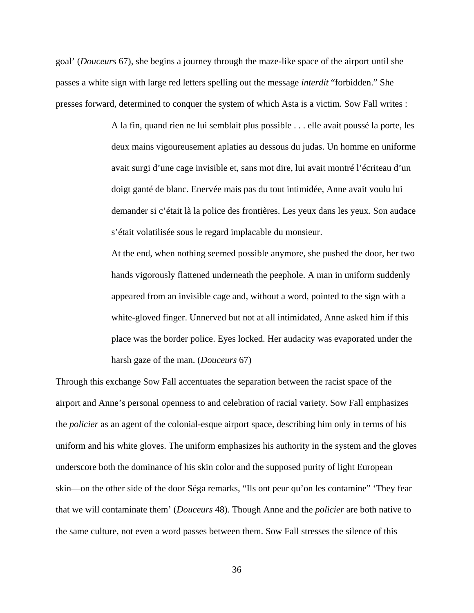goal' (*Douceurs* 67), she begins a journey through the maze-like space of the airport until she passes a white sign with large red letters spelling out the message *interdit* "forbidden." She presses forward, determined to conquer the system of which Asta is a victim. Sow Fall writes :

> A la fin, quand rien ne lui semblait plus possible . . . elle avait poussé la porte, les deux mains vigoureusement aplaties au dessous du judas. Un homme en uniforme avait surgi d'une cage invisible et, sans mot dire, lui avait montré l'écriteau d'un doigt ganté de blanc. Enervée mais pas du tout intimidée, Anne avait voulu lui demander si c'était là la police des frontières. Les yeux dans les yeux. Son audace s'était volatilisée sous le regard implacable du monsieur.

> At the end, when nothing seemed possible anymore, she pushed the door, her two hands vigorously flattened underneath the peephole. A man in uniform suddenly appeared from an invisible cage and, without a word, pointed to the sign with a white-gloved finger. Unnerved but not at all intimidated, Anne asked him if this place was the border police. Eyes locked. Her audacity was evaporated under the harsh gaze of the man. (*Douceurs* 67)

Through this exchange Sow Fall accentuates the separation between the racist space of the airport and Anne's personal openness to and celebration of racial variety. Sow Fall emphasizes the *policier* as an agent of the colonial-esque airport space, describing him only in terms of his uniform and his white gloves. The uniform emphasizes his authority in the system and the gloves underscore both the dominance of his skin color and the supposed purity of light European skin—on the other side of the door Séga remarks, "Ils ont peur qu'on les contamine" 'They fear that we will contaminate them' (*Douceurs* 48). Though Anne and the *policier* are both native to the same culture, not even a word passes between them. Sow Fall stresses the silence of this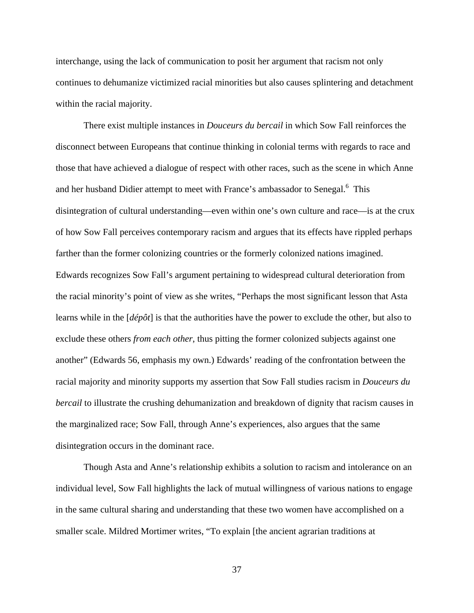interchange, using the lack of communication to posit her argument that racism not only continues to dehumanize victimized racial minorities but also causes splintering and detachment within the racial majority.

There exist multiple instances in *Douceurs du bercail* in which Sow Fall reinforces the disconnect between Europeans that continue thinking in colonial terms with regards to race and those that have achieved a dialogue of respect with other races, such as the scene in which Anne and her husband Didier attempt to meet with France's ambassador to Senegal.<sup>6</sup> This disintegration of cultural understanding—even within one's own culture and race—is at the crux of how Sow Fall perceives contemporary racism and argues that its effects have rippled perhaps farther than the former colonizing countries or the formerly colonized nations imagined. Edwards recognizes Sow Fall's argument pertaining to widespread cultural deterioration from the racial minority's point of view as she writes, "Perhaps the most significant lesson that Asta learns while in the [*dépôt*] is that the authorities have the power to exclude the other, but also to exclude these others *from each other*, thus pitting the former colonized subjects against one another" (Edwards 56, emphasis my own.) Edwards' reading of the confrontation between the racial majority and minority supports my assertion that Sow Fall studies racism in *Douceurs du bercail* to illustrate the crushing dehumanization and breakdown of dignity that racism causes in the marginalized race; Sow Fall, through Anne's experiences, also argues that the same disintegration occurs in the dominant race.

Though Asta and Anne's relationship exhibits a solution to racism and intolerance on an individual level, Sow Fall highlights the lack of mutual willingness of various nations to engage in the same cultural sharing and understanding that these two women have accomplished on a smaller scale. Mildred Mortimer writes, "To explain [the ancient agrarian traditions at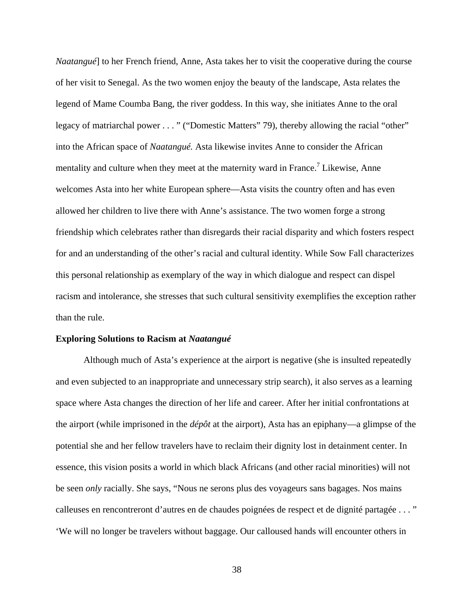*Naatangué*] to her French friend, Anne, Asta takes her to visit the cooperative during the course of her visit to Senegal. As the two women enjoy the beauty of the landscape, Asta relates the legend of Mame Coumba Bang, the river goddess. In this way, she initiates Anne to the oral legacy of matriarchal power . . . " ("Domestic Matters" 79), thereby allowing the racial "other" into the African space of *Naatangué.* Asta likewise invites Anne to consider the African mentality and culture when they meet at the maternity ward in France.<sup>7</sup> Likewise, Anne welcomes Asta into her white European sphere—Asta visits the country often and has even allowed her children to live there with Anne's assistance. The two women forge a strong friendship which celebrates rather than disregards their racial disparity and which fosters respect for and an understanding of the other's racial and cultural identity. While Sow Fall characterizes this personal relationship as exemplary of the way in which dialogue and respect can dispel racism and intolerance, she stresses that such cultural sensitivity exemplifies the exception rather than the rule.

## **Exploring Solutions to Racism at** *Naatangué*

Although much of Asta's experience at the airport is negative (she is insulted repeatedly and even subjected to an inappropriate and unnecessary strip search), it also serves as a learning space where Asta changes the direction of her life and career. After her initial confrontations at the airport (while imprisoned in the *dépôt* at the airport), Asta has an epiphany—a glimpse of the potential she and her fellow travelers have to reclaim their dignity lost in detainment center. In essence, this vision posits a world in which black Africans (and other racial minorities) will not be seen *only* racially. She says, "Nous ne serons plus des voyageurs sans bagages. Nos mains calleuses en rencontreront d'autres en de chaudes poignées de respect et de dignité partagée . . . " 'We will no longer be travelers without baggage. Our calloused hands will encounter others in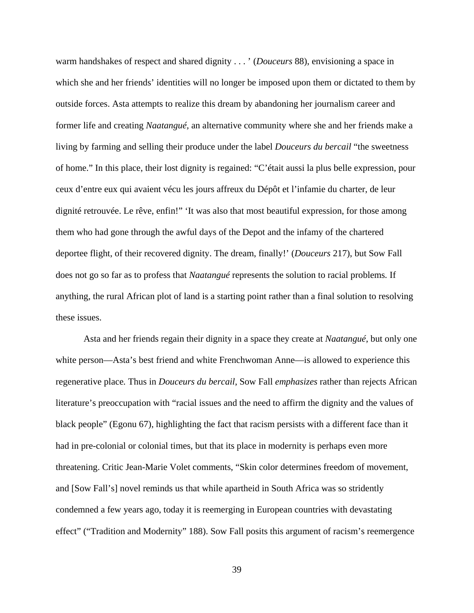warm handshakes of respect and shared dignity . . . ' (*Douceurs* 88), envisioning a space in which she and her friends' identities will no longer be imposed upon them or dictated to them by outside forces. Asta attempts to realize this dream by abandoning her journalism career and former life and creating *Naatangué,* an alternative community where she and her friends make a living by farming and selling their produce under the label *Douceurs du bercail* "the sweetness of home." In this place, their lost dignity is regained: "C'était aussi la plus belle expression, pour ceux d'entre eux qui avaient vécu les jours affreux du Dépôt et l'infamie du charter, de leur dignité retrouvée. Le rêve, enfin!" 'It was also that most beautiful expression, for those among them who had gone through the awful days of the Depot and the infamy of the chartered deportee flight, of their recovered dignity. The dream, finally!' (*Douceurs* 217), but Sow Fall does not go so far as to profess that *Naatangué* represents the solution to racial problems*.* If anything, the rural African plot of land is a starting point rather than a final solution to resolving these issues.

Asta and her friends regain their dignity in a space they create at *Naatangué*, but only one white person—Asta's best friend and white Frenchwoman Anne—is allowed to experience this regenerative place*.* Thus in *Douceurs du bercail*, Sow Fall *emphasizes* rather than rejects African literature's preoccupation with "racial issues and the need to affirm the dignity and the values of black people" (Egonu 67), highlighting the fact that racism persists with a different face than it had in pre-colonial or colonial times, but that its place in modernity is perhaps even more threatening. Critic Jean-Marie Volet comments, "Skin color determines freedom of movement, and [Sow Fall's] novel reminds us that while apartheid in South Africa was so stridently condemned a few years ago, today it is reemerging in European countries with devastating effect" ("Tradition and Modernity" 188). Sow Fall posits this argument of racism's reemergence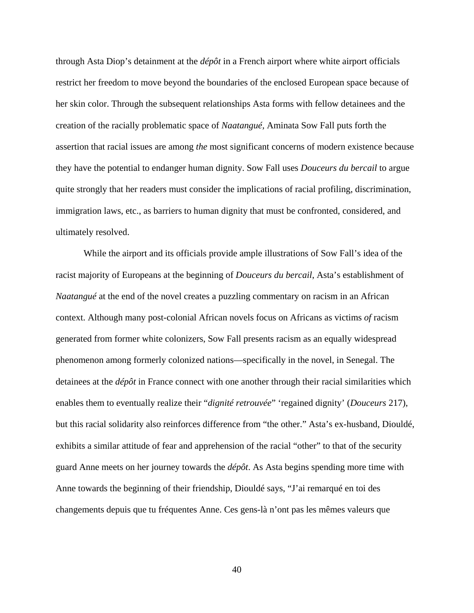through Asta Diop's detainment at the *dépôt* in a French airport where white airport officials restrict her freedom to move beyond the boundaries of the enclosed European space because of her skin color. Through the subsequent relationships Asta forms with fellow detainees and the creation of the racially problematic space of *Naatangué,* Aminata Sow Fall puts forth the assertion that racial issues are among *the* most significant concerns of modern existence because they have the potential to endanger human dignity. Sow Fall uses *Douceurs du bercail* to argue quite strongly that her readers must consider the implications of racial profiling, discrimination, immigration laws, etc., as barriers to human dignity that must be confronted, considered, and ultimately resolved.

While the airport and its officials provide ample illustrations of Sow Fall's idea of the racist majority of Europeans at the beginning of *Douceurs du bercail*, Asta's establishment of *Naatangué* at the end of the novel creates a puzzling commentary on racism in an African context. Although many post-colonial African novels focus on Africans as victims *of* racism generated from former white colonizers, Sow Fall presents racism as an equally widespread phenomenon among formerly colonized nations—specifically in the novel, in Senegal. The detainees at the *dépôt* in France connect with one another through their racial similarities which enables them to eventually realize their "*dignité retrouvée*" 'regained dignity' (*Douceurs* 217), but this racial solidarity also reinforces difference from "the other." Asta's ex-husband, Diouldé, exhibits a similar attitude of fear and apprehension of the racial "other" to that of the security guard Anne meets on her journey towards the *dépôt*. As Asta begins spending more time with Anne towards the beginning of their friendship, Diouldé says, "J'ai remarqué en toi des changements depuis que tu fréquentes Anne. Ces gens-là n'ont pas les mêmes valeurs que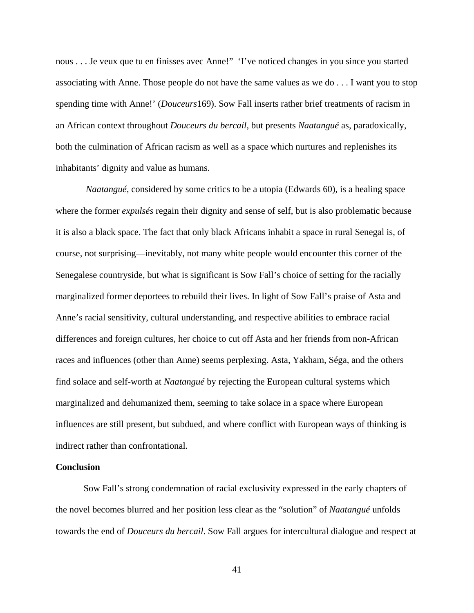nous . . . Je veux que tu en finisses avec Anne!" 'I've noticed changes in you since you started associating with Anne. Those people do not have the same values as we do . . . I want you to stop spending time with Anne!' (*Douceurs*169). Sow Fall inserts rather brief treatments of racism in an African context throughout *Douceurs du bercail*, but presents *Naatangué* as, paradoxically, both the culmination of African racism as well as a space which nurtures and replenishes its inhabitants' dignity and value as humans.

*Naatangué*, considered by some critics to be a utopia (Edwards 60), is a healing space where the former *expulsés* regain their dignity and sense of self, but is also problematic because it is also a black space. The fact that only black Africans inhabit a space in rural Senegal is, of course, not surprising—inevitably, not many white people would encounter this corner of the Senegalese countryside, but what is significant is Sow Fall's choice of setting for the racially marginalized former deportees to rebuild their lives. In light of Sow Fall's praise of Asta and Anne's racial sensitivity, cultural understanding, and respective abilities to embrace racial differences and foreign cultures, her choice to cut off Asta and her friends from non-African races and influences (other than Anne) seems perplexing. Asta, Yakham, Séga, and the others find solace and self-worth at *Naatangué* by rejecting the European cultural systems which marginalized and dehumanized them, seeming to take solace in a space where European influences are still present, but subdued, and where conflict with European ways of thinking is indirect rather than confrontational.

## **Conclusion**

Sow Fall's strong condemnation of racial exclusivity expressed in the early chapters of the novel becomes blurred and her position less clear as the "solution" of *Naatangué* unfolds towards the end of *Douceurs du bercail*. Sow Fall argues for intercultural dialogue and respect at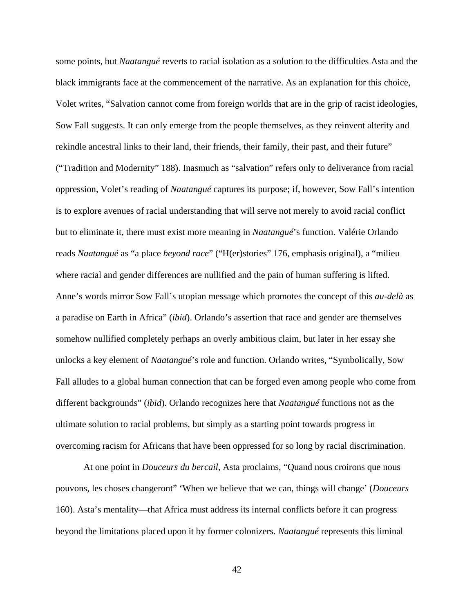some points, but *Naatangué* reverts to racial isolation as a solution to the difficulties Asta and the black immigrants face at the commencement of the narrative. As an explanation for this choice, Volet writes, "Salvation cannot come from foreign worlds that are in the grip of racist ideologies, Sow Fall suggests. It can only emerge from the people themselves, as they reinvent alterity and rekindle ancestral links to their land, their friends, their family, their past, and their future" ("Tradition and Modernity" 188). Inasmuch as "salvation" refers only to deliverance from racial oppression, Volet's reading of *Naatangué* captures its purpose; if, however, Sow Fall's intention is to explore avenues of racial understanding that will serve not merely to avoid racial conflict but to eliminate it, there must exist more meaning in *Naatangué*'s function. Valérie Orlando reads *Naatangué* as "a place *beyond race*" ("H(er)stories" 176, emphasis original), a "milieu where racial and gender differences are nullified and the pain of human suffering is lifted. Anne's words mirror Sow Fall's utopian message which promotes the concept of this *au-delà* as a paradise on Earth in Africa" (*ibid*). Orlando's assertion that race and gender are themselves somehow nullified completely perhaps an overly ambitious claim, but later in her essay she unlocks a key element of *Naatangué*'s role and function. Orlando writes, "Symbolically, Sow Fall alludes to a global human connection that can be forged even among people who come from different backgrounds" (*ibid*). Orlando recognizes here that *Naatangué* functions not as the ultimate solution to racial problems, but simply as a starting point towards progress in overcoming racism for Africans that have been oppressed for so long by racial discrimination.

At one point in *Douceurs du bercail*, Asta proclaims, "Quand nous croirons que nous pouvons, les choses changeront" 'When we believe that we can, things will change' (*Douceurs* 160). Asta's mentality—that Africa must address its internal conflicts before it can progress beyond the limitations placed upon it by former colonizers. *Naatangué* represents this liminal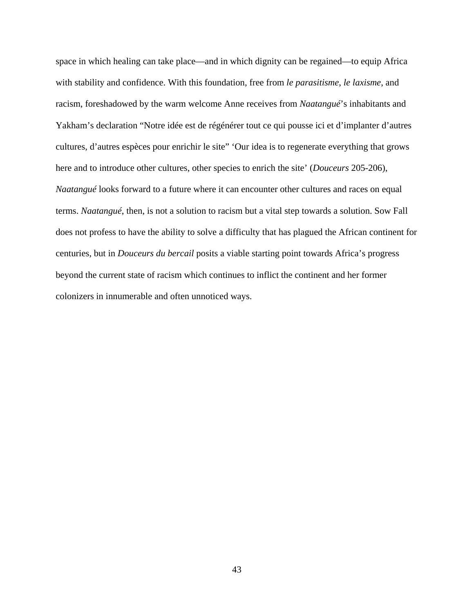space in which healing can take place—and in which dignity can be regained—to equip Africa with stability and confidence. With this foundation, free from *le parasitisme*, *le laxisme*, and racism, foreshadowed by the warm welcome Anne receives from *Naatangué*'s inhabitants and Yakham's declaration "Notre idée est de régénérer tout ce qui pousse ici et d'implanter d'autres cultures, d'autres espèces pour enrichir le site" 'Our idea is to regenerate everything that grows here and to introduce other cultures, other species to enrich the site' (*Douceurs* 205-206), *Naatangué* looks forward to a future where it can encounter other cultures and races on equal terms. *Naatangué*, then, is not a solution to racism but a vital step towards a solution. Sow Fall does not profess to have the ability to solve a difficulty that has plagued the African continent for centuries, but in *Douceurs du bercail* posits a viable starting point towards Africa's progress beyond the current state of racism which continues to inflict the continent and her former colonizers in innumerable and often unnoticed ways.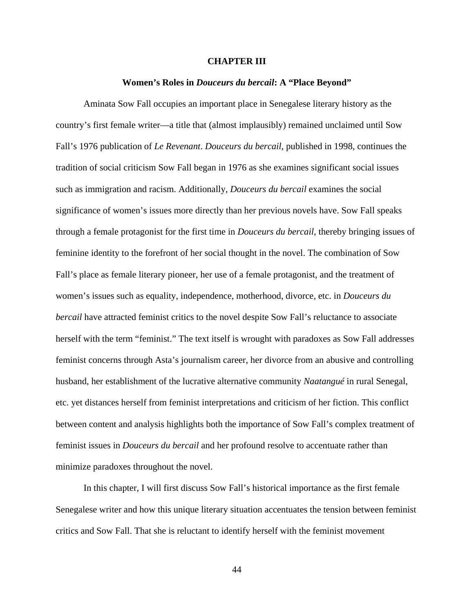## **CHAPTER III**

### **Women's Roles in** *Douceurs du bercail***: A "Place Beyond"**

Aminata Sow Fall occupies an important place in Senegalese literary history as the country's first female writer—a title that (almost implausibly) remained unclaimed until Sow Fall's 1976 publication of *Le Revenant*. *Douceurs du bercail,* published in 1998, continues the tradition of social criticism Sow Fall began in 1976 as she examines significant social issues such as immigration and racism. Additionally, *Douceurs du bercail* examines the social significance of women's issues more directly than her previous novels have. Sow Fall speaks through a female protagonist for the first time in *Douceurs du bercail*, thereby bringing issues of feminine identity to the forefront of her social thought in the novel. The combination of Sow Fall's place as female literary pioneer, her use of a female protagonist, and the treatment of women's issues such as equality, independence, motherhood, divorce, etc. in *Douceurs du bercail* have attracted feminist critics to the novel despite Sow Fall's reluctance to associate herself with the term "feminist." The text itself is wrought with paradoxes as Sow Fall addresses feminist concerns through Asta's journalism career, her divorce from an abusive and controlling husband, her establishment of the lucrative alternative community *Naatangué* in rural Senegal, etc. yet distances herself from feminist interpretations and criticism of her fiction. This conflict between content and analysis highlights both the importance of Sow Fall's complex treatment of feminist issues in *Douceurs du bercail* and her profound resolve to accentuate rather than minimize paradoxes throughout the novel.

In this chapter, I will first discuss Sow Fall's historical importance as the first female Senegalese writer and how this unique literary situation accentuates the tension between feminist critics and Sow Fall. That she is reluctant to identify herself with the feminist movement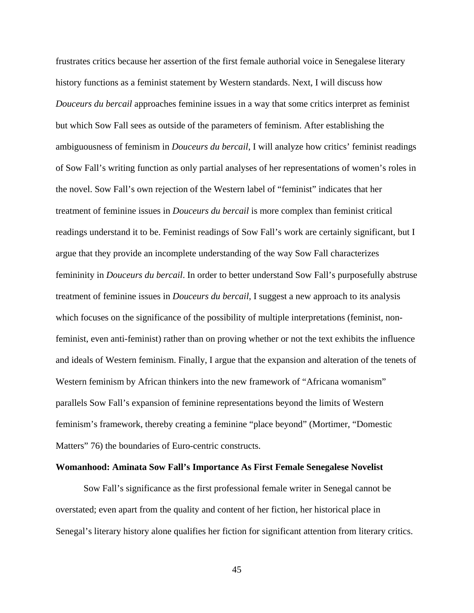frustrates critics because her assertion of the first female authorial voice in Senegalese literary history functions as a feminist statement by Western standards. Next, I will discuss how *Douceurs du bercail* approaches feminine issues in a way that some critics interpret as feminist but which Sow Fall sees as outside of the parameters of feminism. After establishing the ambiguousness of feminism in *Douceurs du bercail*, I will analyze how critics' feminist readings of Sow Fall's writing function as only partial analyses of her representations of women's roles in the novel. Sow Fall's own rejection of the Western label of "feminist" indicates that her treatment of feminine issues in *Douceurs du bercail* is more complex than feminist critical readings understand it to be. Feminist readings of Sow Fall's work are certainly significant, but I argue that they provide an incomplete understanding of the way Sow Fall characterizes femininity in *Douceurs du bercail*. In order to better understand Sow Fall's purposefully abstruse treatment of feminine issues in *Douceurs du bercail*, I suggest a new approach to its analysis which focuses on the significance of the possibility of multiple interpretations (feminist, nonfeminist, even anti-feminist) rather than on proving whether or not the text exhibits the influence and ideals of Western feminism. Finally, I argue that the expansion and alteration of the tenets of Western feminism by African thinkers into the new framework of "Africana womanism" parallels Sow Fall's expansion of feminine representations beyond the limits of Western feminism's framework, thereby creating a feminine "place beyond" (Mortimer, "Domestic Matters" 76) the boundaries of Euro-centric constructs.

## **Womanhood: Aminata Sow Fall's Importance As First Female Senegalese Novelist**

Sow Fall's significance as the first professional female writer in Senegal cannot be overstated; even apart from the quality and content of her fiction, her historical place in Senegal's literary history alone qualifies her fiction for significant attention from literary critics.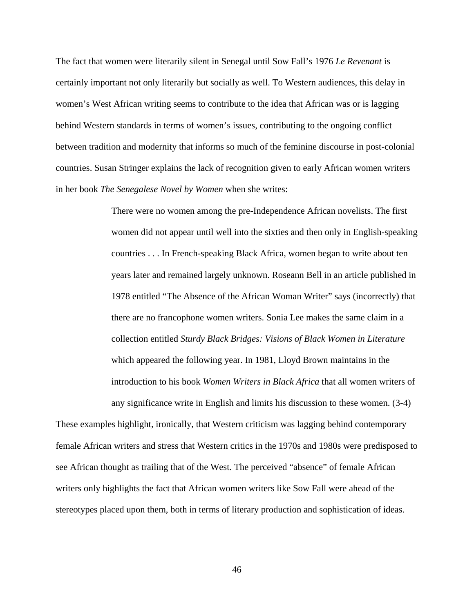The fact that women were literarily silent in Senegal until Sow Fall's 1976 *Le Revenant* is certainly important not only literarily but socially as well. To Western audiences, this delay in women's West African writing seems to contribute to the idea that African was or is lagging behind Western standards in terms of women's issues, contributing to the ongoing conflict between tradition and modernity that informs so much of the feminine discourse in post-colonial countries. Susan Stringer explains the lack of recognition given to early African women writers in her book *The Senegalese Novel by Women* when she writes:

> There were no women among the pre-Independence African novelists. The first women did not appear until well into the sixties and then only in English-speaking countries . . . In French-speaking Black Africa, women began to write about ten years later and remained largely unknown. Roseann Bell in an article published in 1978 entitled "The Absence of the African Woman Writer" says (incorrectly) that there are no francophone women writers. Sonia Lee makes the same claim in a collection entitled *Sturdy Black Bridges: Visions of Black Women in Literature* which appeared the following year. In 1981, Lloyd Brown maintains in the introduction to his book *Women Writers in Black Africa* that all women writers of any significance write in English and limits his discussion to these women. (3-4)

These examples highlight, ironically, that Western criticism was lagging behind contemporary female African writers and stress that Western critics in the 1970s and 1980s were predisposed to see African thought as trailing that of the West. The perceived "absence" of female African writers only highlights the fact that African women writers like Sow Fall were ahead of the stereotypes placed upon them, both in terms of literary production and sophistication of ideas.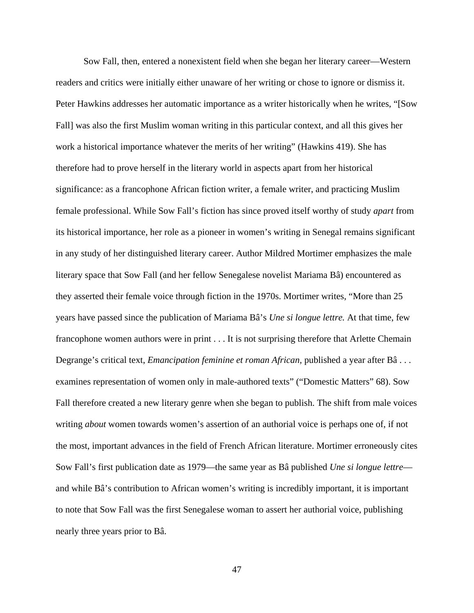Sow Fall, then, entered a nonexistent field when she began her literary career—Western readers and critics were initially either unaware of her writing or chose to ignore or dismiss it. Peter Hawkins addresses her automatic importance as a writer historically when he writes, "[Sow Fall] was also the first Muslim woman writing in this particular context, and all this gives her work a historical importance whatever the merits of her writing" (Hawkins 419). She has therefore had to prove herself in the literary world in aspects apart from her historical significance: as a francophone African fiction writer, a female writer, and practicing Muslim female professional. While Sow Fall's fiction has since proved itself worthy of study *apart* from its historical importance, her role as a pioneer in women's writing in Senegal remains significant in any study of her distinguished literary career. Author Mildred Mortimer emphasizes the male literary space that Sow Fall (and her fellow Senegalese novelist Mariama Bâ) encountered as they asserted their female voice through fiction in the 1970s. Mortimer writes, "More than 25 years have passed since the publication of Mariama Bâ's *Une si longue lettre.* At that time, few francophone women authors were in print . . . It is not surprising therefore that Arlette Chemain Degrange's critical text, *Emancipation feminine et roman African,* published a year after Bâ . . . examines representation of women only in male-authored texts" ("Domestic Matters" 68). Sow Fall therefore created a new literary genre when she began to publish. The shift from male voices writing *about* women towards women's assertion of an authorial voice is perhaps one of, if not the most, important advances in the field of French African literature. Mortimer erroneously cites Sow Fall's first publication date as 1979—the same year as Bâ published *Une si longue lettre* and while Bâ's contribution to African women's writing is incredibly important, it is important to note that Sow Fall was the first Senegalese woman to assert her authorial voice, publishing nearly three years prior to Bâ.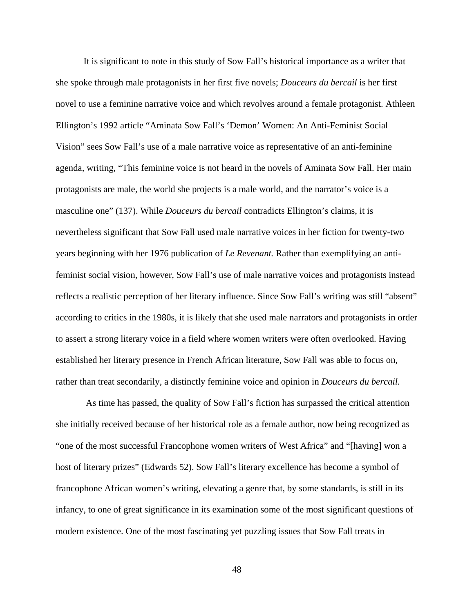It is significant to note in this study of Sow Fall's historical importance as a writer that she spoke through male protagonists in her first five novels; *Douceurs du bercail* is her first novel to use a feminine narrative voice and which revolves around a female protagonist. Athleen Ellington's 1992 article "Aminata Sow Fall's 'Demon' Women: An Anti-Feminist Social Vision" sees Sow Fall's use of a male narrative voice as representative of an anti-feminine agenda, writing, "This feminine voice is not heard in the novels of Aminata Sow Fall. Her main protagonists are male, the world she projects is a male world, and the narrator's voice is a masculine one" (137). While *Douceurs du bercail* contradicts Ellington's claims, it is nevertheless significant that Sow Fall used male narrative voices in her fiction for twenty-two years beginning with her 1976 publication of *Le Revenant.* Rather than exemplifying an antifeminist social vision, however, Sow Fall's use of male narrative voices and protagonists instead reflects a realistic perception of her literary influence. Since Sow Fall's writing was still "absent" according to critics in the 1980s, it is likely that she used male narrators and protagonists in order to assert a strong literary voice in a field where women writers were often overlooked. Having established her literary presence in French African literature, Sow Fall was able to focus on, rather than treat secondarily, a distinctly feminine voice and opinion in *Douceurs du bercail.* 

As time has passed, the quality of Sow Fall's fiction has surpassed the critical attention she initially received because of her historical role as a female author, now being recognized as "one of the most successful Francophone women writers of West Africa" and "[having] won a host of literary prizes" (Edwards 52). Sow Fall's literary excellence has become a symbol of francophone African women's writing, elevating a genre that, by some standards, is still in its infancy, to one of great significance in its examination some of the most significant questions of modern existence. One of the most fascinating yet puzzling issues that Sow Fall treats in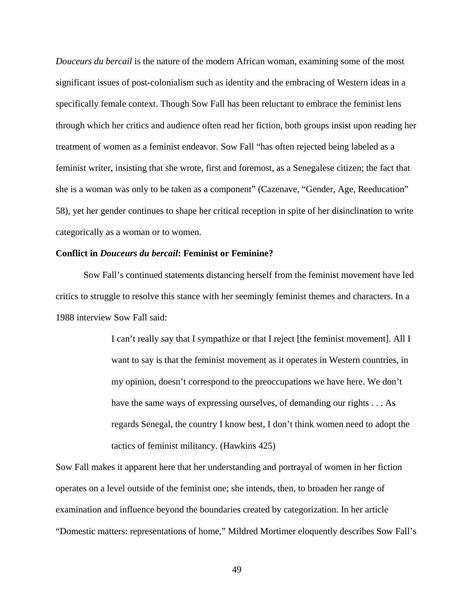*Douceurs du bercail* is the nature of the modern African woman, examining some of the most significant issues of post-colonialism such as identity and the embracing of Western ideas in a specifically female context. Though Sow Fall has been reluctant to embrace the feminist lens through which her critics and audience often read her fiction, both groups insist upon reading her treatment of women as a feminist endeavor. Sow Fall "has often rejected being labeled as a feminist writer, insisting that she wrote, first and foremost, as a Senegalese citizen; the fact that she is a woman was only to be taken as a component" (Cazenave, "Gender, Age, Reeducation" 58), yet her gender continues to shape her critical reception in spite of her disinclination to write categorically as a woman or to women.

## **Conflict in** *Douceurs du bercail***: Feminist or Feminine?**

Sow Fall's continued statements distancing herself from the feminist movement have led critics to struggle to resolve this stance with her seemingly feminist themes and characters. In a 1988 interview Sow Fall said:

> I can't really say that I sympathize or that I reject [the feminist movement]. All I want to say is that the feminist movement as it operates in Western countries, in my opinion, doesn't correspond to the preoccupations we have here. We don't have the same ways of expressing ourselves, of demanding our rights . . . As regards Senegal, the country I know best, I don't think women need to adopt the tactics of feminist militancy. (Hawkins 425)

Sow Fall makes it apparent here that her understanding and portrayal of women in her fiction operates on a level outside of the feminist one; she intends, then, to broaden her range of examination and influence beyond the boundaries created by categorization. In her article "Domestic matters: representations of home," Mildred Mortimer eloquently describes Sow Fall's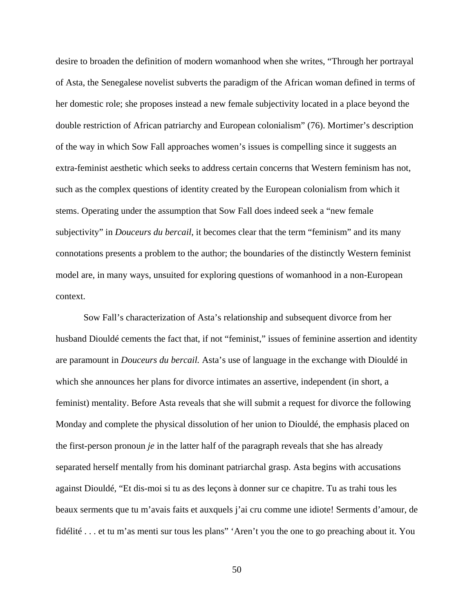desire to broaden the definition of modern womanhood when she writes, "Through her portrayal of Asta, the Senegalese novelist subverts the paradigm of the African woman defined in terms of her domestic role; she proposes instead a new female subjectivity located in a place beyond the double restriction of African patriarchy and European colonialism" (76). Mortimer's description of the way in which Sow Fall approaches women's issues is compelling since it suggests an extra-feminist aesthetic which seeks to address certain concerns that Western feminism has not, such as the complex questions of identity created by the European colonialism from which it stems. Operating under the assumption that Sow Fall does indeed seek a "new female subjectivity" in *Douceurs du bercail*, it becomes clear that the term "feminism" and its many connotations presents a problem to the author; the boundaries of the distinctly Western feminist model are, in many ways, unsuited for exploring questions of womanhood in a non-European context.

Sow Fall's characterization of Asta's relationship and subsequent divorce from her husband Diouldé cements the fact that, if not "feminist," issues of feminine assertion and identity are paramount in *Douceurs du bercail.* Asta's use of language in the exchange with Diouldé in which she announces her plans for divorce intimates an assertive, independent (in short, a feminist) mentality. Before Asta reveals that she will submit a request for divorce the following Monday and complete the physical dissolution of her union to Diouldé, the emphasis placed on the first-person pronoun *je* in the latter half of the paragraph reveals that she has already separated herself mentally from his dominant patriarchal grasp. Asta begins with accusations against Diouldé, "Et dis-moi si tu as des leçons à donner sur ce chapitre. Tu as trahi tous les beaux serments que tu m'avais faits et auxquels j'ai cru comme une idiote! Serments d'amour, de fidélité . . . et tu m'as menti sur tous les plans" 'Aren't you the one to go preaching about it. You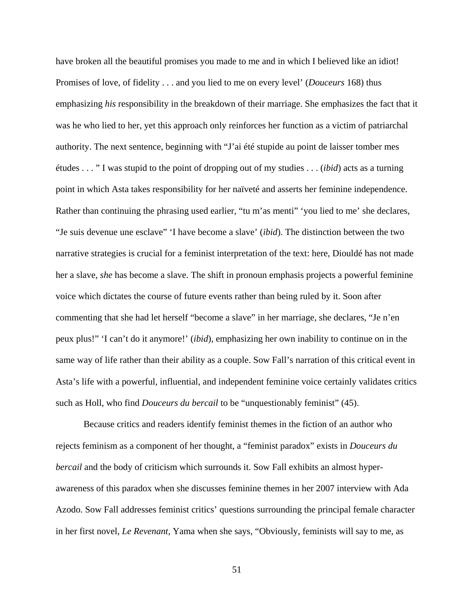have broken all the beautiful promises you made to me and in which I believed like an idiot! Promises of love, of fidelity . . . and you lied to me on every level' (*Douceurs* 168) thus emphasizing *his* responsibility in the breakdown of their marriage. She emphasizes the fact that it was he who lied to her, yet this approach only reinforces her function as a victim of patriarchal authority. The next sentence, beginning with "J'ai été stupide au point de laisser tomber mes études . . . " I was stupid to the point of dropping out of my studies . . . (*ibid*) acts as a turning point in which Asta takes responsibility for her naïveté and asserts her feminine independence. Rather than continuing the phrasing used earlier, "tu m'as menti" 'you lied to me' she declares, "Je suis devenue une esclave" 'I have become a slave' (*ibid*). The distinction between the two narrative strategies is crucial for a feminist interpretation of the text: here, Diouldé has not made her a slave, *she* has become a slave. The shift in pronoun emphasis projects a powerful feminine voice which dictates the course of future events rather than being ruled by it. Soon after commenting that she had let herself "become a slave" in her marriage, she declares, "Je n'en peux plus!" 'I can't do it anymore!' (*ibid*), emphasizing her own inability to continue on in the same way of life rather than their ability as a couple. Sow Fall's narration of this critical event in Asta's life with a powerful, influential, and independent feminine voice certainly validates critics such as Holl, who find *Douceurs du bercail* to be "unquestionably feminist" (45).

Because critics and readers identify feminist themes in the fiction of an author who rejects feminism as a component of her thought, a "feminist paradox" exists in *Douceurs du bercail* and the body of criticism which surrounds it. Sow Fall exhibits an almost hyperawareness of this paradox when she discusses feminine themes in her 2007 interview with Ada Azodo. Sow Fall addresses feminist critics' questions surrounding the principal female character in her first novel, *Le Revenant,* Yama when she says, "Obviously, feminists will say to me, as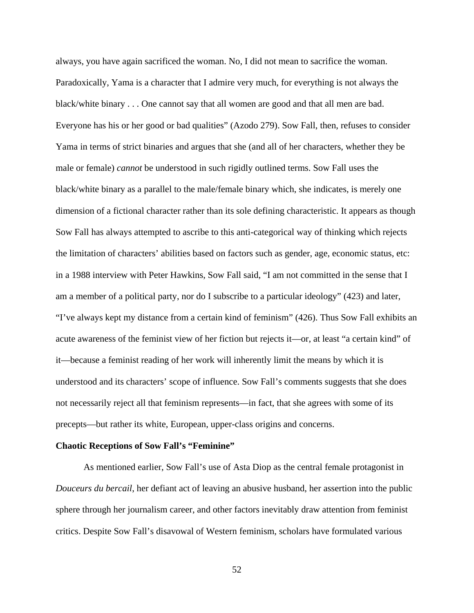always, you have again sacrificed the woman. No, I did not mean to sacrifice the woman. Paradoxically, Yama is a character that I admire very much, for everything is not always the black/white binary . . . One cannot say that all women are good and that all men are bad. Everyone has his or her good or bad qualities" (Azodo 279). Sow Fall, then, refuses to consider Yama in terms of strict binaries and argues that she (and all of her characters, whether they be male or female) *cannot* be understood in such rigidly outlined terms. Sow Fall uses the black/white binary as a parallel to the male/female binary which, she indicates, is merely one dimension of a fictional character rather than its sole defining characteristic. It appears as though Sow Fall has always attempted to ascribe to this anti-categorical way of thinking which rejects the limitation of characters' abilities based on factors such as gender, age, economic status, etc: in a 1988 interview with Peter Hawkins, Sow Fall said, "I am not committed in the sense that I am a member of a political party, nor do I subscribe to a particular ideology" (423) and later, "I've always kept my distance from a certain kind of feminism" (426). Thus Sow Fall exhibits an acute awareness of the feminist view of her fiction but rejects it—or, at least "a certain kind" of it—because a feminist reading of her work will inherently limit the means by which it is understood and its characters' scope of influence. Sow Fall's comments suggests that she does not necessarily reject all that feminism represents—in fact, that she agrees with some of its precepts—but rather its white, European, upper-class origins and concerns.

### **Chaotic Receptions of Sow Fall's "Feminine"**

As mentioned earlier, Sow Fall's use of Asta Diop as the central female protagonist in *Douceurs du bercail*, her defiant act of leaving an abusive husband, her assertion into the public sphere through her journalism career, and other factors inevitably draw attention from feminist critics. Despite Sow Fall's disavowal of Western feminism, scholars have formulated various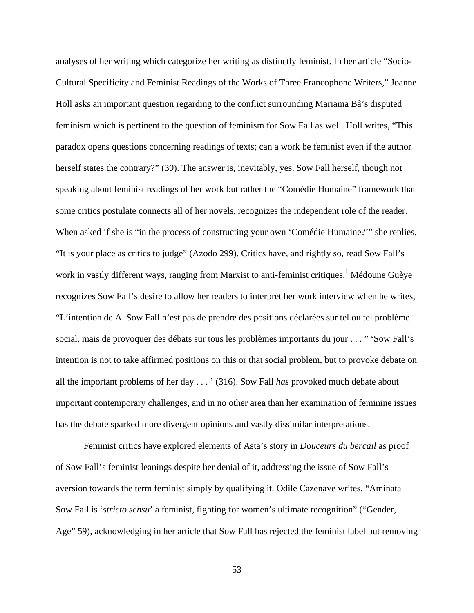analyses of her writing which categorize her writing as distinctly feminist. In her article "Socio-Cultural Specificity and Feminist Readings of the Works of Three Francophone Writers," Joanne Holl asks an important question regarding to the conflict surrounding Mariama Bâ's disputed feminism which is pertinent to the question of feminism for Sow Fall as well. Holl writes, "This paradox opens questions concerning readings of texts; can a work be feminist even if the author herself states the contrary?" (39). The answer is, inevitably, yes. Sow Fall herself, though not speaking about feminist readings of her work but rather the "Comédie Humaine" framework that some critics postulate connects all of her novels, recognizes the independent role of the reader. When asked if she is "in the process of constructing your own 'Comédie Humaine?'" she replies, "It is your place as critics to judge" (Azodo 299). Critics have, and rightly so, read Sow Fall's work in vastly different ways, ranging from Marxist to anti-feminist critiques.<sup>1</sup> Médoune Guèye recognizes Sow Fall's desire to allow her readers to interpret her work interview when he writes, "L'intention de A. Sow Fall n'est pas de prendre des positions déclarées sur tel ou tel problème social, mais de provoquer des débats sur tous les problèmes importants du jour . . . " 'Sow Fall's intention is not to take affirmed positions on this or that social problem, but to provoke debate on all the important problems of her day . . . ' (316). Sow Fall *has* provoked much debate about important contemporary challenges, and in no other area than her examination of feminine issues has the debate sparked more divergent opinions and vastly dissimilar interpretations.

Feminist critics have explored elements of Asta's story in *Douceurs du bercail* as proof of Sow Fall's feminist leanings despite her denial of it, addressing the issue of Sow Fall's aversion towards the term feminist simply by qualifying it. Odile Cazenave writes, "Aminata Sow Fall is '*stricto sensu*' a feminist, fighting for women's ultimate recognition" ("Gender, Age" 59), acknowledging in her article that Sow Fall has rejected the feminist label but removing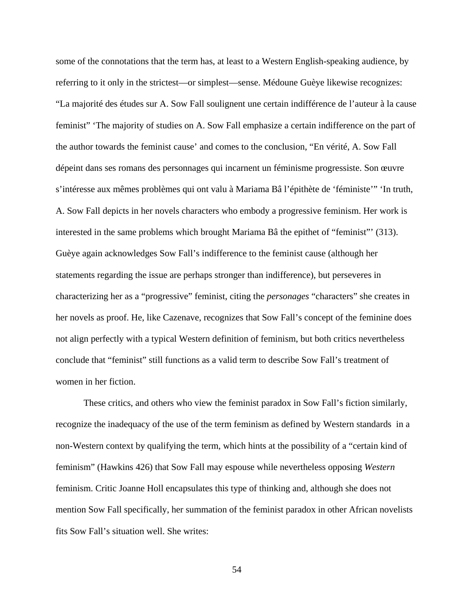some of the connotations that the term has, at least to a Western English-speaking audience, by referring to it only in the strictest—or simplest—sense. Médoune Guèye likewise recognizes: "La majorité des études sur A. Sow Fall soulignent une certain indifférence de l'auteur à la cause feminist" 'The majority of studies on A. Sow Fall emphasize a certain indifference on the part of the author towards the feminist cause' and comes to the conclusion, "En vérité, A. Sow Fall dépeint dans ses romans des personnages qui incarnent un féminisme progressiste. Son œuvre s'intéresse aux mêmes problèmes qui ont valu à Mariama Bâ l'épithète de 'féministe'" 'In truth, A. Sow Fall depicts in her novels characters who embody a progressive feminism. Her work is interested in the same problems which brought Mariama Bâ the epithet of "feminist"' (313). Guèye again acknowledges Sow Fall's indifference to the feminist cause (although her statements regarding the issue are perhaps stronger than indifference), but perseveres in characterizing her as a "progressive" feminist, citing the *personages* "characters" she creates in her novels as proof. He, like Cazenave, recognizes that Sow Fall's concept of the feminine does not align perfectly with a typical Western definition of feminism, but both critics nevertheless conclude that "feminist" still functions as a valid term to describe Sow Fall's treatment of women in her fiction.

These critics, and others who view the feminist paradox in Sow Fall's fiction similarly, recognize the inadequacy of the use of the term feminism as defined by Western standards in a non-Western context by qualifying the term, which hints at the possibility of a "certain kind of feminism" (Hawkins 426) that Sow Fall may espouse while nevertheless opposing *Western* feminism. Critic Joanne Holl encapsulates this type of thinking and, although she does not mention Sow Fall specifically, her summation of the feminist paradox in other African novelists fits Sow Fall's situation well. She writes: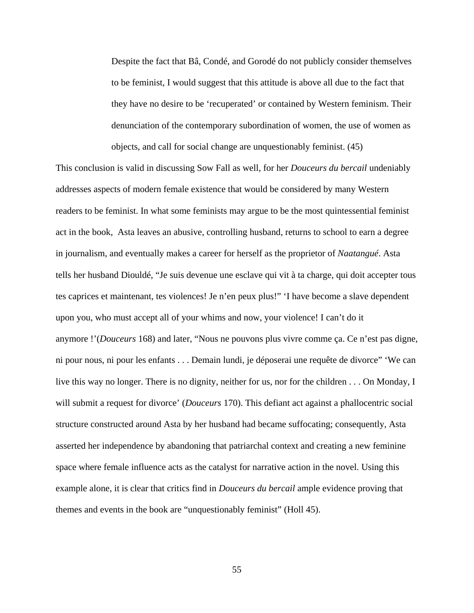Despite the fact that Bâ, Condé, and Gorodé do not publicly consider themselves to be feminist, I would suggest that this attitude is above all due to the fact that they have no desire to be 'recuperated' or contained by Western feminism. Their denunciation of the contemporary subordination of women, the use of women as objects, and call for social change are unquestionably feminist. (45)

This conclusion is valid in discussing Sow Fall as well, for her *Douceurs du bercail* undeniably addresses aspects of modern female existence that would be considered by many Western readers to be feminist. In what some feminists may argue to be the most quintessential feminist act in the book, Asta leaves an abusive, controlling husband, returns to school to earn a degree in journalism, and eventually makes a career for herself as the proprietor of *Naatangué*. Asta tells her husband Diouldé, "Je suis devenue une esclave qui vit à ta charge, qui doit accepter tous tes caprices et maintenant, tes violences! Je n'en peux plus!" 'I have become a slave dependent upon you, who must accept all of your whims and now, your violence! I can't do it anymore !'(*Douceurs* 168) and later, "Nous ne pouvons plus vivre comme ça. Ce n'est pas digne, ni pour nous, ni pour les enfants . . . Demain lundi, je déposerai une requête de divorce" 'We can live this way no longer. There is no dignity, neither for us, nor for the children . . . On Monday, I will submit a request for divorce' (*Douceurs* 170). This defiant act against a phallocentric social structure constructed around Asta by her husband had became suffocating; consequently, Asta asserted her independence by abandoning that patriarchal context and creating a new feminine space where female influence acts as the catalyst for narrative action in the novel. Using this example alone, it is clear that critics find in *Douceurs du bercail* ample evidence proving that themes and events in the book are "unquestionably feminist" (Holl 45).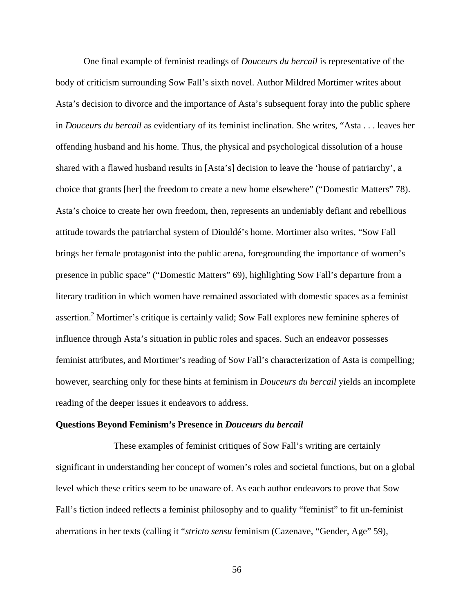One final example of feminist readings of *Douceurs du bercail* is representative of the body of criticism surrounding Sow Fall's sixth novel. Author Mildred Mortimer writes about Asta's decision to divorce and the importance of Asta's subsequent foray into the public sphere in *Douceurs du bercail* as evidentiary of its feminist inclination. She writes, "Asta . . . leaves her offending husband and his home. Thus, the physical and psychological dissolution of a house shared with a flawed husband results in [Asta's] decision to leave the 'house of patriarchy', a choice that grants [her] the freedom to create a new home elsewhere" ("Domestic Matters" 78). Asta's choice to create her own freedom, then, represents an undeniably defiant and rebellious attitude towards the patriarchal system of Diouldé's home. Mortimer also writes, "Sow Fall brings her female protagonist into the public arena, foregrounding the importance of women's presence in public space" ("Domestic Matters" 69), highlighting Sow Fall's departure from a literary tradition in which women have remained associated with domestic spaces as a feminist assertion.<sup>2</sup> Mortimer's critique is certainly valid; Sow Fall explores new feminine spheres of influence through Asta's situation in public roles and spaces. Such an endeavor possesses feminist attributes, and Mortimer's reading of Sow Fall's characterization of Asta is compelling; however, searching only for these hints at feminism in *Douceurs du bercail* yields an incomplete reading of the deeper issues it endeavors to address.

#### **Questions Beyond Feminism's Presence in** *Douceurs du bercail*

These examples of feminist critiques of Sow Fall's writing are certainly significant in understanding her concept of women's roles and societal functions, but on a global level which these critics seem to be unaware of. As each author endeavors to prove that Sow Fall's fiction indeed reflects a feminist philosophy and to qualify "feminist" to fit un-feminist aberrations in her texts (calling it "*stricto sensu* feminism (Cazenave, "Gender, Age" 59),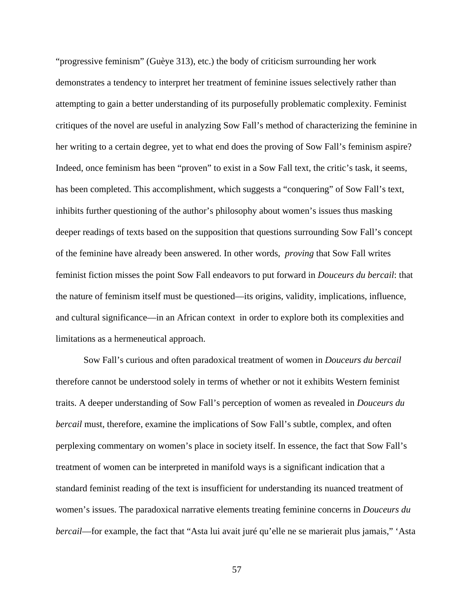"progressive feminism" (Guèye 313), etc.) the body of criticism surrounding her work demonstrates a tendency to interpret her treatment of feminine issues selectively rather than attempting to gain a better understanding of its purposefully problematic complexity. Feminist critiques of the novel are useful in analyzing Sow Fall's method of characterizing the feminine in her writing to a certain degree, yet to what end does the proving of Sow Fall's feminism aspire? Indeed, once feminism has been "proven" to exist in a Sow Fall text, the critic's task, it seems, has been completed. This accomplishment, which suggests a "conquering" of Sow Fall's text, inhibits further questioning of the author's philosophy about women's issues thus masking deeper readings of texts based on the supposition that questions surrounding Sow Fall's concept of the feminine have already been answered. In other words, *proving* that Sow Fall writes feminist fiction misses the point Sow Fall endeavors to put forward in *Douceurs du bercail*: that the nature of feminism itself must be questioned—its origins, validity, implications, influence, and cultural significance—in an African context in order to explore both its complexities and limitations as a hermeneutical approach.

Sow Fall's curious and often paradoxical treatment of women in *Douceurs du bercail* therefore cannot be understood solely in terms of whether or not it exhibits Western feminist traits. A deeper understanding of Sow Fall's perception of women as revealed in *Douceurs du bercail* must, therefore, examine the implications of Sow Fall's subtle, complex, and often perplexing commentary on women's place in society itself. In essence, the fact that Sow Fall's treatment of women can be interpreted in manifold ways is a significant indication that a standard feminist reading of the text is insufficient for understanding its nuanced treatment of women's issues. The paradoxical narrative elements treating feminine concerns in *Douceurs du bercail*—for example, the fact that "Asta lui avait juré qu'elle ne se marierait plus jamais," 'Asta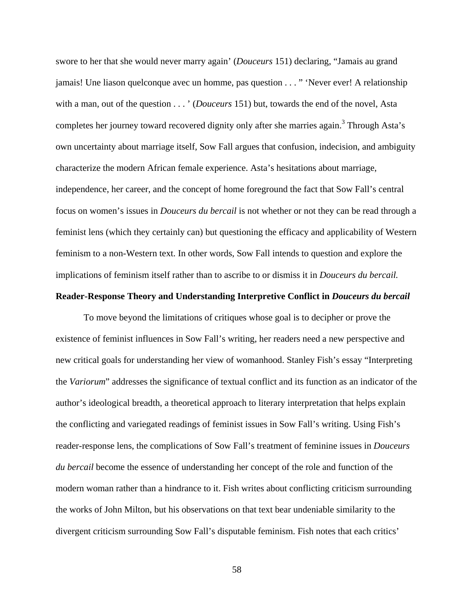swore to her that she would never marry again' (*Douceurs* 151) declaring, "Jamais au grand jamais! Une liason quelconque avec un homme, pas question . . . " 'Never ever! A relationship with a man, out of the question . . . ' (*Douceurs* 151) but, towards the end of the novel, Asta completes her journey toward recovered dignity only after she marries again.<sup>3</sup> Through Asta's own uncertainty about marriage itself, Sow Fall argues that confusion, indecision, and ambiguity characterize the modern African female experience. Asta's hesitations about marriage, independence, her career, and the concept of home foreground the fact that Sow Fall's central focus on women's issues in *Douceurs du bercail* is not whether or not they can be read through a feminist lens (which they certainly can) but questioning the efficacy and applicability of Western feminism to a non-Western text. In other words, Sow Fall intends to question and explore the implications of feminism itself rather than to ascribe to or dismiss it in *Douceurs du bercail.*

# **Reader-Response Theory and Understanding Interpretive Conflict in** *Douceurs du bercail*

To move beyond the limitations of critiques whose goal is to decipher or prove the existence of feminist influences in Sow Fall's writing, her readers need a new perspective and new critical goals for understanding her view of womanhood. Stanley Fish's essay "Interpreting the *Variorum*" addresses the significance of textual conflict and its function as an indicator of the author's ideological breadth, a theoretical approach to literary interpretation that helps explain the conflicting and variegated readings of feminist issues in Sow Fall's writing. Using Fish's reader-response lens, the complications of Sow Fall's treatment of feminine issues in *Douceurs du bercail* become the essence of understanding her concept of the role and function of the modern woman rather than a hindrance to it. Fish writes about conflicting criticism surrounding the works of John Milton, but his observations on that text bear undeniable similarity to the divergent criticism surrounding Sow Fall's disputable feminism. Fish notes that each critics'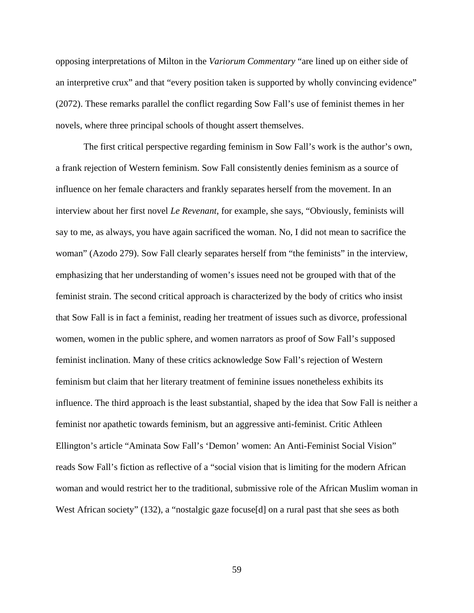opposing interpretations of Milton in the *Variorum Commentary* "are lined up on either side of an interpretive crux" and that "every position taken is supported by wholly convincing evidence" (2072). These remarks parallel the conflict regarding Sow Fall's use of feminist themes in her novels, where three principal schools of thought assert themselves.

The first critical perspective regarding feminism in Sow Fall's work is the author's own, a frank rejection of Western feminism. Sow Fall consistently denies feminism as a source of influence on her female characters and frankly separates herself from the movement. In an interview about her first novel *Le Revenant*, for example, she says, "Obviously, feminists will say to me, as always, you have again sacrificed the woman. No, I did not mean to sacrifice the woman" (Azodo 279). Sow Fall clearly separates herself from "the feminists" in the interview, emphasizing that her understanding of women's issues need not be grouped with that of the feminist strain. The second critical approach is characterized by the body of critics who insist that Sow Fall is in fact a feminist, reading her treatment of issues such as divorce, professional women, women in the public sphere, and women narrators as proof of Sow Fall's supposed feminist inclination. Many of these critics acknowledge Sow Fall's rejection of Western feminism but claim that her literary treatment of feminine issues nonetheless exhibits its influence. The third approach is the least substantial, shaped by the idea that Sow Fall is neither a feminist nor apathetic towards feminism, but an aggressive anti-feminist. Critic Athleen Ellington's article "Aminata Sow Fall's 'Demon' women: An Anti-Feminist Social Vision" reads Sow Fall's fiction as reflective of a "social vision that is limiting for the modern African woman and would restrict her to the traditional, submissive role of the African Muslim woman in West African society" (132), a "nostalgic gaze focuse[d] on a rural past that she sees as both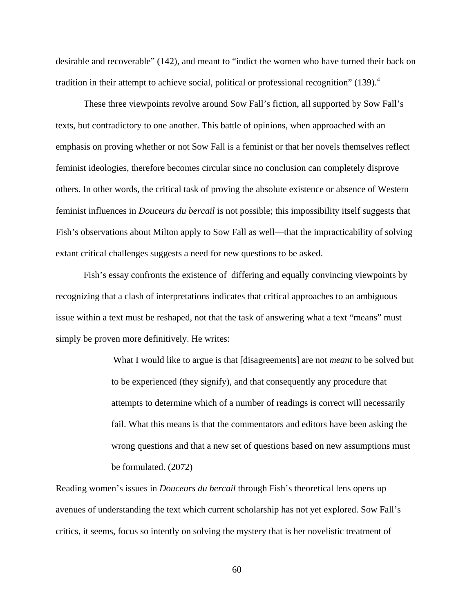desirable and recoverable" (142), and meant to "indict the women who have turned their back on tradition in their attempt to achieve social, political or professional recognition"  $(139)^4$ 

These three viewpoints revolve around Sow Fall's fiction, all supported by Sow Fall's texts, but contradictory to one another. This battle of opinions, when approached with an emphasis on proving whether or not Sow Fall is a feminist or that her novels themselves reflect feminist ideologies, therefore becomes circular since no conclusion can completely disprove others. In other words, the critical task of proving the absolute existence or absence of Western feminist influences in *Douceurs du bercail* is not possible; this impossibility itself suggests that Fish's observations about Milton apply to Sow Fall as well—that the impracticability of solving extant critical challenges suggests a need for new questions to be asked.

Fish's essay confronts the existence of differing and equally convincing viewpoints by recognizing that a clash of interpretations indicates that critical approaches to an ambiguous issue within a text must be reshaped, not that the task of answering what a text "means" must simply be proven more definitively. He writes:

> What I would like to argue is that [disagreements] are not *meant* to be solved but to be experienced (they signify), and that consequently any procedure that attempts to determine which of a number of readings is correct will necessarily fail. What this means is that the commentators and editors have been asking the wrong questions and that a new set of questions based on new assumptions must be formulated. (2072)

Reading women's issues in *Douceurs du bercail* through Fish's theoretical lens opens up avenues of understanding the text which current scholarship has not yet explored. Sow Fall's critics, it seems, focus so intently on solving the mystery that is her novelistic treatment of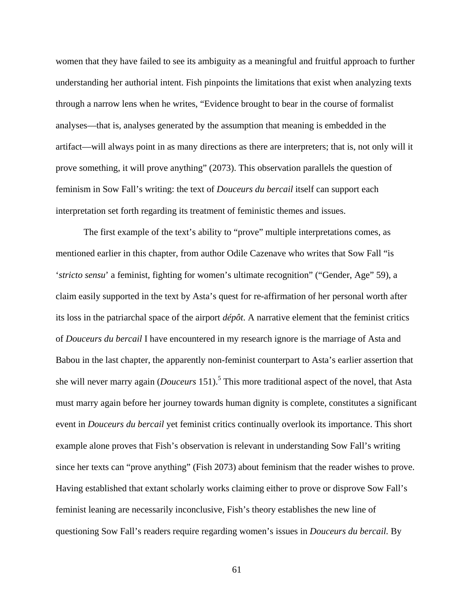women that they have failed to see its ambiguity as a meaningful and fruitful approach to further understanding her authorial intent. Fish pinpoints the limitations that exist when analyzing texts through a narrow lens when he writes, "Evidence brought to bear in the course of formalist analyses—that is, analyses generated by the assumption that meaning is embedded in the artifact—will always point in as many directions as there are interpreters; that is, not only will it prove something, it will prove anything" (2073). This observation parallels the question of feminism in Sow Fall's writing: the text of *Douceurs du bercail* itself can support each interpretation set forth regarding its treatment of feministic themes and issues.

The first example of the text's ability to "prove" multiple interpretations comes, as mentioned earlier in this chapter, from author Odile Cazenave who writes that Sow Fall "is '*stricto sensu*' a feminist, fighting for women's ultimate recognition" ("Gender, Age" 59), a claim easily supported in the text by Asta's quest for re-affirmation of her personal worth after its loss in the patriarchal space of the airport *dépôt*. A narrative element that the feminist critics of *Douceurs du bercail* I have encountered in my research ignore is the marriage of Asta and Babou in the last chapter, the apparently non-feminist counterpart to Asta's earlier assertion that she will never marry again (*Douceurs* 151).<sup>5</sup> This more traditional aspect of the novel, that Asta must marry again before her journey towards human dignity is complete, constitutes a significant event in *Douceurs du bercail* yet feminist critics continually overlook its importance. This short example alone proves that Fish's observation is relevant in understanding Sow Fall's writing since her texts can "prove anything" (Fish 2073) about feminism that the reader wishes to prove. Having established that extant scholarly works claiming either to prove or disprove Sow Fall's feminist leaning are necessarily inconclusive, Fish's theory establishes the new line of questioning Sow Fall's readers require regarding women's issues in *Douceurs du bercail.* By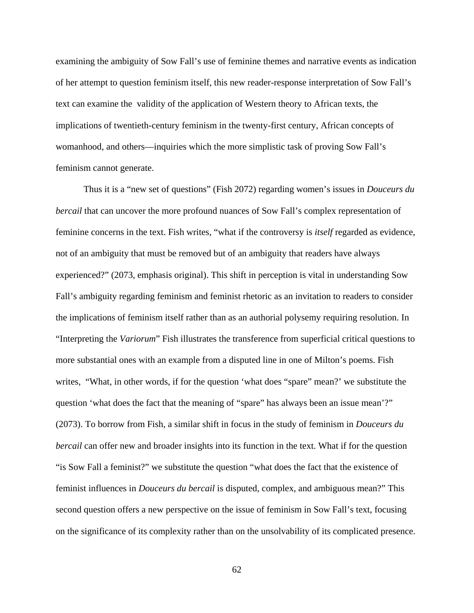examining the ambiguity of Sow Fall's use of feminine themes and narrative events as indication of her attempt to question feminism itself, this new reader-response interpretation of Sow Fall's text can examine the validity of the application of Western theory to African texts, the implications of twentieth-century feminism in the twenty-first century, African concepts of womanhood, and others—inquiries which the more simplistic task of proving Sow Fall's feminism cannot generate.

Thus it is a "new set of questions" (Fish 2072) regarding women's issues in *Douceurs du bercail* that can uncover the more profound nuances of Sow Fall's complex representation of feminine concerns in the text. Fish writes, "what if the controversy is *itself* regarded as evidence, not of an ambiguity that must be removed but of an ambiguity that readers have always experienced?" (2073, emphasis original). This shift in perception is vital in understanding Sow Fall's ambiguity regarding feminism and feminist rhetoric as an invitation to readers to consider the implications of feminism itself rather than as an authorial polysemy requiring resolution. In "Interpreting the *Variorum*" Fish illustrates the transference from superficial critical questions to more substantial ones with an example from a disputed line in one of Milton's poems. Fish writes, "What, in other words, if for the question 'what does "spare" mean?' we substitute the question 'what does the fact that the meaning of "spare" has always been an issue mean'?" (2073). To borrow from Fish, a similar shift in focus in the study of feminism in *Douceurs du bercail* can offer new and broader insights into its function in the text. What if for the question "is Sow Fall a feminist?" we substitute the question "what does the fact that the existence of feminist influences in *Douceurs du bercail* is disputed, complex, and ambiguous mean?" This second question offers a new perspective on the issue of feminism in Sow Fall's text, focusing on the significance of its complexity rather than on the unsolvability of its complicated presence.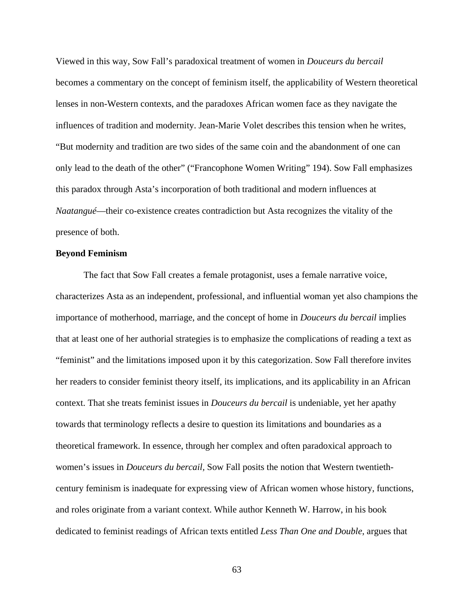Viewed in this way, Sow Fall's paradoxical treatment of women in *Douceurs du bercail*  becomes a commentary on the concept of feminism itself, the applicability of Western theoretical lenses in non-Western contexts, and the paradoxes African women face as they navigate the influences of tradition and modernity. Jean-Marie Volet describes this tension when he writes, "But modernity and tradition are two sides of the same coin and the abandonment of one can only lead to the death of the other" ("Francophone Women Writing" 194). Sow Fall emphasizes this paradox through Asta's incorporation of both traditional and modern influences at *Naatangué*—their co-existence creates contradiction but Asta recognizes the vitality of the presence of both.

#### **Beyond Feminism**

The fact that Sow Fall creates a female protagonist, uses a female narrative voice, characterizes Asta as an independent, professional, and influential woman yet also champions the importance of motherhood, marriage, and the concept of home in *Douceurs du bercail* implies that at least one of her authorial strategies is to emphasize the complications of reading a text as "feminist" and the limitations imposed upon it by this categorization. Sow Fall therefore invites her readers to consider feminist theory itself, its implications, and its applicability in an African context. That she treats feminist issues in *Douceurs du bercail* is undeniable, yet her apathy towards that terminology reflects a desire to question its limitations and boundaries as a theoretical framework. In essence, through her complex and often paradoxical approach to women's issues in *Douceurs du bercail,* Sow Fall posits the notion that Western twentiethcentury feminism is inadequate for expressing view of African women whose history, functions, and roles originate from a variant context. While author Kenneth W. Harrow, in his book dedicated to feminist readings of African texts entitled *Less Than One and Double*, argues that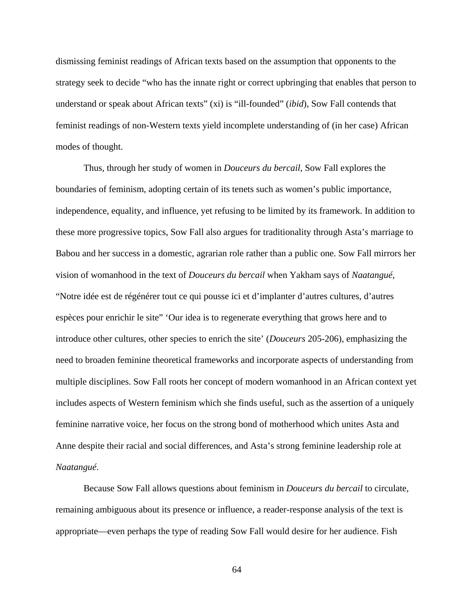dismissing feminist readings of African texts based on the assumption that opponents to the strategy seek to decide "who has the innate right or correct upbringing that enables that person to understand or speak about African texts" (xi) is "ill-founded" (*ibid*), Sow Fall contends that feminist readings of non-Western texts yield incomplete understanding of (in her case) African modes of thought.

Thus, through her study of women in *Douceurs du bercail*, Sow Fall explores the boundaries of feminism, adopting certain of its tenets such as women's public importance, independence, equality, and influence, yet refusing to be limited by its framework. In addition to these more progressive topics, Sow Fall also argues for traditionality through Asta's marriage to Babou and her success in a domestic, agrarian role rather than a public one. Sow Fall mirrors her vision of womanhood in the text of *Douceurs du bercail* when Yakham says of *Naatangué*, "Notre idée est de régénérer tout ce qui pousse ici et d'implanter d'autres cultures, d'autres espèces pour enrichir le site" 'Our idea is to regenerate everything that grows here and to introduce other cultures, other species to enrich the site' (*Douceurs* 205-206), emphasizing the need to broaden feminine theoretical frameworks and incorporate aspects of understanding from multiple disciplines. Sow Fall roots her concept of modern womanhood in an African context yet includes aspects of Western feminism which she finds useful, such as the assertion of a uniquely feminine narrative voice, her focus on the strong bond of motherhood which unites Asta and Anne despite their racial and social differences, and Asta's strong feminine leadership role at *Naatangué*.

Because Sow Fall allows questions about feminism in *Douceurs du bercail* to circulate, remaining ambiguous about its presence or influence, a reader-response analysis of the text is appropriate—even perhaps the type of reading Sow Fall would desire for her audience. Fish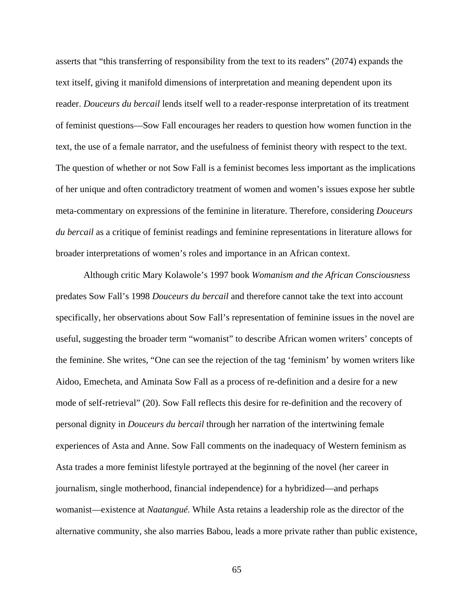asserts that "this transferring of responsibility from the text to its readers" (2074) expands the text itself, giving it manifold dimensions of interpretation and meaning dependent upon its reader. *Douceurs du bercail* lends itself well to a reader-response interpretation of its treatment of feminist questions—Sow Fall encourages her readers to question how women function in the text, the use of a female narrator, and the usefulness of feminist theory with respect to the text. The question of whether or not Sow Fall is a feminist becomes less important as the implications of her unique and often contradictory treatment of women and women's issues expose her subtle meta-commentary on expressions of the feminine in literature. Therefore, considering *Douceurs du bercail* as a critique of feminist readings and feminine representations in literature allows for broader interpretations of women's roles and importance in an African context.

Although critic Mary Kolawole's 1997 book *Womanism and the African Consciousness*  predates Sow Fall's 1998 *Douceurs du bercail* and therefore cannot take the text into account specifically, her observations about Sow Fall's representation of feminine issues in the novel are useful, suggesting the broader term "womanist" to describe African women writers' concepts of the feminine. She writes, "One can see the rejection of the tag 'feminism' by women writers like Aidoo, Emecheta, and Aminata Sow Fall as a process of re-definition and a desire for a new mode of self-retrieval" (20). Sow Fall reflects this desire for re-definition and the recovery of personal dignity in *Douceurs du bercail* through her narration of the intertwining female experiences of Asta and Anne. Sow Fall comments on the inadequacy of Western feminism as Asta trades a more feminist lifestyle portrayed at the beginning of the novel (her career in journalism, single motherhood, financial independence) for a hybridized—and perhaps womanist—existence at *Naatangué.* While Asta retains a leadership role as the director of the alternative community, she also marries Babou, leads a more private rather than public existence,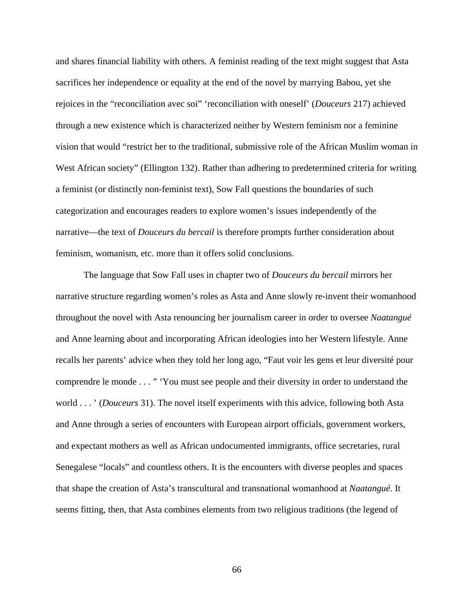and shares financial liability with others. A feminist reading of the text might suggest that Asta sacrifices her independence or equality at the end of the novel by marrying Babou, yet she rejoices in the "reconciliation avec soi" 'reconciliation with oneself' (*Douceurs* 217) achieved through a new existence which is characterized neither by Western feminism nor a feminine vision that would "restrict her to the traditional, submissive role of the African Muslim woman in West African society" (Ellington 132). Rather than adhering to predetermined criteria for writing a feminist (or distinctly non-feminist text), Sow Fall questions the boundaries of such categorization and encourages readers to explore women's issues independently of the narrative—the text of *Douceurs du bercail* is therefore prompts further consideration about feminism, womanism, etc. more than it offers solid conclusions.

The language that Sow Fall uses in chapter two of *Douceurs du bercail* mirrors her narrative structure regarding women's roles as Asta and Anne slowly re-invent their womanhood throughout the novel with Asta renouncing her journalism career in order to oversee *Naatangué* and Anne learning about and incorporating African ideologies into her Western lifestyle. Anne recalls her parents' advice when they told her long ago, "Faut voir les gens et leur diversité pour comprendre le monde . . . " 'You must see people and their diversity in order to understand the world . . . ' (*Douceurs* 31). The novel itself experiments with this advice, following both Asta and Anne through a series of encounters with European airport officials, government workers, and expectant mothers as well as African undocumented immigrants, office secretaries, rural Senegalese "locals" and countless others. It is the encounters with diverse peoples and spaces that shape the creation of Asta's transcultural and transnational womanhood at *Naatangué*. It seems fitting, then, that Asta combines elements from two religious traditions (the legend of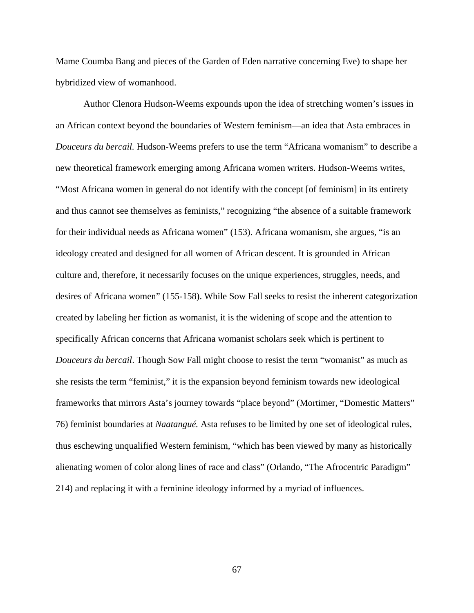Mame Coumba Bang and pieces of the Garden of Eden narrative concerning Eve) to shape her hybridized view of womanhood.

Author Clenora Hudson-Weems expounds upon the idea of stretching women's issues in an African context beyond the boundaries of Western feminism—an idea that Asta embraces in *Douceurs du bercail.* Hudson-Weems prefers to use the term "Africana womanism" to describe a new theoretical framework emerging among Africana women writers. Hudson-Weems writes, "Most Africana women in general do not identify with the concept [of feminism] in its entirety and thus cannot see themselves as feminists," recognizing "the absence of a suitable framework for their individual needs as Africana women" (153). Africana womanism, she argues, "is an ideology created and designed for all women of African descent. It is grounded in African culture and, therefore, it necessarily focuses on the unique experiences, struggles, needs, and desires of Africana women" (155-158). While Sow Fall seeks to resist the inherent categorization created by labeling her fiction as womanist, it is the widening of scope and the attention to specifically African concerns that Africana womanist scholars seek which is pertinent to *Douceurs du bercail*. Though Sow Fall might choose to resist the term "womanist" as much as she resists the term "feminist," it is the expansion beyond feminism towards new ideological frameworks that mirrors Asta's journey towards "place beyond" (Mortimer, "Domestic Matters" 76) feminist boundaries at *Naatangué.* Asta refuses to be limited by one set of ideological rules, thus eschewing unqualified Western feminism, "which has been viewed by many as historically alienating women of color along lines of race and class" (Orlando, "The Afrocentric Paradigm" 214) and replacing it with a feminine ideology informed by a myriad of influences.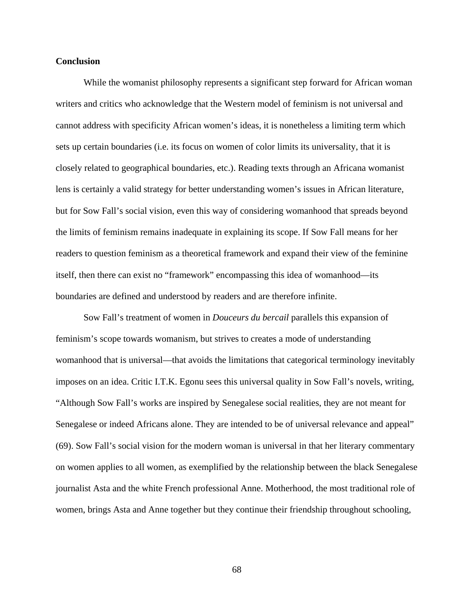## **Conclusion**

While the womanist philosophy represents a significant step forward for African woman writers and critics who acknowledge that the Western model of feminism is not universal and cannot address with specificity African women's ideas, it is nonetheless a limiting term which sets up certain boundaries (i.e. its focus on women of color limits its universality, that it is closely related to geographical boundaries, etc.). Reading texts through an Africana womanist lens is certainly a valid strategy for better understanding women's issues in African literature, but for Sow Fall's social vision, even this way of considering womanhood that spreads beyond the limits of feminism remains inadequate in explaining its scope. If Sow Fall means for her readers to question feminism as a theoretical framework and expand their view of the feminine itself, then there can exist no "framework" encompassing this idea of womanhood—its boundaries are defined and understood by readers and are therefore infinite.

Sow Fall's treatment of women in *Douceurs du bercail* parallels this expansion of feminism's scope towards womanism, but strives to creates a mode of understanding womanhood that is universal—that avoids the limitations that categorical terminology inevitably imposes on an idea. Critic I.T.K. Egonu sees this universal quality in Sow Fall's novels, writing, "Although Sow Fall's works are inspired by Senegalese social realities, they are not meant for Senegalese or indeed Africans alone. They are intended to be of universal relevance and appeal" (69). Sow Fall's social vision for the modern woman is universal in that her literary commentary on women applies to all women, as exemplified by the relationship between the black Senegalese journalist Asta and the white French professional Anne. Motherhood, the most traditional role of women, brings Asta and Anne together but they continue their friendship throughout schooling,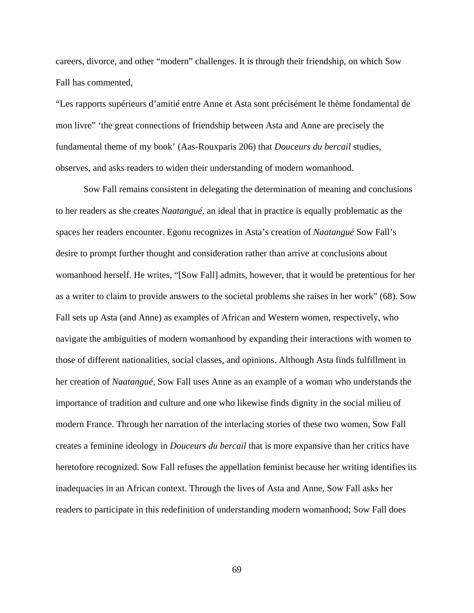careers, divorce, and other "modern" challenges. It is through their friendship, on which Sow Fall has commented,

"Les rapports supérieurs d'amitié entre Anne et Asta sont précisément le thème fondamental de mon livre" 'the great connections of friendship between Asta and Anne are precisely the fundamental theme of my book' (Aas-Rouxparis 206) that *Douceurs du bercail* studies, observes, and asks readers to widen their understanding of modern womanhood.

Sow Fall remains consistent in delegating the determination of meaning and conclusions to her readers as she creates *Naatangué,* an ideal that in practice is equally problematic as the spaces her readers encounter. Egonu recognizes in Asta's creation of *Naatangué* Sow Fall's desire to prompt further thought and consideration rather than arrive at conclusions about womanhood herself. He writes, "[Sow Fall] admits, however, that it would be pretentious for her as a writer to claim to provide answers to the societal problems she raises in her work" (68). Sow Fall sets up Asta (and Anne) as examples of African and Western women, respectively, who navigate the ambiguities of modern womanhood by expanding their interactions with women to those of different nationalities, social classes, and opinions. Although Asta finds fulfillment in her creation of *Naatangué,* Sow Fall uses Anne as an example of a woman who understands the importance of tradition and culture and one who likewise finds dignity in the social milieu of modern France. Through her narration of the interlacing stories of these two women, Sow Fall creates a feminine ideology in *Douceurs du bercail* that is more expansive than her critics have heretofore recognized. Sow Fall refuses the appellation feminist because her writing identifies its inadequacies in an African context. Through the lives of Asta and Anne, Sow Fall asks her readers to participate in this redefinition of understanding modern womanhood; Sow Fall does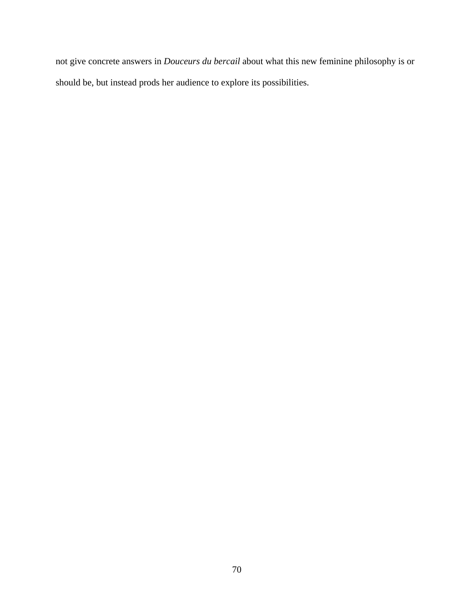not give concrete answers in *Douceurs du bercail* about what this new feminine philosophy is or should be, but instead prods her audience to explore its possibilities.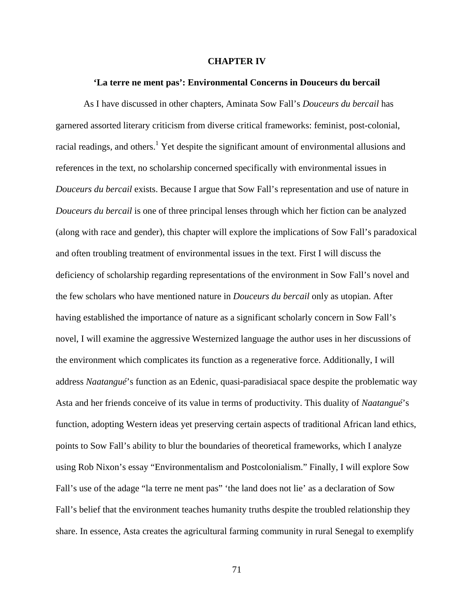## **CHAPTER IV**

## **'La terre ne ment pas': Environmental Concerns in Douceurs du bercail**

As I have discussed in other chapters, Aminata Sow Fall's *Douceurs du bercail* has garnered assorted literary criticism from diverse critical frameworks: feminist, post-colonial, racial readings, and others.<sup>1</sup> Yet despite the significant amount of environmental allusions and references in the text, no scholarship concerned specifically with environmental issues in *Douceurs du bercail* exists. Because I argue that Sow Fall's representation and use of nature in *Douceurs du bercail* is one of three principal lenses through which her fiction can be analyzed (along with race and gender), this chapter will explore the implications of Sow Fall's paradoxical and often troubling treatment of environmental issues in the text. First I will discuss the deficiency of scholarship regarding representations of the environment in Sow Fall's novel and the few scholars who have mentioned nature in *Douceurs du bercail* only as utopian. After having established the importance of nature as a significant scholarly concern in Sow Fall's novel, I will examine the aggressive Westernized language the author uses in her discussions of the environment which complicates its function as a regenerative force. Additionally, I will address *Naatangué*'s function as an Edenic, quasi-paradisiacal space despite the problematic way Asta and her friends conceive of its value in terms of productivity. This duality of *Naatangué*'s function, adopting Western ideas yet preserving certain aspects of traditional African land ethics, points to Sow Fall's ability to blur the boundaries of theoretical frameworks, which I analyze using Rob Nixon's essay "Environmentalism and Postcolonialism." Finally, I will explore Sow Fall's use of the adage "la terre ne ment pas" 'the land does not lie' as a declaration of Sow Fall's belief that the environment teaches humanity truths despite the troubled relationship they share. In essence, Asta creates the agricultural farming community in rural Senegal to exemplify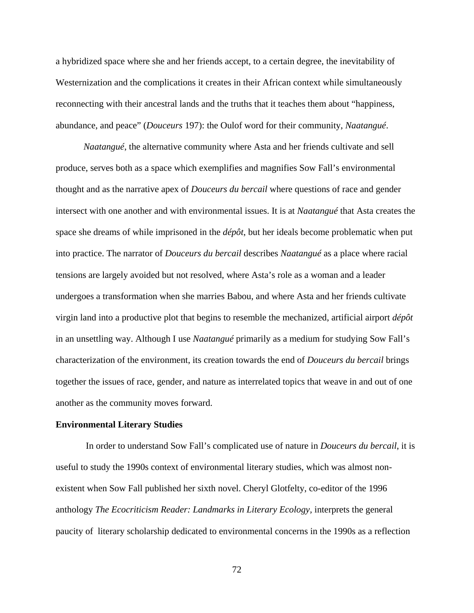a hybridized space where she and her friends accept, to a certain degree, the inevitability of Westernization and the complications it creates in their African context while simultaneously reconnecting with their ancestral lands and the truths that it teaches them about "happiness, abundance, and peace" (*Douceurs* 197): the Oulof word for their community, *Naatangué*.

*Naatangué*, the alternative community where Asta and her friends cultivate and sell produce, serves both as a space which exemplifies and magnifies Sow Fall's environmental thought and as the narrative apex of *Douceurs du bercail* where questions of race and gender intersect with one another and with environmental issues. It is at *Naatangué* that Asta creates the space she dreams of while imprisoned in the *dépôt*, but her ideals become problematic when put into practice. The narrator of *Douceurs du bercail* describes *Naatangué* as a place where racial tensions are largely avoided but not resolved, where Asta's role as a woman and a leader undergoes a transformation when she marries Babou, and where Asta and her friends cultivate virgin land into a productive plot that begins to resemble the mechanized, artificial airport *dépôt* in an unsettling way. Although I use *Naatangué* primarily as a medium for studying Sow Fall's characterization of the environment, its creation towards the end of *Douceurs du bercail* brings together the issues of race, gender, and nature as interrelated topics that weave in and out of one another as the community moves forward.

## **Environmental Literary Studies**

In order to understand Sow Fall's complicated use of nature in *Douceurs du bercail*, it is useful to study the 1990s context of environmental literary studies, which was almost nonexistent when Sow Fall published her sixth novel. Cheryl Glotfelty, co-editor of the 1996 anthology *The Ecocriticism Reader: Landmarks in Literary Ecology,* interprets the general paucity of literary scholarship dedicated to environmental concerns in the 1990s as a reflection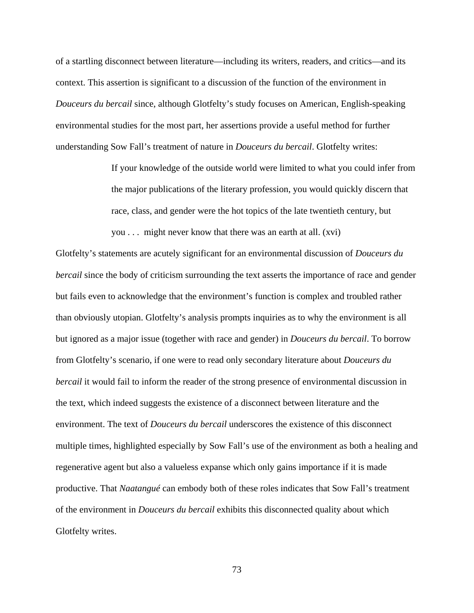of a startling disconnect between literature—including its writers, readers, and critics—and its context. This assertion is significant to a discussion of the function of the environment in *Douceurs du bercail* since, although Glotfelty's study focuses on American, English-speaking environmental studies for the most part, her assertions provide a useful method for further understanding Sow Fall's treatment of nature in *Douceurs du bercail*. Glotfelty writes:

you . . . might never know that there was an earth at all. (xvi)

If your knowledge of the outside world were limited to what you could infer from the major publications of the literary profession, you would quickly discern that race, class, and gender were the hot topics of the late twentieth century, but

Glotfelty's statements are acutely significant for an environmental discussion of *Douceurs du bercail* since the body of criticism surrounding the text asserts the importance of race and gender but fails even to acknowledge that the environment's function is complex and troubled rather than obviously utopian. Glotfelty's analysis prompts inquiries as to why the environment is all but ignored as a major issue (together with race and gender) in *Douceurs du bercail*. To borrow from Glotfelty's scenario, if one were to read only secondary literature about *Douceurs du bercail* it would fail to inform the reader of the strong presence of environmental discussion in the text, which indeed suggests the existence of a disconnect between literature and the environment. The text of *Douceurs du bercail* underscores the existence of this disconnect multiple times, highlighted especially by Sow Fall's use of the environment as both a healing and regenerative agent but also a valueless expanse which only gains importance if it is made productive. That *Naatangué* can embody both of these roles indicates that Sow Fall's treatment of the environment in *Douceurs du bercail* exhibits this disconnected quality about which Glotfelty writes.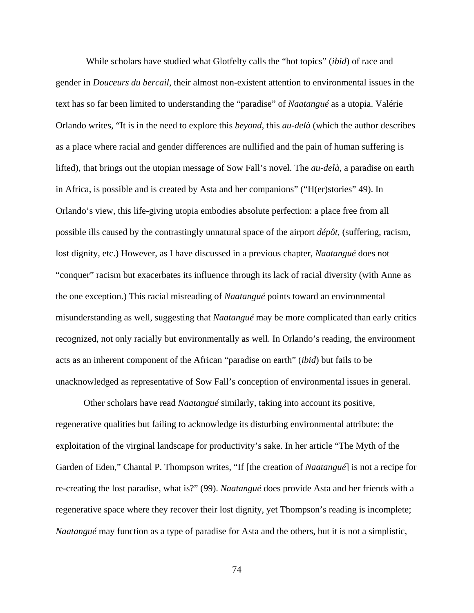While scholars have studied what Glotfelty calls the "hot topics" (*ibid*) of race and gender in *Douceurs du bercail*, their almost non-existent attention to environmental issues in the text has so far been limited to understanding the "paradise" of *Naatangué* as a utopia. Valérie Orlando writes, "It is in the need to explore this *beyond*, this *au-delà* (which the author describes as a place where racial and gender differences are nullified and the pain of human suffering is lifted), that brings out the utopian message of Sow Fall's novel. The *au-delà*, a paradise on earth in Africa, is possible and is created by Asta and her companions" ("H(er)stories" 49). In Orlando's view, this life-giving utopia embodies absolute perfection: a place free from all possible ills caused by the contrastingly unnatural space of the airport *dépôt*, (suffering, racism, lost dignity, etc.) However, as I have discussed in a previous chapter, *Naatangué* does not "conquer" racism but exacerbates its influence through its lack of racial diversity (with Anne as the one exception.) This racial misreading of *Naatangué* points toward an environmental misunderstanding as well, suggesting that *Naatangué* may be more complicated than early critics recognized, not only racially but environmentally as well. In Orlando's reading, the environment acts as an inherent component of the African "paradise on earth" (*ibid*) but fails to be unacknowledged as representative of Sow Fall's conception of environmental issues in general.

Other scholars have read *Naatangué* similarly, taking into account its positive, regenerative qualities but failing to acknowledge its disturbing environmental attribute: the exploitation of the virginal landscape for productivity's sake. In her article "The Myth of the Garden of Eden," Chantal P. Thompson writes, "If [the creation of *Naatangué*] is not a recipe for re-creating the lost paradise, what is?" (99). *Naatangué* does provide Asta and her friends with a regenerative space where they recover their lost dignity, yet Thompson's reading is incomplete; *Naatangué* may function as a type of paradise for Asta and the others, but it is not a simplistic,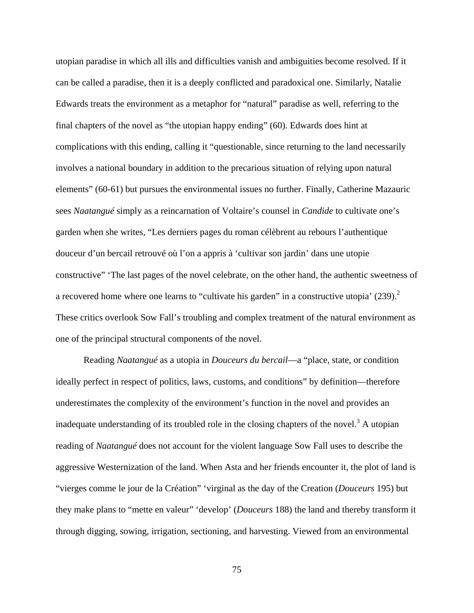utopian paradise in which all ills and difficulties vanish and ambiguities become resolved. If it can be called a paradise, then it is a deeply conflicted and paradoxical one. Similarly, Natalie Edwards treats the environment as a metaphor for "natural" paradise as well, referring to the final chapters of the novel as "the utopian happy ending" (60). Edwards does hint at complications with this ending, calling it "questionable, since returning to the land necessarily involves a national boundary in addition to the precarious situation of relying upon natural elements" (60-61) but pursues the environmental issues no further. Finally, Catherine Mazauric sees *Naatangué* simply as a reincarnation of Voltaire's counsel in *Candide* to cultivate one's garden when she writes, "Les derniers pages du roman célèbrent au rebours l'authentique douceur d'un bercail retrouvé où l'on a appris à 'cultivar son jardin' dans une utopie constructive" 'The last pages of the novel celebrate, on the other hand, the authentic sweetness of a recovered home where one learns to "cultivate his garden" in a constructive utopia'  $(239)$ .<sup>2</sup> These critics overlook Sow Fall's troubling and complex treatment of the natural environment as one of the principal structural components of the novel.

Reading *Naatangué* as a utopia in *Douceurs du bercail*—a "place, state, or condition ideally perfect in respect of politics, laws, customs, and conditions" by definition—therefore underestimates the complexity of the environment's function in the novel and provides an inadequate understanding of its troubled role in the closing chapters of the novel.<sup>3</sup> A utopian reading of *Naatangué* does not account for the violent language Sow Fall uses to describe the aggressive Westernization of the land. When Asta and her friends encounter it, the plot of land is "vierges comme le jour de la Création" 'virginal as the day of the Creation (*Douceurs* 195) but they make plans to "mette en valeur" 'develop' (*Douceurs* 188) the land and thereby transform it through digging, sowing, irrigation, sectioning, and harvesting. Viewed from an environmental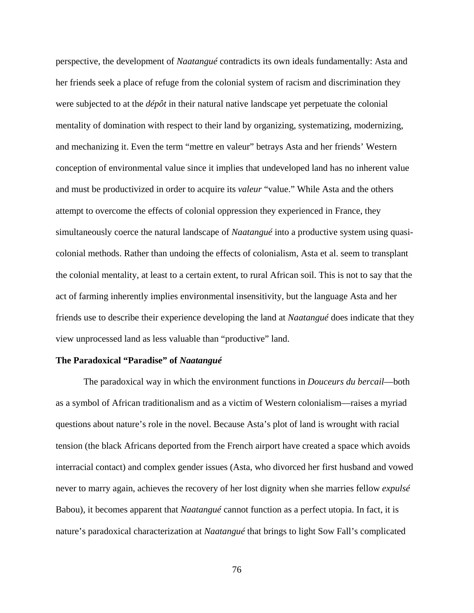perspective, the development of *Naatangué* contradicts its own ideals fundamentally: Asta and her friends seek a place of refuge from the colonial system of racism and discrimination they were subjected to at the *dépôt* in their natural native landscape yet perpetuate the colonial mentality of domination with respect to their land by organizing, systematizing, modernizing, and mechanizing it. Even the term "mettre en valeur" betrays Asta and her friends' Western conception of environmental value since it implies that undeveloped land has no inherent value and must be productivized in order to acquire its *valeur* "value." While Asta and the others attempt to overcome the effects of colonial oppression they experienced in France, they simultaneously coerce the natural landscape of *Naatangué* into a productive system using quasicolonial methods. Rather than undoing the effects of colonialism, Asta et al. seem to transplant the colonial mentality, at least to a certain extent, to rural African soil. This is not to say that the act of farming inherently implies environmental insensitivity, but the language Asta and her friends use to describe their experience developing the land at *Naatangué* does indicate that they view unprocessed land as less valuable than "productive" land.

## **The Paradoxical "Paradise" of** *Naatangué*

The paradoxical way in which the environment functions in *Douceurs du bercail*—both as a symbol of African traditionalism and as a victim of Western colonialism—raises a myriad questions about nature's role in the novel. Because Asta's plot of land is wrought with racial tension (the black Africans deported from the French airport have created a space which avoids interracial contact) and complex gender issues (Asta, who divorced her first husband and vowed never to marry again, achieves the recovery of her lost dignity when she marries fellow *expulsé* Babou), it becomes apparent that *Naatangué* cannot function as a perfect utopia. In fact, it is nature's paradoxical characterization at *Naatangué* that brings to light Sow Fall's complicated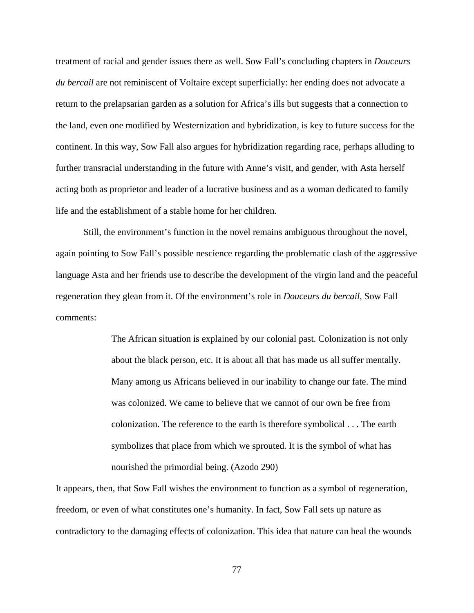treatment of racial and gender issues there as well. Sow Fall's concluding chapters in *Douceurs du bercail* are not reminiscent of Voltaire except superficially: her ending does not advocate a return to the prelapsarian garden as a solution for Africa's ills but suggests that a connection to the land, even one modified by Westernization and hybridization, is key to future success for the continent. In this way, Sow Fall also argues for hybridization regarding race, perhaps alluding to further transracial understanding in the future with Anne's visit, and gender, with Asta herself acting both as proprietor and leader of a lucrative business and as a woman dedicated to family life and the establishment of a stable home for her children.

Still, the environment's function in the novel remains ambiguous throughout the novel, again pointing to Sow Fall's possible nescience regarding the problematic clash of the aggressive language Asta and her friends use to describe the development of the virgin land and the peaceful regeneration they glean from it. Of the environment's role in *Douceurs du bercail*, Sow Fall comments:

> The African situation is explained by our colonial past. Colonization is not only about the black person, etc. It is about all that has made us all suffer mentally. Many among us Africans believed in our inability to change our fate. The mind was colonized. We came to believe that we cannot of our own be free from colonization. The reference to the earth is therefore symbolical . . . The earth symbolizes that place from which we sprouted. It is the symbol of what has nourished the primordial being. (Azodo 290)

It appears, then, that Sow Fall wishes the environment to function as a symbol of regeneration, freedom, or even of what constitutes one's humanity. In fact, Sow Fall sets up nature as contradictory to the damaging effects of colonization. This idea that nature can heal the wounds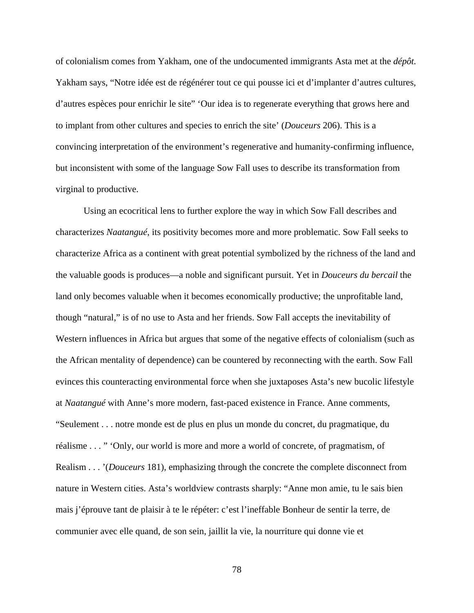of colonialism comes from Yakham, one of the undocumented immigrants Asta met at the *dépôt.*  Yakham says, "Notre idée est de régénérer tout ce qui pousse ici et d'implanter d'autres cultures, d'autres espèces pour enrichir le site" 'Our idea is to regenerate everything that grows here and to implant from other cultures and species to enrich the site' (*Douceurs* 206). This is a convincing interpretation of the environment's regenerative and humanity-confirming influence, but inconsistent with some of the language Sow Fall uses to describe its transformation from virginal to productive.

Using an ecocritical lens to further explore the way in which Sow Fall describes and characterizes *Naatangué*, its positivity becomes more and more problematic. Sow Fall seeks to characterize Africa as a continent with great potential symbolized by the richness of the land and the valuable goods is produces—a noble and significant pursuit. Yet in *Douceurs du bercail* the land only becomes valuable when it becomes economically productive; the unprofitable land, though "natural," is of no use to Asta and her friends. Sow Fall accepts the inevitability of Western influences in Africa but argues that some of the negative effects of colonialism (such as the African mentality of dependence) can be countered by reconnecting with the earth. Sow Fall evinces this counteracting environmental force when she juxtaposes Asta's new bucolic lifestyle at *Naatangué* with Anne's more modern, fast-paced existence in France. Anne comments, "Seulement . . . notre monde est de plus en plus un monde du concret, du pragmatique, du réalisme . . . " 'Only, our world is more and more a world of concrete, of pragmatism, of Realism . . . '(*Douceurs* 181), emphasizing through the concrete the complete disconnect from nature in Western cities. Asta's worldview contrasts sharply: "Anne mon amie, tu le sais bien mais j'éprouve tant de plaisir à te le répéter: c'est l'ineffable Bonheur de sentir la terre, de communier avec elle quand, de son sein, jaillit la vie, la nourriture qui donne vie et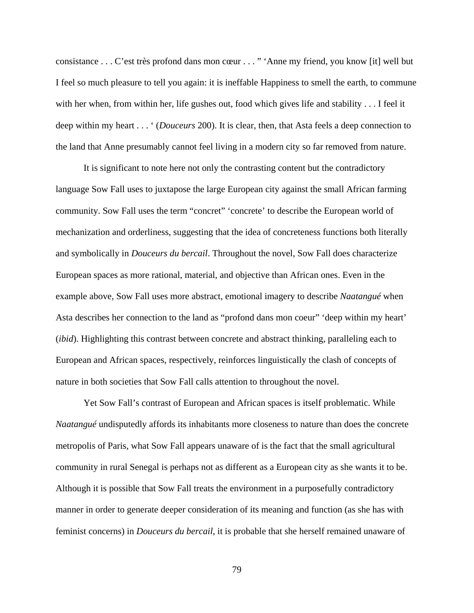consistance . . . C'est très profond dans mon cœur . . . " 'Anne my friend, you know [it] well but I feel so much pleasure to tell you again: it is ineffable Happiness to smell the earth, to commune with her when, from within her, life gushes out, food which gives life and stability . . . I feel it deep within my heart . . . ' (*Douceurs* 200). It is clear, then, that Asta feels a deep connection to the land that Anne presumably cannot feel living in a modern city so far removed from nature.

It is significant to note here not only the contrasting content but the contradictory language Sow Fall uses to juxtapose the large European city against the small African farming community. Sow Fall uses the term "concret" 'concrete' to describe the European world of mechanization and orderliness, suggesting that the idea of concreteness functions both literally and symbolically in *Douceurs du bercail*. Throughout the novel, Sow Fall does characterize European spaces as more rational, material, and objective than African ones. Even in the example above, Sow Fall uses more abstract, emotional imagery to describe *Naatangué* when Asta describes her connection to the land as "profond dans mon coeur" 'deep within my heart' (*ibid*). Highlighting this contrast between concrete and abstract thinking, paralleling each to European and African spaces, respectively, reinforces linguistically the clash of concepts of nature in both societies that Sow Fall calls attention to throughout the novel.

Yet Sow Fall's contrast of European and African spaces is itself problematic. While *Naatangué* undisputedly affords its inhabitants more closeness to nature than does the concrete metropolis of Paris, what Sow Fall appears unaware of is the fact that the small agricultural community in rural Senegal is perhaps not as different as a European city as she wants it to be. Although it is possible that Sow Fall treats the environment in a purposefully contradictory manner in order to generate deeper consideration of its meaning and function (as she has with feminist concerns) in *Douceurs du bercail*, it is probable that she herself remained unaware of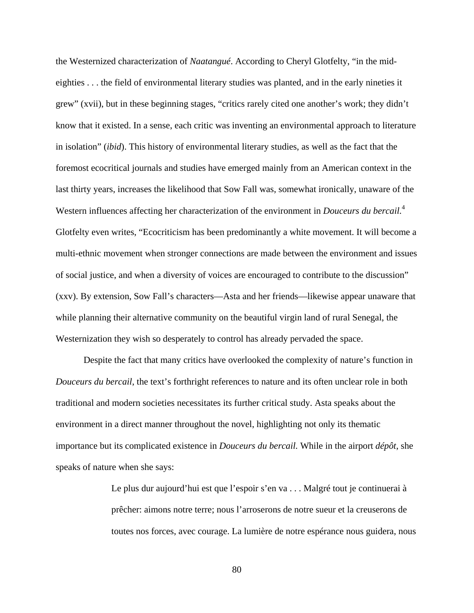the Westernized characterization of *Naatangué*. According to Cheryl Glotfelty, "in the mideighties . . . the field of environmental literary studies was planted, and in the early nineties it grew" (xvii), but in these beginning stages, "critics rarely cited one another's work; they didn't know that it existed. In a sense, each critic was inventing an environmental approach to literature in isolation" (*ibid*). This history of environmental literary studies, as well as the fact that the foremost ecocritical journals and studies have emerged mainly from an American context in the last thirty years, increases the likelihood that Sow Fall was, somewhat ironically, unaware of the Western influences affecting her characterization of the environment in *Douceurs du bercail.* 4 Glotfelty even writes, "Ecocriticism has been predominantly a white movement. It will become a multi-ethnic movement when stronger connections are made between the environment and issues of social justice, and when a diversity of voices are encouraged to contribute to the discussion" (xxv). By extension, Sow Fall's characters—Asta and her friends—likewise appear unaware that while planning their alternative community on the beautiful virgin land of rural Senegal, the Westernization they wish so desperately to control has already pervaded the space.

Despite the fact that many critics have overlooked the complexity of nature's function in *Douceurs du bercail*, the text's forthright references to nature and its often unclear role in both traditional and modern societies necessitates its further critical study. Asta speaks about the environment in a direct manner throughout the novel, highlighting not only its thematic importance but its complicated existence in *Douceurs du bercail.* While in the airport *dépôt*, she speaks of nature when she says:

> Le plus dur aujourd'hui est que l'espoir s'en va . . . Malgré tout je continuerai à prêcher: aimons notre terre; nous l'arroserons de notre sueur et la creuserons de toutes nos forces, avec courage. La lumière de notre espérance nous guidera, nous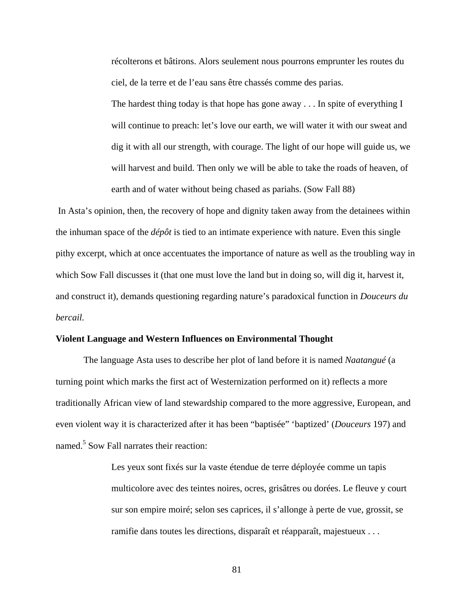récolterons et bâtirons. Alors seulement nous pourrons emprunter les routes du ciel, de la terre et de l'eau sans être chassés comme des parias.

The hardest thing today is that hope has gone away . . . In spite of everything I will continue to preach: let's love our earth, we will water it with our sweat and dig it with all our strength, with courage. The light of our hope will guide us, we will harvest and build. Then only we will be able to take the roads of heaven, of earth and of water without being chased as pariahs. (Sow Fall 88)

In Asta's opinion, then, the recovery of hope and dignity taken away from the detainees within the inhuman space of the *dépôt* is tied to an intimate experience with nature. Even this single pithy excerpt, which at once accentuates the importance of nature as well as the troubling way in which Sow Fall discusses it (that one must love the land but in doing so, will dig it, harvest it, and construct it), demands questioning regarding nature's paradoxical function in *Douceurs du bercail.*

#### **Violent Language and Western Influences on Environmental Thought**

The language Asta uses to describe her plot of land before it is named *Naatangué* (a turning point which marks the first act of Westernization performed on it) reflects a more traditionally African view of land stewardship compared to the more aggressive, European, and even violent way it is characterized after it has been "baptisée" 'baptized' (*Douceurs* 197) and named.<sup>5</sup> Sow Fall narrates their reaction:

> Les yeux sont fixés sur la vaste étendue de terre déployée comme un tapis multicolore avec des teintes noires, ocres, grisâtres ou dorées. Le fleuve y court sur son empire moiré; selon ses caprices, il s'allonge à perte de vue, grossit, se ramifie dans toutes les directions, disparaît et réapparaît, majestueux . . .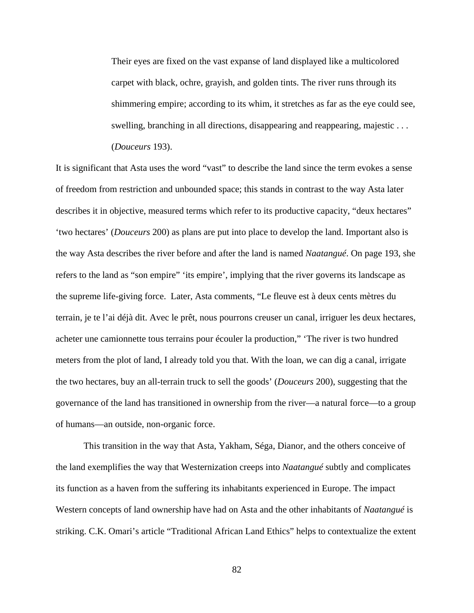Their eyes are fixed on the vast expanse of land displayed like a multicolored carpet with black, ochre, grayish, and golden tints. The river runs through its shimmering empire; according to its whim, it stretches as far as the eye could see, swelling, branching in all directions, disappearing and reappearing, majestic . . . (*Douceurs* 193).

It is significant that Asta uses the word "vast" to describe the land since the term evokes a sense of freedom from restriction and unbounded space; this stands in contrast to the way Asta later describes it in objective, measured terms which refer to its productive capacity, "deux hectares" 'two hectares' (*Douceurs* 200) as plans are put into place to develop the land. Important also is the way Asta describes the river before and after the land is named *Naatangué*. On page 193, she refers to the land as "son empire" 'its empire', implying that the river governs its landscape as the supreme life-giving force. Later, Asta comments, "Le fleuve est à deux cents mètres du terrain, je te l'ai déjà dit. Avec le prêt, nous pourrons creuser un canal, irriguer les deux hectares, acheter une camionnette tous terrains pour écouler la production," 'The river is two hundred meters from the plot of land, I already told you that. With the loan, we can dig a canal, irrigate the two hectares, buy an all-terrain truck to sell the goods' (*Douceurs* 200), suggesting that the governance of the land has transitioned in ownership from the river—a natural force—to a group of humans—an outside, non-organic force.

This transition in the way that Asta, Yakham, Séga, Dianor, and the others conceive of the land exemplifies the way that Westernization creeps into *Naatangué* subtly and complicates its function as a haven from the suffering its inhabitants experienced in Europe. The impact Western concepts of land ownership have had on Asta and the other inhabitants of *Naatangué* is striking. C.K. Omari's article "Traditional African Land Ethics" helps to contextualize the extent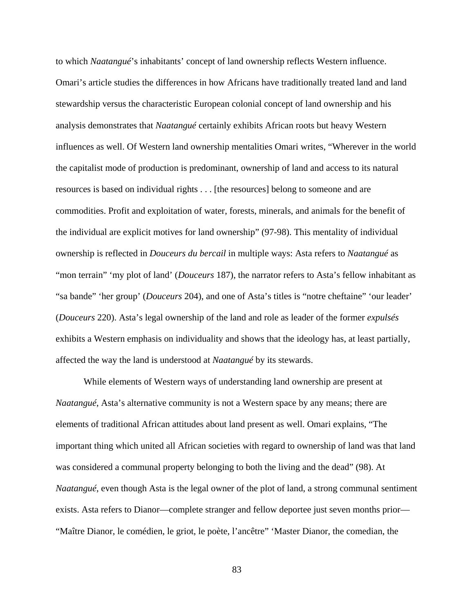to which *Naatangué*'s inhabitants' concept of land ownership reflects Western influence. Omari's article studies the differences in how Africans have traditionally treated land and land stewardship versus the characteristic European colonial concept of land ownership and his analysis demonstrates that *Naatangué* certainly exhibits African roots but heavy Western influences as well. Of Western land ownership mentalities Omari writes, "Wherever in the world the capitalist mode of production is predominant, ownership of land and access to its natural resources is based on individual rights . . . [the resources] belong to someone and are commodities. Profit and exploitation of water, forests, minerals, and animals for the benefit of the individual are explicit motives for land ownership" (97-98). This mentality of individual ownership is reflected in *Douceurs du bercail* in multiple ways: Asta refers to *Naatangué* as "mon terrain" 'my plot of land' (*Douceurs* 187), the narrator refers to Asta's fellow inhabitant as "sa bande" 'her group' (*Douceurs* 204), and one of Asta's titles is "notre cheftaine" 'our leader' (*Douceurs* 220). Asta's legal ownership of the land and role as leader of the former *expulsés* exhibits a Western emphasis on individuality and shows that the ideology has, at least partially, affected the way the land is understood at *Naatangué* by its stewards.

While elements of Western ways of understanding land ownership are present at *Naatangué*, Asta's alternative community is not a Western space by any means; there are elements of traditional African attitudes about land present as well. Omari explains, "The important thing which united all African societies with regard to ownership of land was that land was considered a communal property belonging to both the living and the dead" (98). At *Naatangué*, even though Asta is the legal owner of the plot of land, a strong communal sentiment exists. Asta refers to Dianor—complete stranger and fellow deportee just seven months prior— "Maître Dianor, le comédien, le griot, le poète, l'ancêtre" 'Master Dianor, the comedian, the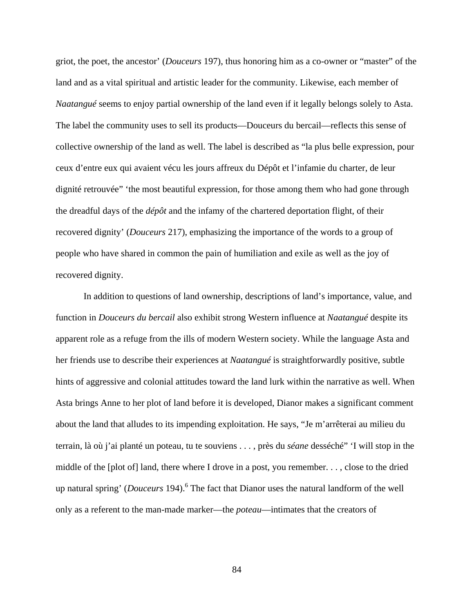griot, the poet, the ancestor' (*Douceurs* 197), thus honoring him as a co-owner or "master" of the land and as a vital spiritual and artistic leader for the community. Likewise, each member of *Naatangué* seems to enjoy partial ownership of the land even if it legally belongs solely to Asta. The label the community uses to sell its products—Douceurs du bercail—reflects this sense of collective ownership of the land as well. The label is described as "la plus belle expression, pour ceux d'entre eux qui avaient vécu les jours affreux du Dépôt et l'infamie du charter, de leur dignité retrouvée" 'the most beautiful expression, for those among them who had gone through the dreadful days of the *dépôt* and the infamy of the chartered deportation flight, of their recovered dignity' (*Douceurs* 217), emphasizing the importance of the words to a group of people who have shared in common the pain of humiliation and exile as well as the joy of recovered dignity.

In addition to questions of land ownership, descriptions of land's importance, value, and function in *Douceurs du bercail* also exhibit strong Western influence at *Naatangué* despite its apparent role as a refuge from the ills of modern Western society. While the language Asta and her friends use to describe their experiences at *Naatangué* is straightforwardly positive, subtle hints of aggressive and colonial attitudes toward the land lurk within the narrative as well. When Asta brings Anne to her plot of land before it is developed, Dianor makes a significant comment about the land that alludes to its impending exploitation. He says, "Je m'arrêterai au milieu du terrain, là où j'ai planté un poteau, tu te souviens . . . , près du *séane* desséché" 'I will stop in the middle of the [plot of] land, there where I drove in a post, you remember. . . , close to the dried up natural spring' (*Douceurs* 194).6 The fact that Dianor uses the natural landform of the well only as a referent to the man-made marker—the *poteau*—intimates that the creators of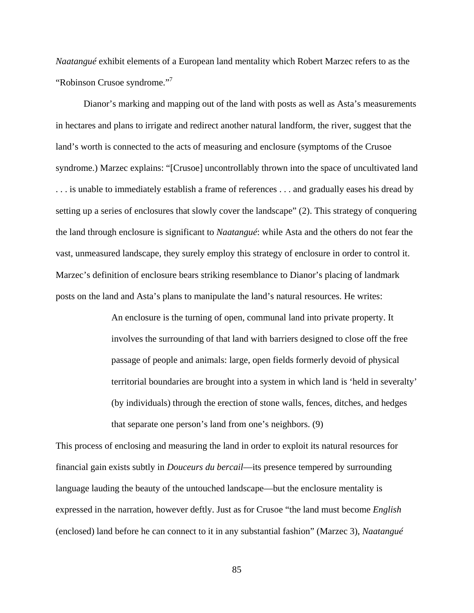*Naatangué* exhibit elements of a European land mentality which Robert Marzec refers to as the "Robinson Crusoe syndrome."<sup>7</sup>

Dianor's marking and mapping out of the land with posts as well as Asta's measurements in hectares and plans to irrigate and redirect another natural landform, the river, suggest that the land's worth is connected to the acts of measuring and enclosure (symptoms of the Crusoe syndrome.) Marzec explains: "[Crusoe] uncontrollably thrown into the space of uncultivated land . . . is unable to immediately establish a frame of references . . . and gradually eases his dread by setting up a series of enclosures that slowly cover the landscape" (2). This strategy of conquering the land through enclosure is significant to *Naatangué*: while Asta and the others do not fear the vast, unmeasured landscape, they surely employ this strategy of enclosure in order to control it. Marzec's definition of enclosure bears striking resemblance to Dianor's placing of landmark posts on the land and Asta's plans to manipulate the land's natural resources. He writes:

> An enclosure is the turning of open, communal land into private property. It involves the surrounding of that land with barriers designed to close off the free passage of people and animals: large, open fields formerly devoid of physical territorial boundaries are brought into a system in which land is 'held in severalty' (by individuals) through the erection of stone walls, fences, ditches, and hedges that separate one person's land from one's neighbors. (9)

This process of enclosing and measuring the land in order to exploit its natural resources for financial gain exists subtly in *Douceurs du bercail*—its presence tempered by surrounding language lauding the beauty of the untouched landscape—but the enclosure mentality is expressed in the narration, however deftly. Just as for Crusoe "the land must become *English* (enclosed) land before he can connect to it in any substantial fashion" (Marzec 3), *Naatangué*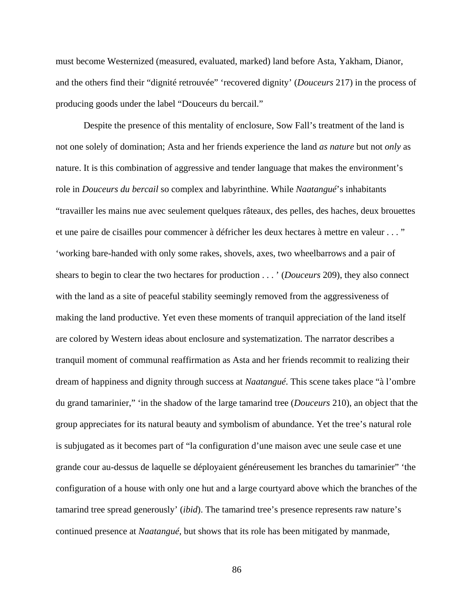must become Westernized (measured, evaluated, marked) land before Asta, Yakham, Dianor, and the others find their "dignité retrouvée" 'recovered dignity' (*Douceurs* 217) in the process of producing goods under the label "Douceurs du bercail."

Despite the presence of this mentality of enclosure, Sow Fall's treatment of the land is not one solely of domination; Asta and her friends experience the land *as nature* but not *only* as nature. It is this combination of aggressive and tender language that makes the environment's role in *Douceurs du bercail* so complex and labyrinthine. While *Naatangué*'s inhabitants "travailler les mains nue avec seulement quelques râteaux, des pelles, des haches, deux brouettes et une paire de cisailles pour commencer à défricher les deux hectares à mettre en valeur . . . " 'working bare-handed with only some rakes, shovels, axes, two wheelbarrows and a pair of shears to begin to clear the two hectares for production . . . ' (*Douceurs* 209), they also connect with the land as a site of peaceful stability seemingly removed from the aggressiveness of making the land productive. Yet even these moments of tranquil appreciation of the land itself are colored by Western ideas about enclosure and systematization. The narrator describes a tranquil moment of communal reaffirmation as Asta and her friends recommit to realizing their dream of happiness and dignity through success at *Naatangué*. This scene takes place "à l'ombre du grand tamarinier," 'in the shadow of the large tamarind tree (*Douceurs* 210), an object that the group appreciates for its natural beauty and symbolism of abundance. Yet the tree's natural role is subjugated as it becomes part of "la configuration d'une maison avec une seule case et une grande cour au-dessus de laquelle se déployaient généreusement les branches du tamarinier" 'the configuration of a house with only one hut and a large courtyard above which the branches of the tamarind tree spread generously' (*ibid*). The tamarind tree's presence represents raw nature's continued presence at *Naatangué*, but shows that its role has been mitigated by manmade,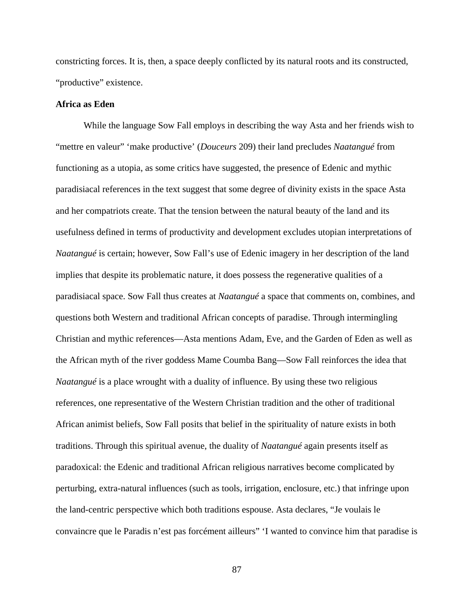constricting forces. It is, then, a space deeply conflicted by its natural roots and its constructed, "productive" existence.

# **Africa as Eden**

While the language Sow Fall employs in describing the way Asta and her friends wish to "mettre en valeur" 'make productive' (*Douceurs* 209) their land precludes *Naatangué* from functioning as a utopia, as some critics have suggested, the presence of Edenic and mythic paradisiacal references in the text suggest that some degree of divinity exists in the space Asta and her compatriots create. That the tension between the natural beauty of the land and its usefulness defined in terms of productivity and development excludes utopian interpretations of *Naatangué* is certain; however, Sow Fall's use of Edenic imagery in her description of the land implies that despite its problematic nature, it does possess the regenerative qualities of a paradisiacal space. Sow Fall thus creates at *Naatangué* a space that comments on, combines, and questions both Western and traditional African concepts of paradise. Through intermingling Christian and mythic references—Asta mentions Adam, Eve, and the Garden of Eden as well as the African myth of the river goddess Mame Coumba Bang—Sow Fall reinforces the idea that *Naatangué* is a place wrought with a duality of influence. By using these two religious references, one representative of the Western Christian tradition and the other of traditional African animist beliefs, Sow Fall posits that belief in the spirituality of nature exists in both traditions. Through this spiritual avenue, the duality of *Naatangué* again presents itself as paradoxical: the Edenic and traditional African religious narratives become complicated by perturbing, extra-natural influences (such as tools, irrigation, enclosure, etc.) that infringe upon the land-centric perspective which both traditions espouse. Asta declares, "Je voulais le convaincre que le Paradis n'est pas forcément ailleurs" 'I wanted to convince him that paradise is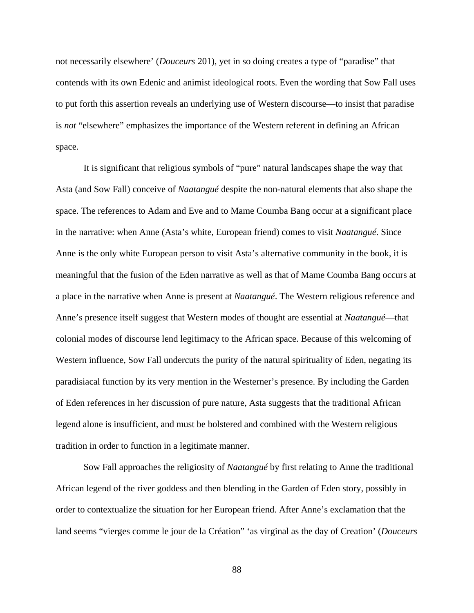not necessarily elsewhere' (*Douceurs* 201), yet in so doing creates a type of "paradise" that contends with its own Edenic and animist ideological roots. Even the wording that Sow Fall uses to put forth this assertion reveals an underlying use of Western discourse—to insist that paradise is *not* "elsewhere" emphasizes the importance of the Western referent in defining an African space.

It is significant that religious symbols of "pure" natural landscapes shape the way that Asta (and Sow Fall) conceive of *Naatangué* despite the non-natural elements that also shape the space. The references to Adam and Eve and to Mame Coumba Bang occur at a significant place in the narrative: when Anne (Asta's white, European friend) comes to visit *Naatangué*. Since Anne is the only white European person to visit Asta's alternative community in the book, it is meaningful that the fusion of the Eden narrative as well as that of Mame Coumba Bang occurs at a place in the narrative when Anne is present at *Naatangué*. The Western religious reference and Anne's presence itself suggest that Western modes of thought are essential at *Naatangué*—that colonial modes of discourse lend legitimacy to the African space. Because of this welcoming of Western influence, Sow Fall undercuts the purity of the natural spirituality of Eden, negating its paradisiacal function by its very mention in the Westerner's presence. By including the Garden of Eden references in her discussion of pure nature, Asta suggests that the traditional African legend alone is insufficient, and must be bolstered and combined with the Western religious tradition in order to function in a legitimate manner.

Sow Fall approaches the religiosity of *Naatangué* by first relating to Anne the traditional African legend of the river goddess and then blending in the Garden of Eden story, possibly in order to contextualize the situation for her European friend. After Anne's exclamation that the land seems "vierges comme le jour de la Création" 'as virginal as the day of Creation' (*Douceurs*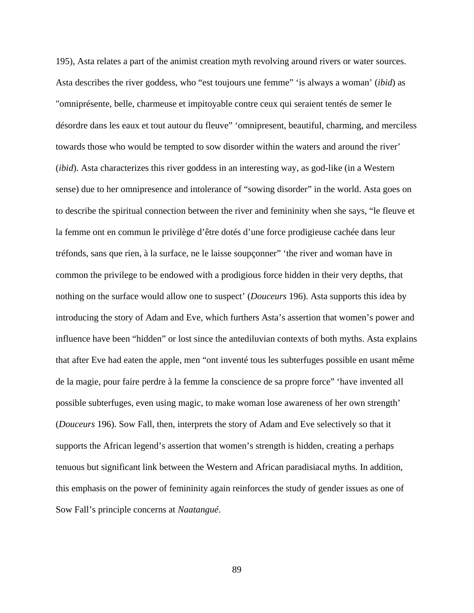195), Asta relates a part of the animist creation myth revolving around rivers or water sources. Asta describes the river goddess, who "est toujours une femme" 'is always a woman' (*ibid*) as "omniprésente, belle, charmeuse et impitoyable contre ceux qui seraient tentés de semer le désordre dans les eaux et tout autour du fleuve" 'omnipresent, beautiful, charming, and merciless towards those who would be tempted to sow disorder within the waters and around the river' (*ibid*). Asta characterizes this river goddess in an interesting way, as god-like (in a Western sense) due to her omnipresence and intolerance of "sowing disorder" in the world. Asta goes on to describe the spiritual connection between the river and femininity when she says, "le fleuve et la femme ont en commun le privilège d'être dotés d'une force prodigieuse cachée dans leur tréfonds, sans que rien, à la surface, ne le laisse soupçonner" 'the river and woman have in common the privilege to be endowed with a prodigious force hidden in their very depths, that nothing on the surface would allow one to suspect' (*Douceurs* 196). Asta supports this idea by introducing the story of Adam and Eve, which furthers Asta's assertion that women's power and influence have been "hidden" or lost since the antediluvian contexts of both myths. Asta explains that after Eve had eaten the apple, men "ont inventé tous les subterfuges possible en usant même de la magie, pour faire perdre à la femme la conscience de sa propre force" 'have invented all possible subterfuges, even using magic, to make woman lose awareness of her own strength' (*Douceurs* 196). Sow Fall, then, interprets the story of Adam and Eve selectively so that it supports the African legend's assertion that women's strength is hidden, creating a perhaps tenuous but significant link between the Western and African paradisiacal myths. In addition, this emphasis on the power of femininity again reinforces the study of gender issues as one of Sow Fall's principle concerns at *Naatangué*.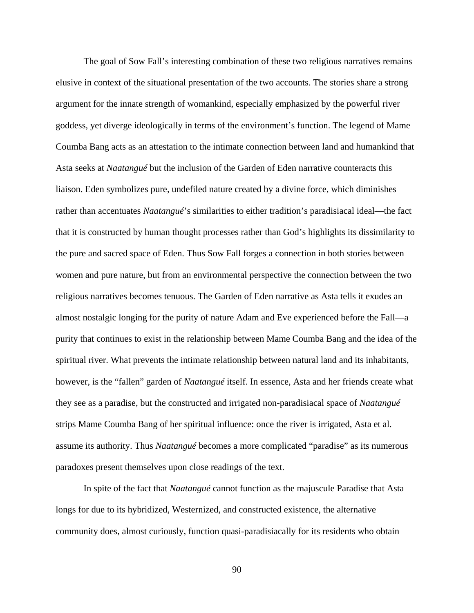The goal of Sow Fall's interesting combination of these two religious narratives remains elusive in context of the situational presentation of the two accounts. The stories share a strong argument for the innate strength of womankind, especially emphasized by the powerful river goddess, yet diverge ideologically in terms of the environment's function. The legend of Mame Coumba Bang acts as an attestation to the intimate connection between land and humankind that Asta seeks at *Naatangué* but the inclusion of the Garden of Eden narrative counteracts this liaison. Eden symbolizes pure, undefiled nature created by a divine force, which diminishes rather than accentuates *Naatangué*'s similarities to either tradition's paradisiacal ideal—the fact that it is constructed by human thought processes rather than God's highlights its dissimilarity to the pure and sacred space of Eden. Thus Sow Fall forges a connection in both stories between women and pure nature, but from an environmental perspective the connection between the two religious narratives becomes tenuous. The Garden of Eden narrative as Asta tells it exudes an almost nostalgic longing for the purity of nature Adam and Eve experienced before the Fall—a purity that continues to exist in the relationship between Mame Coumba Bang and the idea of the spiritual river. What prevents the intimate relationship between natural land and its inhabitants, however, is the "fallen" garden of *Naatangué* itself. In essence, Asta and her friends create what they see as a paradise, but the constructed and irrigated non-paradisiacal space of *Naatangué*  strips Mame Coumba Bang of her spiritual influence: once the river is irrigated, Asta et al. assume its authority. Thus *Naatangué* becomes a more complicated "paradise" as its numerous paradoxes present themselves upon close readings of the text.

In spite of the fact that *Naatangué* cannot function as the majuscule Paradise that Asta longs for due to its hybridized, Westernized, and constructed existence, the alternative community does, almost curiously, function quasi-paradisiacally for its residents who obtain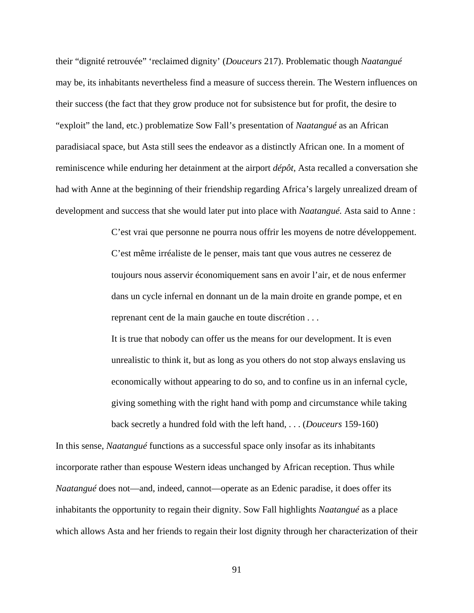their "dignité retrouvée" 'reclaimed dignity' (*Douceurs* 217). Problematic though *Naatangué*  may be, its inhabitants nevertheless find a measure of success therein. The Western influences on their success (the fact that they grow produce not for subsistence but for profit, the desire to "exploit" the land, etc.) problematize Sow Fall's presentation of *Naatangué* as an African paradisiacal space, but Asta still sees the endeavor as a distinctly African one. In a moment of reminiscence while enduring her detainment at the airport *dépôt*, Asta recalled a conversation she had with Anne at the beginning of their friendship regarding Africa's largely unrealized dream of development and success that she would later put into place with *Naatangué.* Asta said to Anne :

> C'est vrai que personne ne pourra nous offrir les moyens de notre développement. C'est même irréaliste de le penser, mais tant que vous autres ne cesserez de toujours nous asservir économiquement sans en avoir l'air, et de nous enfermer dans un cycle infernal en donnant un de la main droite en grande pompe, et en reprenant cent de la main gauche en toute discrétion . . .

It is true that nobody can offer us the means for our development. It is even unrealistic to think it, but as long as you others do not stop always enslaving us economically without appearing to do so, and to confine us in an infernal cycle, giving something with the right hand with pomp and circumstance while taking back secretly a hundred fold with the left hand, . . . (*Douceurs* 159-160)

In this sense, *Naatangué* functions as a successful space only insofar as its inhabitants incorporate rather than espouse Western ideas unchanged by African reception. Thus while *Naatangué* does not—and, indeed, cannot—operate as an Edenic paradise, it does offer its inhabitants the opportunity to regain their dignity. Sow Fall highlights *Naatangué* as a place which allows Asta and her friends to regain their lost dignity through her characterization of their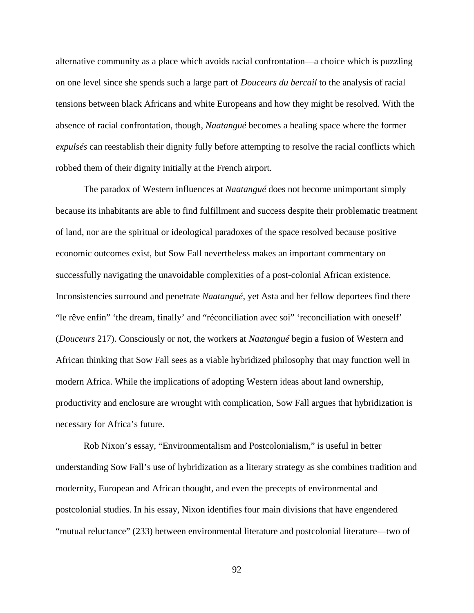alternative community as a place which avoids racial confrontation—a choice which is puzzling on one level since she spends such a large part of *Douceurs du bercail* to the analysis of racial tensions between black Africans and white Europeans and how they might be resolved. With the absence of racial confrontation, though, *Naatangué* becomes a healing space where the former *expulsés* can reestablish their dignity fully before attempting to resolve the racial conflicts which robbed them of their dignity initially at the French airport.

The paradox of Western influences at *Naatangué* does not become unimportant simply because its inhabitants are able to find fulfillment and success despite their problematic treatment of land, nor are the spiritual or ideological paradoxes of the space resolved because positive economic outcomes exist, but Sow Fall nevertheless makes an important commentary on successfully navigating the unavoidable complexities of a post-colonial African existence. Inconsistencies surround and penetrate *Naatangué*, yet Asta and her fellow deportees find there "le rêve enfin" 'the dream, finally' and "réconciliation avec soi" 'reconciliation with oneself' (*Douceurs* 217). Consciously or not, the workers at *Naatangué* begin a fusion of Western and African thinking that Sow Fall sees as a viable hybridized philosophy that may function well in modern Africa. While the implications of adopting Western ideas about land ownership, productivity and enclosure are wrought with complication, Sow Fall argues that hybridization is necessary for Africa's future.

Rob Nixon's essay, "Environmentalism and Postcolonialism," is useful in better understanding Sow Fall's use of hybridization as a literary strategy as she combines tradition and modernity, European and African thought, and even the precepts of environmental and postcolonial studies. In his essay, Nixon identifies four main divisions that have engendered "mutual reluctance" (233) between environmental literature and postcolonial literature—two of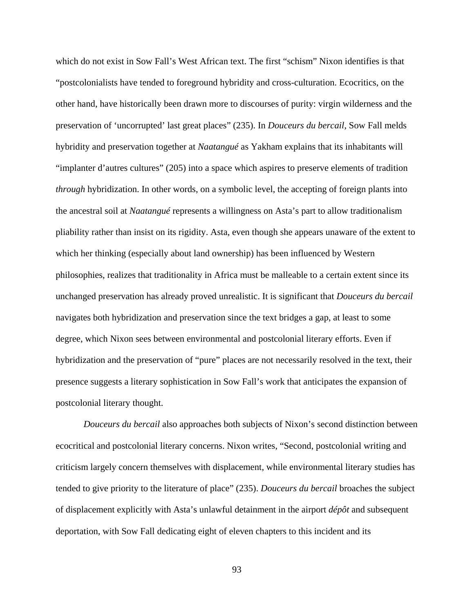which do not exist in Sow Fall's West African text. The first "schism" Nixon identifies is that "postcolonialists have tended to foreground hybridity and cross-culturation. Ecocritics, on the other hand, have historically been drawn more to discourses of purity: virgin wilderness and the preservation of 'uncorrupted' last great places" (235). In *Douceurs du bercail*, Sow Fall melds hybridity and preservation together at *Naatangué* as Yakham explains that its inhabitants will "implanter d'autres cultures" (205) into a space which aspires to preserve elements of tradition *through* hybridization. In other words, on a symbolic level, the accepting of foreign plants into the ancestral soil at *Naatangué* represents a willingness on Asta's part to allow traditionalism pliability rather than insist on its rigidity. Asta, even though she appears unaware of the extent to which her thinking (especially about land ownership) has been influenced by Western philosophies, realizes that traditionality in Africa must be malleable to a certain extent since its unchanged preservation has already proved unrealistic. It is significant that *Douceurs du bercail* navigates both hybridization and preservation since the text bridges a gap, at least to some degree, which Nixon sees between environmental and postcolonial literary efforts. Even if hybridization and the preservation of "pure" places are not necessarily resolved in the text, their presence suggests a literary sophistication in Sow Fall's work that anticipates the expansion of postcolonial literary thought.

*Douceurs du bercail* also approaches both subjects of Nixon's second distinction between ecocritical and postcolonial literary concerns. Nixon writes, "Second, postcolonial writing and criticism largely concern themselves with displacement, while environmental literary studies has tended to give priority to the literature of place" (235). *Douceurs du bercail* broaches the subject of displacement explicitly with Asta's unlawful detainment in the airport *dépôt* and subsequent deportation, with Sow Fall dedicating eight of eleven chapters to this incident and its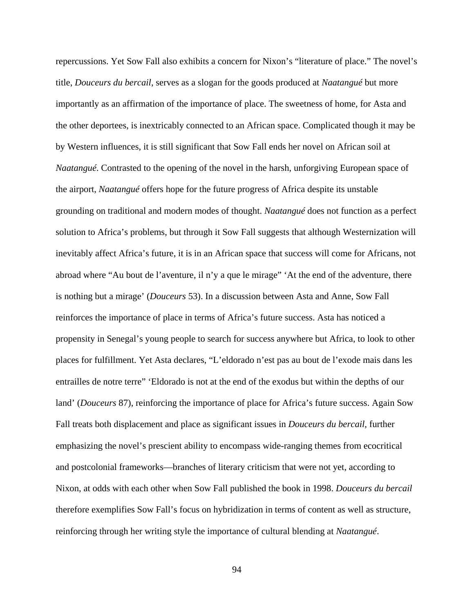repercussions. Yet Sow Fall also exhibits a concern for Nixon's "literature of place." The novel's title, *Douceurs du bercail*, serves as a slogan for the goods produced at *Naatangué* but more importantly as an affirmation of the importance of place. The sweetness of home, for Asta and the other deportees, is inextricably connected to an African space. Complicated though it may be by Western influences, it is still significant that Sow Fall ends her novel on African soil at *Naatangué*. Contrasted to the opening of the novel in the harsh, unforgiving European space of the airport, *Naatangué* offers hope for the future progress of Africa despite its unstable grounding on traditional and modern modes of thought. *Naatangué* does not function as a perfect solution to Africa's problems, but through it Sow Fall suggests that although Westernization will inevitably affect Africa's future, it is in an African space that success will come for Africans, not abroad where "Au bout de l'aventure, il n'y a que le mirage" 'At the end of the adventure, there is nothing but a mirage' (*Douceurs* 53). In a discussion between Asta and Anne, Sow Fall reinforces the importance of place in terms of Africa's future success. Asta has noticed a propensity in Senegal's young people to search for success anywhere but Africa, to look to other places for fulfillment. Yet Asta declares, "L'eldorado n'est pas au bout de l'exode mais dans les entrailles de notre terre" 'Eldorado is not at the end of the exodus but within the depths of our land' (*Douceurs* 87), reinforcing the importance of place for Africa's future success. Again Sow Fall treats both displacement and place as significant issues in *Douceurs du bercail*, further emphasizing the novel's prescient ability to encompass wide-ranging themes from ecocritical and postcolonial frameworks—branches of literary criticism that were not yet, according to Nixon, at odds with each other when Sow Fall published the book in 1998. *Douceurs du bercail* therefore exemplifies Sow Fall's focus on hybridization in terms of content as well as structure, reinforcing through her writing style the importance of cultural blending at *Naatangué*.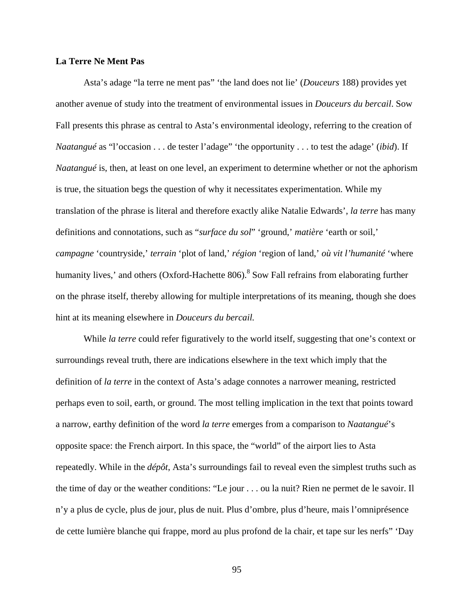# **La Terre Ne Ment Pas**

Asta's adage "la terre ne ment pas" 'the land does not lie' (*Douceurs* 188) provides yet another avenue of study into the treatment of environmental issues in *Douceurs du bercail*. Sow Fall presents this phrase as central to Asta's environmental ideology, referring to the creation of *Naatangué* as "l'occasion . . . de tester l'adage" 'the opportunity . . . to test the adage' (*ibid*). If *Naatangué* is, then, at least on one level, an experiment to determine whether or not the aphorism is true, the situation begs the question of why it necessitates experimentation. While my translation of the phrase is literal and therefore exactly alike Natalie Edwards', *la terre* has many definitions and connotations, such as "*surface du sol*" 'ground,' *matière* 'earth or soil,' *campagne* 'countryside,' *terrain* 'plot of land,' *région* 'region of land,' *où vit l'humanité* 'where humanity lives,' and others (Oxford-Hachette 806).<sup>8</sup> Sow Fall refrains from elaborating further on the phrase itself, thereby allowing for multiple interpretations of its meaning, though she does hint at its meaning elsewhere in *Douceurs du bercail.*

While *la terre* could refer figuratively to the world itself, suggesting that one's context or surroundings reveal truth, there are indications elsewhere in the text which imply that the definition of *la terre* in the context of Asta's adage connotes a narrower meaning, restricted perhaps even to soil, earth, or ground. The most telling implication in the text that points toward a narrow, earthy definition of the word *la terre* emerges from a comparison to *Naatangué*'s opposite space: the French airport. In this space, the "world" of the airport lies to Asta repeatedly. While in the *dépôt*, Asta's surroundings fail to reveal even the simplest truths such as the time of day or the weather conditions: "Le jour . . . ou la nuit? Rien ne permet de le savoir. Il n'y a plus de cycle, plus de jour, plus de nuit. Plus d'ombre, plus d'heure, mais l'omniprésence de cette lumière blanche qui frappe, mord au plus profond de la chair, et tape sur les nerfs" 'Day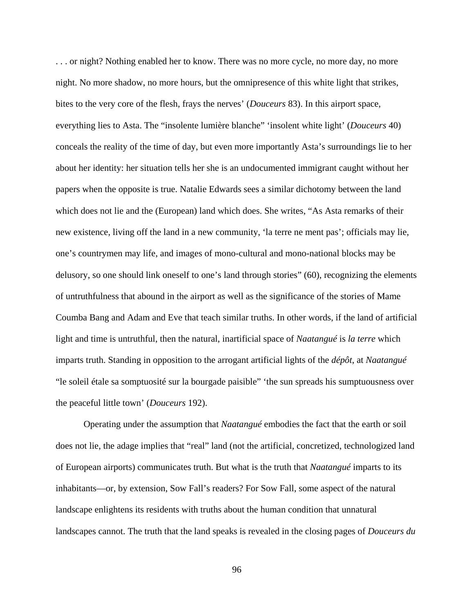. . . or night? Nothing enabled her to know. There was no more cycle, no more day, no more night. No more shadow, no more hours, but the omnipresence of this white light that strikes, bites to the very core of the flesh, frays the nerves' (*Douceurs* 83). In this airport space, everything lies to Asta. The "insolente lumière blanche" 'insolent white light' (*Douceurs* 40) conceals the reality of the time of day, but even more importantly Asta's surroundings lie to her about her identity: her situation tells her she is an undocumented immigrant caught without her papers when the opposite is true. Natalie Edwards sees a similar dichotomy between the land which does not lie and the (European) land which does. She writes, "As Asta remarks of their new existence, living off the land in a new community, 'la terre ne ment pas'; officials may lie, one's countrymen may life, and images of mono-cultural and mono-national blocks may be delusory, so one should link oneself to one's land through stories" (60), recognizing the elements of untruthfulness that abound in the airport as well as the significance of the stories of Mame Coumba Bang and Adam and Eve that teach similar truths. In other words, if the land of artificial light and time is untruthful, then the natural, inartificial space of *Naatangué* is *la terre* which imparts truth. Standing in opposition to the arrogant artificial lights of the *dépôt*, at *Naatangué*  "le soleil étale sa somptuosité sur la bourgade paisible" 'the sun spreads his sumptuousness over the peaceful little town' (*Douceurs* 192).

Operating under the assumption that *Naatangué* embodies the fact that the earth or soil does not lie, the adage implies that "real" land (not the artificial, concretized, technologized land of European airports) communicates truth. But what is the truth that *Naatangué* imparts to its inhabitants—or, by extension, Sow Fall's readers? For Sow Fall, some aspect of the natural landscape enlightens its residents with truths about the human condition that unnatural landscapes cannot. The truth that the land speaks is revealed in the closing pages of *Douceurs du*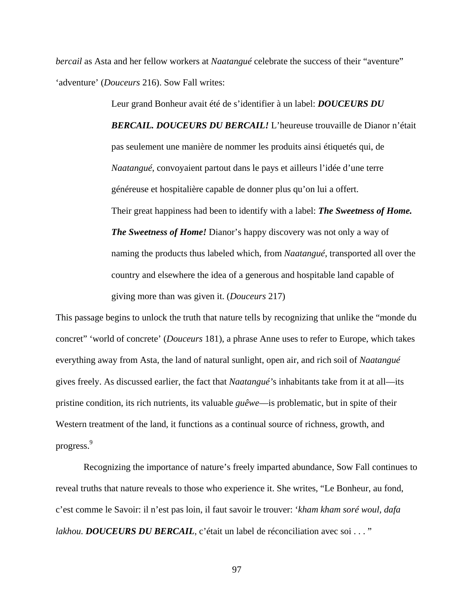*bercail* as Asta and her fellow workers at *Naatangué* celebrate the success of their "aventure" 'adventure' (*Douceurs* 216). Sow Fall writes:

> Leur grand Bonheur avait été de s'identifier à un label: *DOUCEURS DU BERCAIL. DOUCEURS DU BERCAIL!* L'heureuse trouvaille de Dianor n'était pas seulement une manière de nommer les produits ainsi étiquetés qui, de *Naatangué*, convoyaient partout dans le pays et ailleurs l'idée d'une terre généreuse et hospitalière capable de donner plus qu'on lui a offert. Their great happiness had been to identify with a label: *The Sweetness of Home. The Sweetness of Home!* Dianor's happy discovery was not only a way of naming the products thus labeled which, from *Naatangué*, transported all over the country and elsewhere the idea of a generous and hospitable land capable of giving more than was given it. (*Douceurs* 217)

This passage begins to unlock the truth that nature tells by recognizing that unlike the "monde du concret" 'world of concrete' (*Douceurs* 181), a phrase Anne uses to refer to Europe, which takes everything away from Asta, the land of natural sunlight, open air, and rich soil of *Naatangué*  gives freely. As discussed earlier, the fact that *Naatangué'*s inhabitants take from it at all—its pristine condition, its rich nutrients, its valuable *guêwe*—is problematic, but in spite of their Western treatment of the land, it functions as a continual source of richness, growth, and progress.<sup>9</sup>

Recognizing the importance of nature's freely imparted abundance, Sow Fall continues to reveal truths that nature reveals to those who experience it. She writes, "Le Bonheur, au fond, c'est comme le Savoir: il n'est pas loin, il faut savoir le trouver: '*kham kham soré woul, dafa lakhou. DOUCEURS DU BERCAIL*, c'était un label de réconciliation avec soi . . . "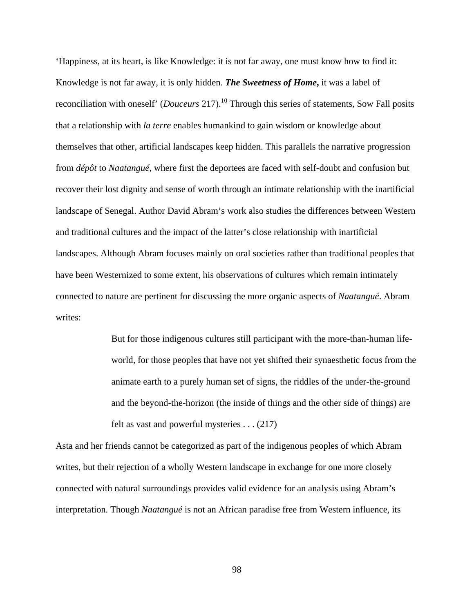'Happiness, at its heart, is like Knowledge: it is not far away, one must know how to find it: Knowledge is not far away, it is only hidden. *The Sweetness of Home***,** it was a label of reconciliation with oneself' (*Douceurs* 217).<sup>10</sup> Through this series of statements, Sow Fall posits that a relationship with *la terre* enables humankind to gain wisdom or knowledge about themselves that other, artificial landscapes keep hidden. This parallels the narrative progression from *dépôt* to *Naatangué*, where first the deportees are faced with self-doubt and confusion but recover their lost dignity and sense of worth through an intimate relationship with the inartificial landscape of Senegal. Author David Abram's work also studies the differences between Western and traditional cultures and the impact of the latter's close relationship with inartificial landscapes. Although Abram focuses mainly on oral societies rather than traditional peoples that have been Westernized to some extent, his observations of cultures which remain intimately connected to nature are pertinent for discussing the more organic aspects of *Naatangué*. Abram writes:

> But for those indigenous cultures still participant with the more-than-human lifeworld, for those peoples that have not yet shifted their synaesthetic focus from the animate earth to a purely human set of signs, the riddles of the under-the-ground and the beyond-the-horizon (the inside of things and the other side of things) are felt as vast and powerful mysteries . . . (217)

Asta and her friends cannot be categorized as part of the indigenous peoples of which Abram writes, but their rejection of a wholly Western landscape in exchange for one more closely connected with natural surroundings provides valid evidence for an analysis using Abram's interpretation. Though *Naatangué* is not an African paradise free from Western influence, its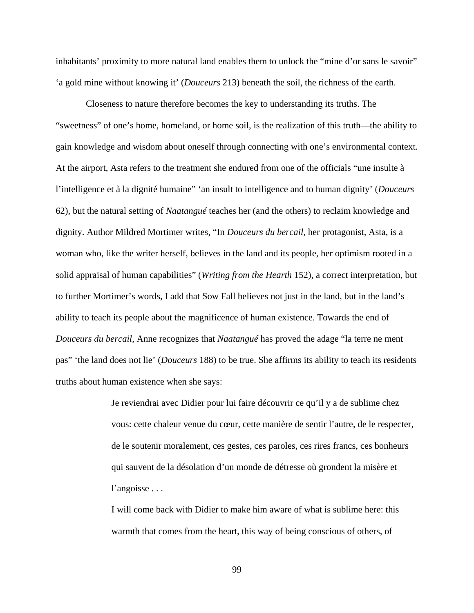inhabitants' proximity to more natural land enables them to unlock the "mine d'or sans le savoir" 'a gold mine without knowing it' (*Douceurs* 213) beneath the soil, the richness of the earth.

Closeness to nature therefore becomes the key to understanding its truths. The "sweetness" of one's home, homeland, or home soil, is the realization of this truth—the ability to gain knowledge and wisdom about oneself through connecting with one's environmental context. At the airport, Asta refers to the treatment she endured from one of the officials "une insulte à l'intelligence et à la dignité humaine" 'an insult to intelligence and to human dignity' (*Douceurs*  62), but the natural setting of *Naatangué* teaches her (and the others) to reclaim knowledge and dignity. Author Mildred Mortimer writes, "In *Douceurs du bercail*, her protagonist, Asta, is a woman who, like the writer herself, believes in the land and its people, her optimism rooted in a solid appraisal of human capabilities" (*Writing from the Hearth* 152), a correct interpretation, but to further Mortimer's words, I add that Sow Fall believes not just in the land, but in the land's ability to teach its people about the magnificence of human existence. Towards the end of *Douceurs du bercail*, Anne recognizes that *Naatangué* has proved the adage "la terre ne ment pas" 'the land does not lie' (*Douceurs* 188) to be true. She affirms its ability to teach its residents truths about human existence when she says:

> Je reviendrai avec Didier pour lui faire découvrir ce qu'il y a de sublime chez vous: cette chaleur venue du cœur, cette manière de sentir l'autre, de le respecter, de le soutenir moralement, ces gestes, ces paroles, ces rires francs, ces bonheurs qui sauvent de la désolation d'un monde de détresse où grondent la misère et l'angoisse . . .

I will come back with Didier to make him aware of what is sublime here: this warmth that comes from the heart, this way of being conscious of others, of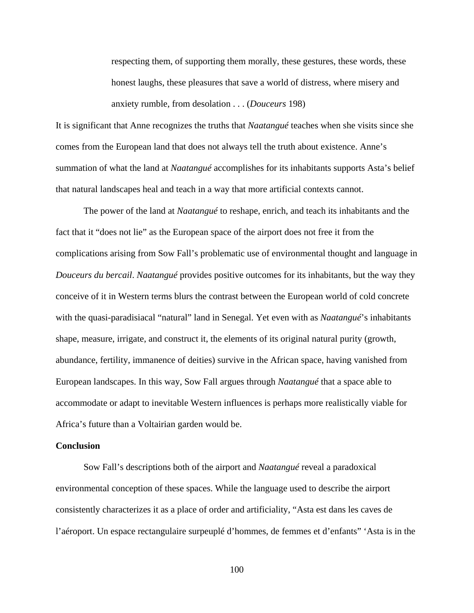respecting them, of supporting them morally, these gestures, these words, these honest laughs, these pleasures that save a world of distress, where misery and anxiety rumble, from desolation . . . (*Douceurs* 198)

It is significant that Anne recognizes the truths that *Naatangué* teaches when she visits since she comes from the European land that does not always tell the truth about existence. Anne's summation of what the land at *Naatangué* accomplishes for its inhabitants supports Asta's belief that natural landscapes heal and teach in a way that more artificial contexts cannot.

The power of the land at *Naatangué* to reshape, enrich, and teach its inhabitants and the fact that it "does not lie" as the European space of the airport does not free it from the complications arising from Sow Fall's problematic use of environmental thought and language in *Douceurs du bercail*. *Naatangué* provides positive outcomes for its inhabitants, but the way they conceive of it in Western terms blurs the contrast between the European world of cold concrete with the quasi-paradisiacal "natural" land in Senegal. Yet even with as *Naatangué*'s inhabitants shape, measure, irrigate, and construct it, the elements of its original natural purity (growth, abundance, fertility, immanence of deities) survive in the African space, having vanished from European landscapes. In this way, Sow Fall argues through *Naatangué* that a space able to accommodate or adapt to inevitable Western influences is perhaps more realistically viable for Africa's future than a Voltairian garden would be.

# **Conclusion**

Sow Fall's descriptions both of the airport and *Naatangué* reveal a paradoxical environmental conception of these spaces. While the language used to describe the airport consistently characterizes it as a place of order and artificiality, "Asta est dans les caves de l'aéroport. Un espace rectangulaire surpeuplé d'hommes, de femmes et d'enfants" 'Asta is in the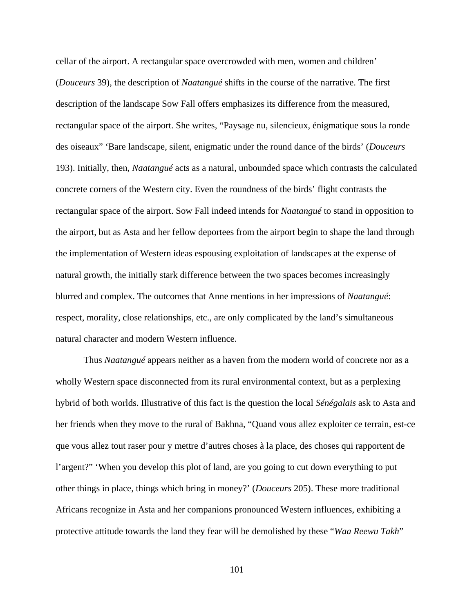cellar of the airport. A rectangular space overcrowded with men, women and children' (*Douceurs* 39), the description of *Naatangué* shifts in the course of the narrative. The first description of the landscape Sow Fall offers emphasizes its difference from the measured, rectangular space of the airport. She writes, "Paysage nu, silencieux, énigmatique sous la ronde des oiseaux" 'Bare landscape, silent, enigmatic under the round dance of the birds' (*Douceurs*  193). Initially, then, *Naatangué* acts as a natural, unbounded space which contrasts the calculated concrete corners of the Western city. Even the roundness of the birds' flight contrasts the rectangular space of the airport. Sow Fall indeed intends for *Naatangué* to stand in opposition to the airport, but as Asta and her fellow deportees from the airport begin to shape the land through the implementation of Western ideas espousing exploitation of landscapes at the expense of natural growth, the initially stark difference between the two spaces becomes increasingly blurred and complex. The outcomes that Anne mentions in her impressions of *Naatangué*: respect, morality, close relationships, etc., are only complicated by the land's simultaneous natural character and modern Western influence.

Thus *Naatangué* appears neither as a haven from the modern world of concrete nor as a wholly Western space disconnected from its rural environmental context, but as a perplexing hybrid of both worlds. Illustrative of this fact is the question the local *Sénégalais* ask to Asta and her friends when they move to the rural of Bakhna, "Quand vous allez exploiter ce terrain, est-ce que vous allez tout raser pour y mettre d'autres choses à la place, des choses qui rapportent de l'argent?" 'When you develop this plot of land, are you going to cut down everything to put other things in place, things which bring in money?' (*Douceurs* 205). These more traditional Africans recognize in Asta and her companions pronounced Western influences, exhibiting a protective attitude towards the land they fear will be demolished by these "*Waa Reewu Takh*"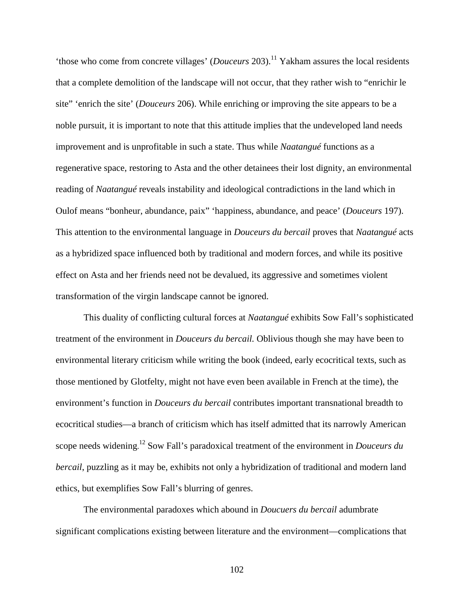'those who come from concrete villages' (*Douceurs* 203).<sup>11</sup> Yakham assures the local residents that a complete demolition of the landscape will not occur, that they rather wish to "enrichir le site" 'enrich the site' (*Douceurs* 206). While enriching or improving the site appears to be a noble pursuit, it is important to note that this attitude implies that the undeveloped land needs improvement and is unprofitable in such a state. Thus while *Naatangué* functions as a regenerative space, restoring to Asta and the other detainees their lost dignity, an environmental reading of *Naatangué* reveals instability and ideological contradictions in the land which in Oulof means "bonheur, abundance, paix" 'happiness, abundance, and peace' (*Douceurs* 197). This attention to the environmental language in *Douceurs du bercail* proves that *Naatangué* acts as a hybridized space influenced both by traditional and modern forces, and while its positive effect on Asta and her friends need not be devalued, its aggressive and sometimes violent transformation of the virgin landscape cannot be ignored.

This duality of conflicting cultural forces at *Naatangué* exhibits Sow Fall's sophisticated treatment of the environment in *Douceurs du bercail.* Oblivious though she may have been to environmental literary criticism while writing the book (indeed, early ecocritical texts, such as those mentioned by Glotfelty, might not have even been available in French at the time), the environment's function in *Douceurs du bercail* contributes important transnational breadth to ecocritical studies—a branch of criticism which has itself admitted that its narrowly American scope needs widening. <sup>12</sup> Sow Fall's paradoxical treatment of the environment in *Douceurs du bercail*, puzzling as it may be, exhibits not only a hybridization of traditional and modern land ethics, but exemplifies Sow Fall's blurring of genres.

The environmental paradoxes which abound in *Doucuers du bercail* adumbrate significant complications existing between literature and the environment—complications that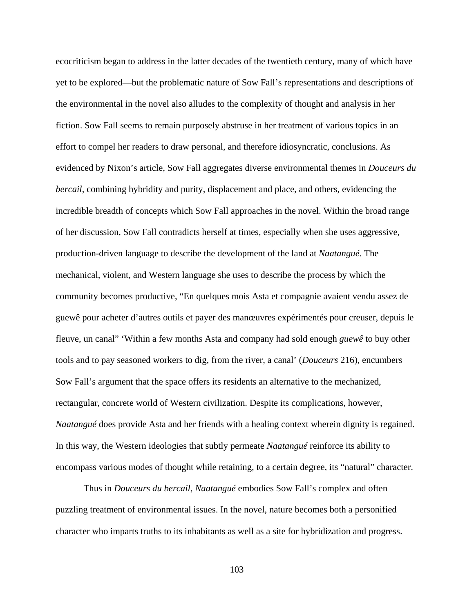ecocriticism began to address in the latter decades of the twentieth century, many of which have yet to be explored—but the problematic nature of Sow Fall's representations and descriptions of the environmental in the novel also alludes to the complexity of thought and analysis in her fiction. Sow Fall seems to remain purposely abstruse in her treatment of various topics in an effort to compel her readers to draw personal, and therefore idiosyncratic, conclusions. As evidenced by Nixon's article, Sow Fall aggregates diverse environmental themes in *Douceurs du bercail*, combining hybridity and purity, displacement and place, and others, evidencing the incredible breadth of concepts which Sow Fall approaches in the novel. Within the broad range of her discussion, Sow Fall contradicts herself at times, especially when she uses aggressive, production-driven language to describe the development of the land at *Naatangué*. The mechanical, violent, and Western language she uses to describe the process by which the community becomes productive, "En quelques mois Asta et compagnie avaient vendu assez de guewê pour acheter d'autres outils et payer des manœuvres expérimentés pour creuser, depuis le fleuve, un canal" 'Within a few months Asta and company had sold enough *guewê* to buy other tools and to pay seasoned workers to dig, from the river, a canal' (*Douceurs* 216), encumbers Sow Fall's argument that the space offers its residents an alternative to the mechanized, rectangular, concrete world of Western civilization. Despite its complications, however, *Naatangué* does provide Asta and her friends with a healing context wherein dignity is regained. In this way, the Western ideologies that subtly permeate *Naatangué* reinforce its ability to encompass various modes of thought while retaining, to a certain degree, its "natural" character.

Thus in *Douceurs du bercail*, *Naatangué* embodies Sow Fall's complex and often puzzling treatment of environmental issues. In the novel, nature becomes both a personified character who imparts truths to its inhabitants as well as a site for hybridization and progress.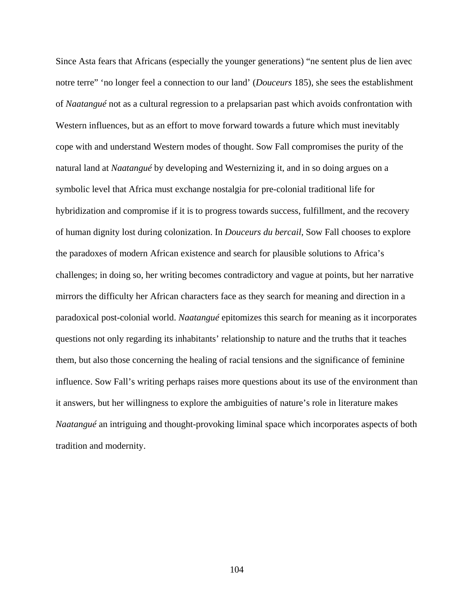Since Asta fears that Africans (especially the younger generations) "ne sentent plus de lien avec notre terre" 'no longer feel a connection to our land' (*Douceurs* 185), she sees the establishment of *Naatangué* not as a cultural regression to a prelapsarian past which avoids confrontation with Western influences, but as an effort to move forward towards a future which must inevitably cope with and understand Western modes of thought. Sow Fall compromises the purity of the natural land at *Naatangué* by developing and Westernizing it, and in so doing argues on a symbolic level that Africa must exchange nostalgia for pre-colonial traditional life for hybridization and compromise if it is to progress towards success, fulfillment, and the recovery of human dignity lost during colonization. In *Douceurs du bercail*, Sow Fall chooses to explore the paradoxes of modern African existence and search for plausible solutions to Africa's challenges; in doing so, her writing becomes contradictory and vague at points, but her narrative mirrors the difficulty her African characters face as they search for meaning and direction in a paradoxical post-colonial world. *Naatangué* epitomizes this search for meaning as it incorporates questions not only regarding its inhabitants' relationship to nature and the truths that it teaches them, but also those concerning the healing of racial tensions and the significance of feminine influence. Sow Fall's writing perhaps raises more questions about its use of the environment than it answers, but her willingness to explore the ambiguities of nature's role in literature makes *Naatangué* an intriguing and thought-provoking liminal space which incorporates aspects of both tradition and modernity.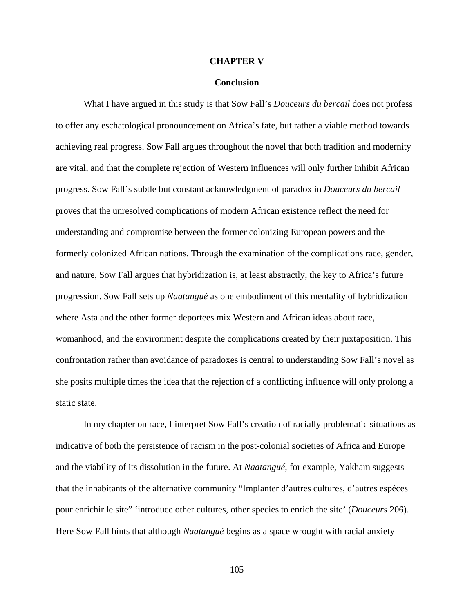#### **CHAPTER V**

### **Conclusion**

What I have argued in this study is that Sow Fall's *Douceurs du bercail* does not profess to offer any eschatological pronouncement on Africa's fate, but rather a viable method towards achieving real progress. Sow Fall argues throughout the novel that both tradition and modernity are vital, and that the complete rejection of Western influences will only further inhibit African progress. Sow Fall's subtle but constant acknowledgment of paradox in *Douceurs du bercail* proves that the unresolved complications of modern African existence reflect the need for understanding and compromise between the former colonizing European powers and the formerly colonized African nations. Through the examination of the complications race, gender, and nature, Sow Fall argues that hybridization is, at least abstractly, the key to Africa's future progression. Sow Fall sets up *Naatangué* as one embodiment of this mentality of hybridization where Asta and the other former deportees mix Western and African ideas about race, womanhood, and the environment despite the complications created by their juxtaposition. This confrontation rather than avoidance of paradoxes is central to understanding Sow Fall's novel as she posits multiple times the idea that the rejection of a conflicting influence will only prolong a static state.

In my chapter on race, I interpret Sow Fall's creation of racially problematic situations as indicative of both the persistence of racism in the post-colonial societies of Africa and Europe and the viability of its dissolution in the future. At *Naatangué*, for example, Yakham suggests that the inhabitants of the alternative community "Implanter d'autres cultures, d'autres espèces pour enrichir le site" 'introduce other cultures, other species to enrich the site' (*Douceurs* 206). Here Sow Fall hints that although *Naatangué* begins as a space wrought with racial anxiety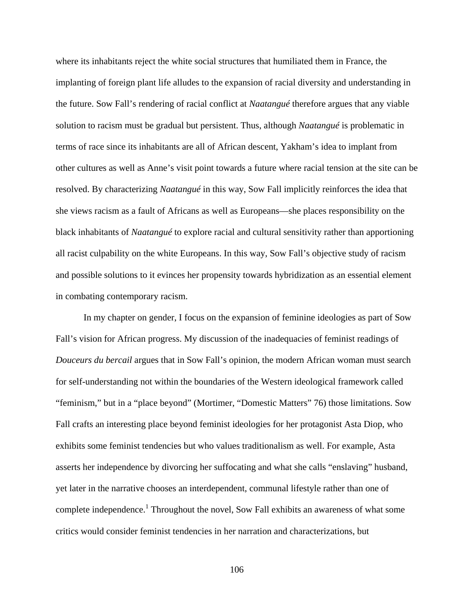where its inhabitants reject the white social structures that humiliated them in France, the implanting of foreign plant life alludes to the expansion of racial diversity and understanding in the future. Sow Fall's rendering of racial conflict at *Naatangué* therefore argues that any viable solution to racism must be gradual but persistent. Thus, although *Naatangué* is problematic in terms of race since its inhabitants are all of African descent, Yakham's idea to implant from other cultures as well as Anne's visit point towards a future where racial tension at the site can be resolved. By characterizing *Naatangué* in this way, Sow Fall implicitly reinforces the idea that she views racism as a fault of Africans as well as Europeans—she places responsibility on the black inhabitants of *Naatangué* to explore racial and cultural sensitivity rather than apportioning all racist culpability on the white Europeans. In this way, Sow Fall's objective study of racism and possible solutions to it evinces her propensity towards hybridization as an essential element in combating contemporary racism.

In my chapter on gender, I focus on the expansion of feminine ideologies as part of Sow Fall's vision for African progress. My discussion of the inadequacies of feminist readings of *Douceurs du bercail* argues that in Sow Fall's opinion, the modern African woman must search for self-understanding not within the boundaries of the Western ideological framework called "feminism," but in a "place beyond" (Mortimer, "Domestic Matters" 76) those limitations. Sow Fall crafts an interesting place beyond feminist ideologies for her protagonist Asta Diop, who exhibits some feminist tendencies but who values traditionalism as well. For example, Asta asserts her independence by divorcing her suffocating and what she calls "enslaving" husband, yet later in the narrative chooses an interdependent, communal lifestyle rather than one of complete independence.<sup>1</sup> Throughout the novel, Sow Fall exhibits an awareness of what some critics would consider feminist tendencies in her narration and characterizations, but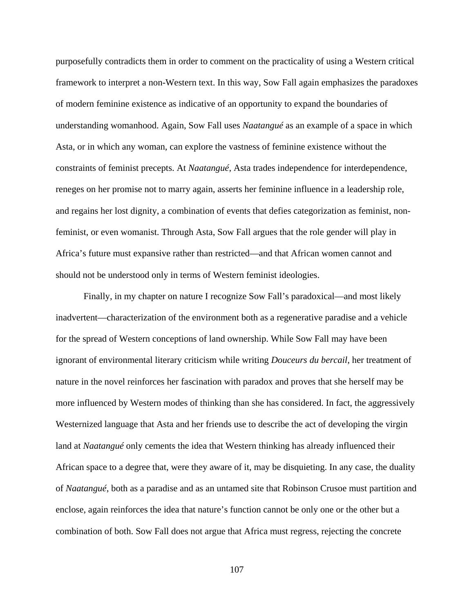purposefully contradicts them in order to comment on the practicality of using a Western critical framework to interpret a non-Western text. In this way, Sow Fall again emphasizes the paradoxes of modern feminine existence as indicative of an opportunity to expand the boundaries of understanding womanhood. Again, Sow Fall uses *Naatangué* as an example of a space in which Asta, or in which any woman, can explore the vastness of feminine existence without the constraints of feminist precepts. At *Naatangué*, Asta trades independence for interdependence, reneges on her promise not to marry again, asserts her feminine influence in a leadership role, and regains her lost dignity, a combination of events that defies categorization as feminist, nonfeminist, or even womanist. Through Asta, Sow Fall argues that the role gender will play in Africa's future must expansive rather than restricted—and that African women cannot and should not be understood only in terms of Western feminist ideologies.

Finally, in my chapter on nature I recognize Sow Fall's paradoxical—and most likely inadvertent—characterization of the environment both as a regenerative paradise and a vehicle for the spread of Western conceptions of land ownership. While Sow Fall may have been ignorant of environmental literary criticism while writing *Douceurs du bercail*, her treatment of nature in the novel reinforces her fascination with paradox and proves that she herself may be more influenced by Western modes of thinking than she has considered. In fact, the aggressively Westernized language that Asta and her friends use to describe the act of developing the virgin land at *Naatangué* only cements the idea that Western thinking has already influenced their African space to a degree that, were they aware of it, may be disquieting. In any case, the duality of *Naatangué*, both as a paradise and as an untamed site that Robinson Crusoe must partition and enclose, again reinforces the idea that nature's function cannot be only one or the other but a combination of both. Sow Fall does not argue that Africa must regress, rejecting the concrete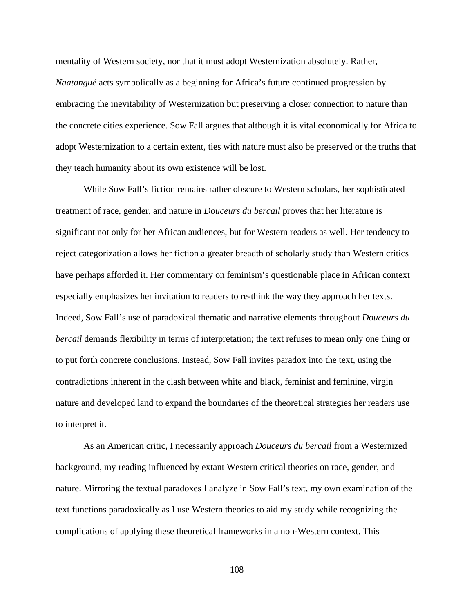mentality of Western society, nor that it must adopt Westernization absolutely. Rather, *Naatangué* acts symbolically as a beginning for Africa's future continued progression by embracing the inevitability of Westernization but preserving a closer connection to nature than the concrete cities experience. Sow Fall argues that although it is vital economically for Africa to adopt Westernization to a certain extent, ties with nature must also be preserved or the truths that they teach humanity about its own existence will be lost.

While Sow Fall's fiction remains rather obscure to Western scholars, her sophisticated treatment of race, gender, and nature in *Douceurs du bercail* proves that her literature is significant not only for her African audiences, but for Western readers as well. Her tendency to reject categorization allows her fiction a greater breadth of scholarly study than Western critics have perhaps afforded it. Her commentary on feminism's questionable place in African context especially emphasizes her invitation to readers to re-think the way they approach her texts. Indeed, Sow Fall's use of paradoxical thematic and narrative elements throughout *Douceurs du bercail* demands flexibility in terms of interpretation; the text refuses to mean only one thing or to put forth concrete conclusions. Instead, Sow Fall invites paradox into the text, using the contradictions inherent in the clash between white and black, feminist and feminine, virgin nature and developed land to expand the boundaries of the theoretical strategies her readers use to interpret it.

As an American critic, I necessarily approach *Douceurs du bercail* from a Westernized background, my reading influenced by extant Western critical theories on race, gender, and nature. Mirroring the textual paradoxes I analyze in Sow Fall's text, my own examination of the text functions paradoxically as I use Western theories to aid my study while recognizing the complications of applying these theoretical frameworks in a non-Western context. This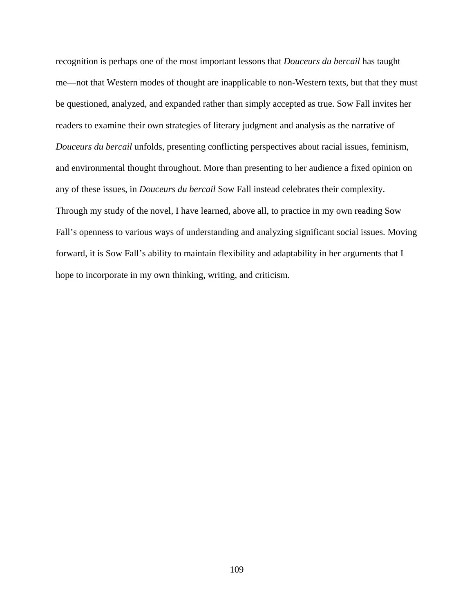recognition is perhaps one of the most important lessons that *Douceurs du bercail* has taught me—not that Western modes of thought are inapplicable to non-Western texts, but that they must be questioned, analyzed, and expanded rather than simply accepted as true. Sow Fall invites her readers to examine their own strategies of literary judgment and analysis as the narrative of *Douceurs du bercail* unfolds, presenting conflicting perspectives about racial issues, feminism, and environmental thought throughout. More than presenting to her audience a fixed opinion on any of these issues, in *Douceurs du bercail* Sow Fall instead celebrates their complexity. Through my study of the novel, I have learned, above all, to practice in my own reading Sow Fall's openness to various ways of understanding and analyzing significant social issues. Moving forward, it is Sow Fall's ability to maintain flexibility and adaptability in her arguments that I hope to incorporate in my own thinking, writing, and criticism.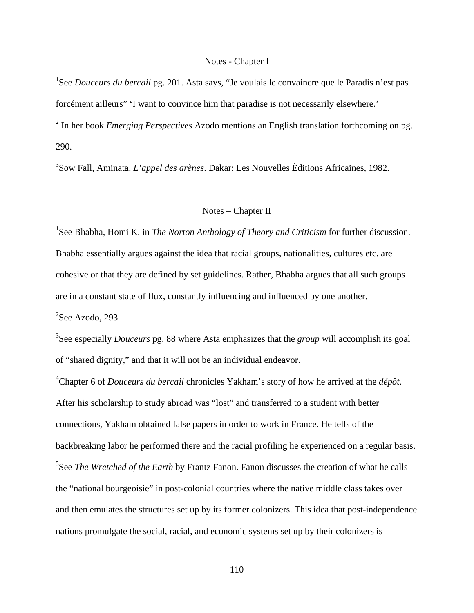## Notes - Chapter I

1 See *Douceurs du bercail* pg. 201. Asta says, "Je voulais le convaincre que le Paradis n'est pas forcément ailleurs" 'I want to convince him that paradise is not necessarily elsewhere.' <sup>2</sup> In her book *Emerging Perspectives* Azodo mentions an English translation forthcoming on pg. 290.

3 Sow Fall, Aminata. *L'appel des arènes*. Dakar: Les Nouvelles Éditions Africaines, 1982.

## Notes – Chapter II

<sup>1</sup>See Bhabha, Homi K. in *The Norton Anthology of Theory and Criticism* for further discussion. Bhabha essentially argues against the idea that racial groups, nationalities, cultures etc. are cohesive or that they are defined by set guidelines. Rather, Bhabha argues that all such groups are in a constant state of flux, constantly influencing and influenced by one another.

<sup>2</sup>See Azodo, 293

3 See especially *Douceurs* pg. 88 where Asta emphasizes that the *group* will accomplish its goal of "shared dignity," and that it will not be an individual endeavor.

4 Chapter 6 of *Douceurs du bercail* chronicles Yakham's story of how he arrived at the *dépôt*. After his scholarship to study abroad was "lost" and transferred to a student with better connections, Yakham obtained false papers in order to work in France. He tells of the backbreaking labor he performed there and the racial profiling he experienced on a regular basis. 5 See *The Wretched of the Earth* by Frantz Fanon. Fanon discusses the creation of what he calls the "national bourgeoisie" in post-colonial countries where the native middle class takes over and then emulates the structures set up by its former colonizers. This idea that post-independence nations promulgate the social, racial, and economic systems set up by their colonizers is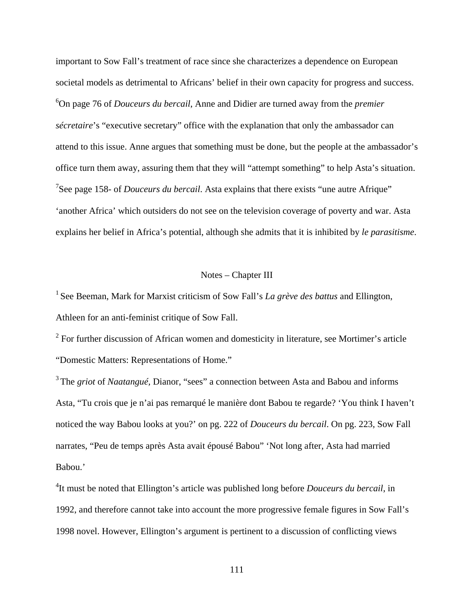important to Sow Fall's treatment of race since she characterizes a dependence on European societal models as detrimental to Africans' belief in their own capacity for progress and success. 6 On page 76 of *Douceurs du bercail*, Anne and Didier are turned away from the *premier sécretaire*'s "executive secretary" office with the explanation that only the ambassador can attend to this issue. Anne argues that something must be done, but the people at the ambassador's office turn them away, assuring them that they will "attempt something" to help Asta's situation. <sup>7</sup>See page 158- of *Douceurs du bercail*. Asta explains that there exists "une autre Afrique" 'another Africa' which outsiders do not see on the television coverage of poverty and war. Asta explains her belief in Africa's potential, although she admits that it is inhibited by *le parasitisme*.

## Notes – Chapter III

<sup>1</sup> See Beeman, Mark for Marxist criticism of Sow Fall's *La grève des battus* and Ellington, Athleen for an anti-feminist critique of Sow Fall.

 $2^2$  For further discussion of African women and domesticity in literature, see Mortimer's article "Domestic Matters: Representations of Home."

3 The *griot* of *Naatangué,* Dianor, "sees" a connection between Asta and Babou and informs Asta, "Tu crois que je n'ai pas remarqué le manière dont Babou te regarde? 'You think I haven't noticed the way Babou looks at you?' on pg. 222 of *Douceurs du bercail*. On pg. 223, Sow Fall narrates, "Peu de temps après Asta avait épousé Babou" 'Not long after, Asta had married Babou.'

4 It must be noted that Ellington's article was published long before *Douceurs du bercail*, in 1992, and therefore cannot take into account the more progressive female figures in Sow Fall's 1998 novel. However, Ellington's argument is pertinent to a discussion of conflicting views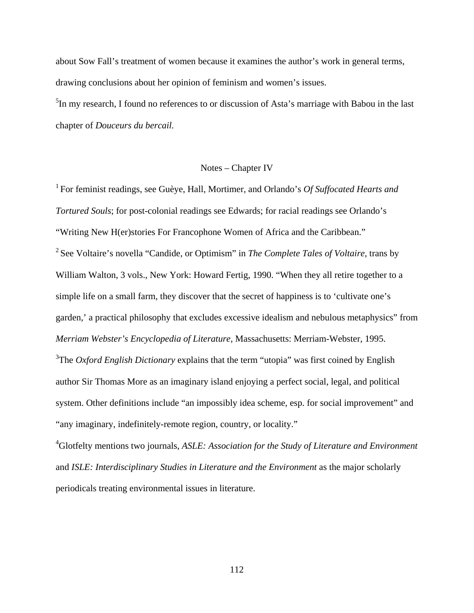about Sow Fall's treatment of women because it examines the author's work in general terms, drawing conclusions about her opinion of feminism and women's issues.

<sup>5</sup>In my research, I found no references to or discussion of Asta's marriage with Babou in the last chapter of *Douceurs du bercail.* 

## Notes – Chapter IV

<sup>1</sup> For feminist readings, see Guèye, Hall, Mortimer, and Orlando's *Of Suffocated Hearts and Tortured Souls*; for post-colonial readings see Edwards; for racial readings see Orlando's "Writing New H(er)stories For Francophone Women of Africa and the Caribbean." <sup>2</sup> See Voltaire's novella "Candide, or Optimism" in *The Complete Tales of Voltaire*, trans by William Walton, 3 vols., New York: Howard Fertig, 1990. "When they all retire together to a simple life on a small farm, they discover that the secret of happiness is to 'cultivate one's garden,' a practical philosophy that excludes excessive idealism and nebulous metaphysics" from *Merriam Webster's Encyclopedia of Literature*, Massachusetts: Merriam-Webster, 1995. <sup>3</sup>The *Oxford English Dictionary* explains that the term "utopia" was first coined by English author Sir Thomas More as an imaginary island enjoying a perfect social, legal, and political system. Other definitions include "an impossibly idea scheme, esp. for social improvement" and

"any imaginary, indefinitely-remote region, country, or locality."

4 Glotfelty mentions two journals, *ASLE: Association for the Study of Literature and Environment*  and *ISLE: Interdisciplinary Studies in Literature and the Environment* as the major scholarly periodicals treating environmental issues in literature.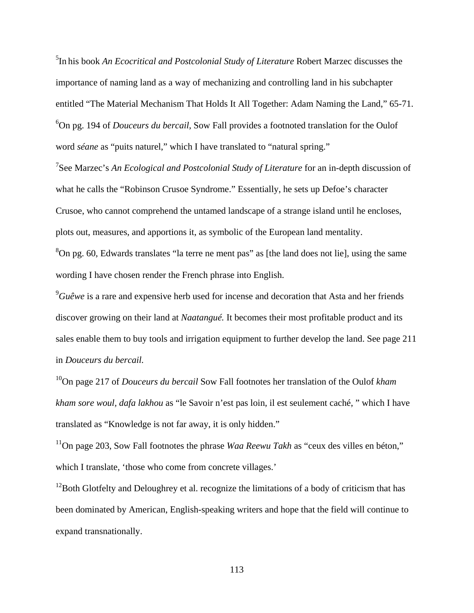5 In his book *An Ecocritical and Postcolonial Study of Literature* Robert Marzec discusses the importance of naming land as a way of mechanizing and controlling land in his subchapter entitled "The Material Mechanism That Holds It All Together: Adam Naming the Land," 65-71. 6 On pg. 194 of *Douceurs du bercail*, Sow Fall provides a footnoted translation for the Oulof word *séane* as "puits naturel," which I have translated to "natural spring."

7 See Marzec's *An Ecological and Postcolonial Study of Literature* for an in-depth discussion of what he calls the "Robinson Crusoe Syndrome." Essentially, he sets up Defoe's character Crusoe, who cannot comprehend the untamed landscape of a strange island until he encloses, plots out, measures, and apportions it, as symbolic of the European land mentality.

<sup>8</sup>On pg. 60, Edwards translates "la terre ne ment pas" as [the land does not lie], using the same wording I have chosen render the French phrase into English.

9 *Guêwe* is a rare and expensive herb used for incense and decoration that Asta and her friends discover growing on their land at *Naatangué.* It becomes their most profitable product and its sales enable them to buy tools and irrigation equipment to further develop the land. See page 211 in *Douceurs du bercail.*

10On page 217 of *Douceurs du bercail* Sow Fall footnotes her translation of the Oulof *kham kham sore woul, dafa lakhou* as "le Savoir n'est pas loin, il est seulement caché, " which I have translated as "Knowledge is not far away, it is only hidden."

<sup>11</sup>On page 203, Sow Fall footnotes the phrase *Waa Reewu Takh* as "ceux des villes en béton," which I translate, 'those who come from concrete villages.'

<sup>12</sup> Both Glotfelty and Deloughrey et al. recognize the limitations of a body of criticism that has been dominated by American, English-speaking writers and hope that the field will continue to expand transnationally.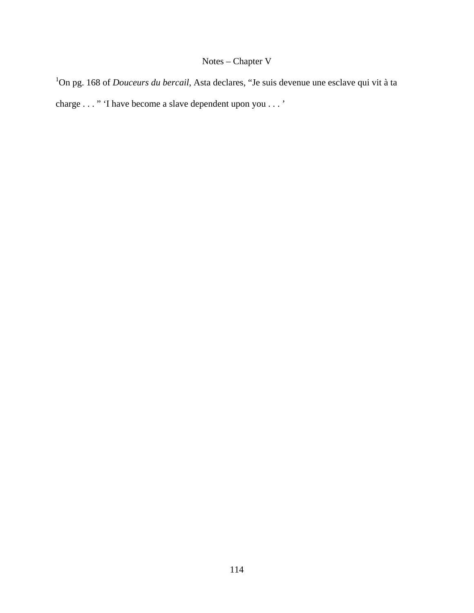# Notes – Chapter V

1 On pg. 168 of *Douceurs du bercail*, Asta declares, "Je suis devenue une esclave qui vit à ta charge . . . " 'I have become a slave dependent upon you . . . '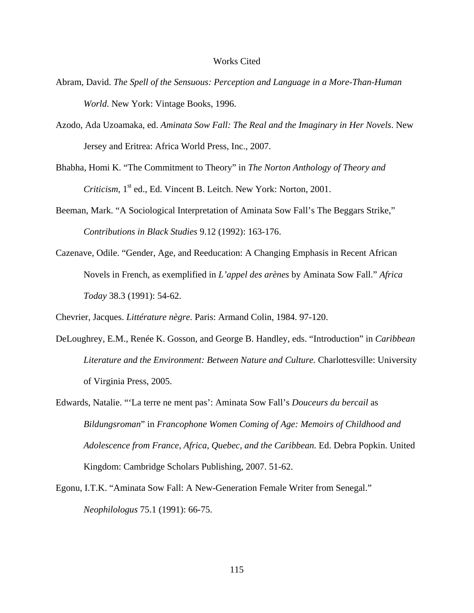#### Works Cited

- Abram, David. *The Spell of the Sensuous: Perception and Language in a More-Than-Human World*. New York: Vintage Books, 1996.
- Azodo, Ada Uzoamaka, ed. *Aminata Sow Fall: The Real and the Imaginary in Her Novels*. New Jersey and Eritrea: Africa World Press, Inc., 2007.
- Bhabha, Homi K. "The Commitment to Theory" in *The Norton Anthology of Theory and Criticism*, 1<sup>st</sup> ed., Ed. Vincent B. Leitch. New York: Norton, 2001.
- Beeman, Mark. "A Sociological Interpretation of Aminata Sow Fall's The Beggars Strike," *Contributions in Black Studies* 9.12 (1992): 163-176.
- Cazenave, Odile. "Gender, Age, and Reeducation: A Changing Emphasis in Recent African Novels in French, as exemplified in *L'appel des arènes* by Aminata Sow Fall." *Africa Today* 38.3 (1991): 54-62.

Chevrier, Jacques. *Littérature nègre.* Paris: Armand Colin, 1984. 97-120.

- DeLoughrey, E.M., Renée K. Gosson, and George B. Handley, eds. "Introduction" in *Caribbean Literature and the Environment: Between Nature and Culture.* Charlottesville: University of Virginia Press, 2005.
- Edwards, Natalie. "'La terre ne ment pas': Aminata Sow Fall's *Douceurs du bercail* as *Bildungsroman*" in *Francophone Women Coming of Age: Memoirs of Childhood and Adolescence from France, Africa, Quebec, and the Caribbean.* Ed. Debra Popkin. United Kingdom: Cambridge Scholars Publishing, 2007. 51-62.
- Egonu, I.T.K. "Aminata Sow Fall: A New-Generation Female Writer from Senegal." *Neophilologus* 75.1 (1991): 66-75.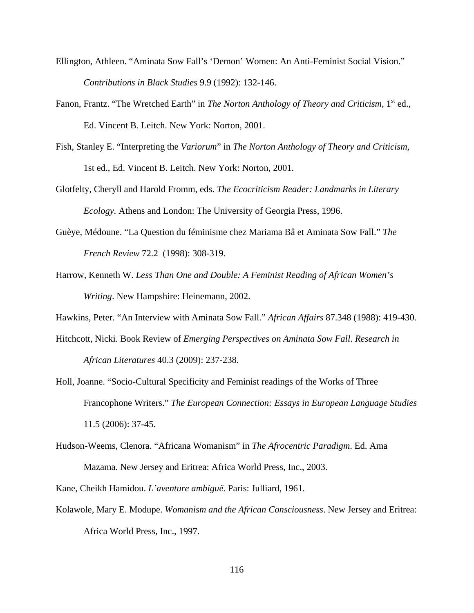- Ellington, Athleen. "Aminata Sow Fall's 'Demon' Women: An Anti-Feminist Social Vision." *Contributions in Black Studies* 9.9 (1992): 132-146.
- Fanon, Frantz. "The Wretched Earth" in *The Norton Anthology of Theory and Criticism*, 1<sup>st</sup> ed., Ed. Vincent B. Leitch. New York: Norton, 2001.
- Fish, Stanley E. "Interpreting the *Variorum*" in *The Norton Anthology of Theory and Criticism*, 1st ed., Ed. Vincent B. Leitch. New York: Norton, 2001.
- Glotfelty, Cheryll and Harold Fromm, eds. *The Ecocriticism Reader: Landmarks in Literary Ecology.* Athens and London: The University of Georgia Press, 1996.
- Guèye, Médoune. "La Question du féminisme chez Mariama Bâ et Aminata Sow Fall." *The French Review* 72.2 (1998): 308-319.
- Harrow, Kenneth W. *Less Than One and Double: A Feminist Reading of African Women's Writing*. New Hampshire: Heinemann, 2002.

Hawkins, Peter. "An Interview with Aminata Sow Fall." *African Affairs* 87.348 (1988): 419-430.

- Hitchcott, Nicki. Book Review of *Emerging Perspectives on Aminata Sow Fall*. *Research in African Literatures* 40.3 (2009): 237-238.
- Holl, Joanne. "Socio-Cultural Specificity and Feminist readings of the Works of Three Francophone Writers." *The European Connection: Essays in European Language Studies*  11.5 (2006): 37-45.
- Hudson-Weems, Clenora. "Africana Womanism" in *The Afrocentric Paradigm*. Ed. Ama Mazama. New Jersey and Eritrea: Africa World Press, Inc., 2003.

Kane, Cheikh Hamidou. *L'aventure ambiguë*. Paris: Julliard, 1961.

Kolawole, Mary E. Modupe. *Womanism and the African Consciousness*. New Jersey and Eritrea: Africa World Press, Inc., 1997.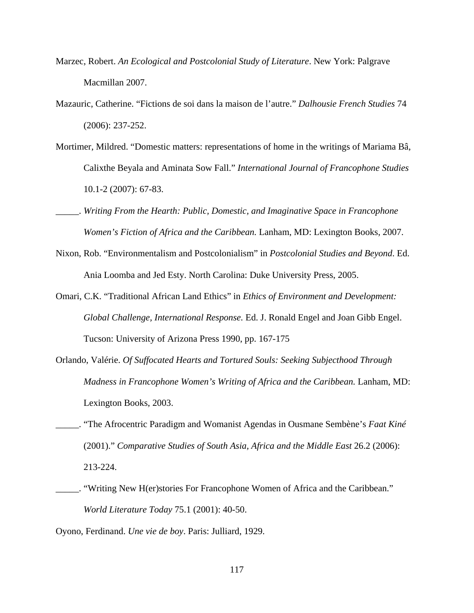- Marzec, Robert. *An Ecological and Postcolonial Study of Literature*. New York: Palgrave Macmillan 2007.
- Mazauric, Catherine. "Fictions de soi dans la maison de l'autre." *Dalhousie French Studies* 74 (2006): 237-252.
- Mortimer, Mildred. "Domestic matters: representations of home in the writings of Mariama Bâ, Calixthe Beyala and Aminata Sow Fall." *International Journal of Francophone Studies*  10.1-2 (2007): 67-83.
- \_\_\_\_\_. *Writing From the Hearth: Public, Domestic, and Imaginative Space in Francophone Women's Fiction of Africa and the Caribbean.* Lanham, MD: Lexington Books, 2007.
- Nixon, Rob. "Environmentalism and Postcolonialism" in *Postcolonial Studies and Beyond*. Ed. Ania Loomba and Jed Esty. North Carolina: Duke University Press, 2005.
- Omari, C.K. "Traditional African Land Ethics" in *Ethics of Environment and Development: Global Challenge, International Response.* Ed. J. Ronald Engel and Joan Gibb Engel. Tucson: University of Arizona Press 1990, pp. 167-175
- Orlando, Valérie. *Of Suffocated Hearts and Tortured Souls: Seeking Subjecthood Through Madness in Francophone Women's Writing of Africa and the Caribbean. Lanham, MD:* Lexington Books, 2003.
- \_\_\_\_\_. "The Afrocentric Paradigm and Womanist Agendas in Ousmane Sembène's *Faat Kiné* (2001)." *Comparative Studies of South Asia, Africa and the Middle East* 26.2 (2006): 213-224.
- \_\_\_\_\_. "Writing New H(er)stories For Francophone Women of Africa and the Caribbean." *World Literature Today* 75.1 (2001): 40-50.
- Oyono, Ferdinand. *Une vie de boy*. Paris: Julliard, 1929.